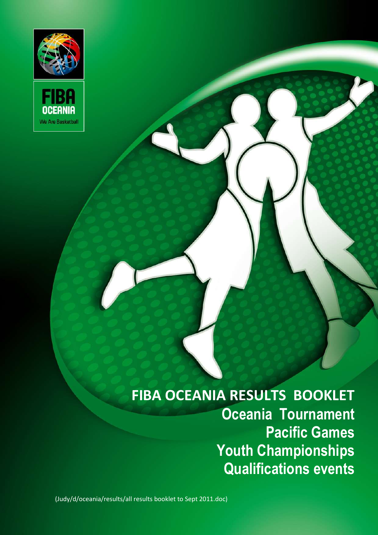



# **FIBA OCEANIA RESULTS BOOKLET Oceania Tournament Pacific Games Youth Championships Qualifications events**

(Judy/d/oceania/results/all results booklet to Sept 2011.doc)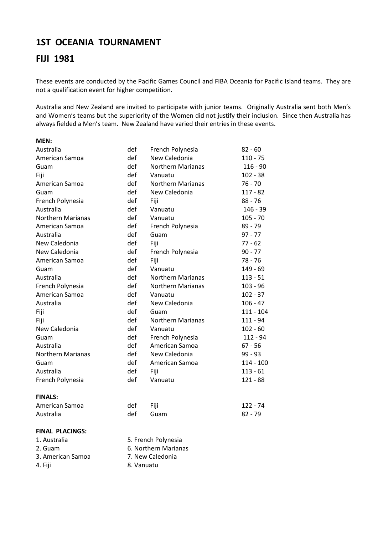## **1ST OCEANIA TOURNAMENT**

## **FIJI 1981**

These events are conducted by the Pacific Games Council and FIBA Oceania for Pacific Island teams. They are not a qualification event for higher competition.

Australia and New Zealand are invited to participate with junior teams. Originally Australia sent both Men's and Women's teams but the superiority of the Women did not justify their inclusion. Since then Australia has always fielded a Men's team. New Zealand have varied their entries in these events.

| MEN:                     |     |                          |             |
|--------------------------|-----|--------------------------|-------------|
| Australia                | def | French Polynesia         | $82 - 60$   |
| American Samoa           | def | New Caledonia            | $110 - 75$  |
| Guam                     | def | <b>Northern Marianas</b> | $116 - 90$  |
| Fiji                     | def | Vanuatu                  | $102 - 38$  |
| American Samoa           | def | <b>Northern Marianas</b> | $76 - 70$   |
| Guam                     | def | New Caledonia            | $117 - 82$  |
| French Polynesia         | def | Fiji                     | $88 - 76$   |
| Australia                | def | Vanuatu                  | $146 - 39$  |
| <b>Northern Marianas</b> | def | Vanuatu                  | $105 - 70$  |
| American Samoa           | def | French Polynesia         | 89 - 79     |
| Australia                | def | Guam                     | $97 - 77$   |
| New Caledonia            | def | Fiji                     | $77 - 62$   |
| New Caledonia            | def | French Polynesia         | $90 - 77$   |
| American Samoa           | def | Fiji                     | 78 - 76     |
| Guam                     | def | Vanuatu                  | $149 - 69$  |
| Australia                | def | <b>Northern Marianas</b> | $113 - 51$  |
| French Polynesia         | def | <b>Northern Marianas</b> | $103 - 96$  |
| American Samoa           | def | Vanuatu                  | $102 - 37$  |
| Australia                | def | New Caledonia            | $106 - 47$  |
| Fiji                     | def | Guam                     | $111 - 104$ |
| Fiji                     | def | <b>Northern Marianas</b> | 111 - 94    |
| New Caledonia            | def | Vanuatu                  | $102 - 60$  |
| Guam                     | def | French Polynesia         | $112 - 94$  |
| Australia                | def | American Samoa           | $67 - 56$   |
| <b>Northern Marianas</b> | def | New Caledonia            | $99 - 93$   |
| Guam                     | def | American Samoa           | $114 - 100$ |
| Australia                | def | Fiji                     | $113 - 61$  |
| French Polynesia         | def | Vanuatu                  | $121 - 88$  |
| <b>FINALS:</b>           |     |                          |             |
| American Samoa           | def | Fiji                     | $122 - 74$  |
| Australia                | def | Guam                     | $82 - 79$   |
| FINAL PLACINGS:          |     |                          |             |
| 1. Australia             |     | 5. French Polynesia      |             |

- 
- 3. American Samoa 7. New Caledonia
- 
- 
- 2. Guam 6. Northern Marianas
	-
- 4. Fiji 8. Vanuatu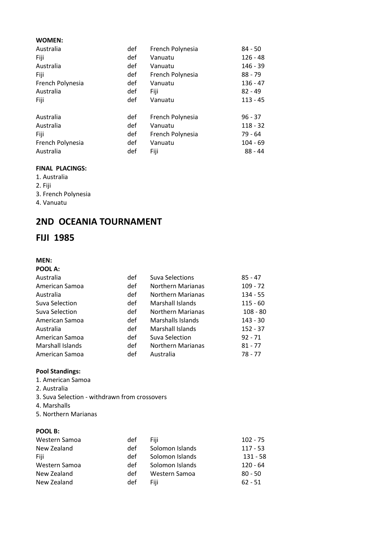#### **WOMEN:**

| Australia        | def | French Polynesia | $84 - 50$  |
|------------------|-----|------------------|------------|
| Fiji             | def | Vanuatu          | $126 - 48$ |
| Australia        | def | Vanuatu          | $146 - 39$ |
| Fiji             | def | French Polynesia | $88 - 79$  |
| French Polynesia | def | Vanuatu          | $136 - 47$ |
| Australia        | def | Fiji             | $82 - 49$  |
| Fiji             | def | Vanuatu          | $113 - 45$ |
| Australia        | def | French Polynesia | $96 - 37$  |
| Australia        | def | Vanuatu          | $118 - 32$ |
| Fiji             | def | French Polynesia | $79 - 64$  |
| French Polynesia | def | Vanuatu          | $104 - 69$ |
| Australia        | def | Fiji             | $88 - 44$  |
|                  |     |                  |            |

#### **FINAL PLACINGS:**

- 1. Australia
- 2. Fiji
- 3. French Polynesia
- 4. Vanuatu

## **2ND OCEANIA TOURNAMENT**

## **FIJI 1985**

#### **MEN: POOL A:**

| Australia        | def | <b>Suva Selections</b>   | $85 - 47$  |
|------------------|-----|--------------------------|------------|
| American Samoa   | def | <b>Northern Marianas</b> | $109 - 72$ |
| Australia        | def | <b>Northern Marianas</b> | $134 - 55$ |
| Suva Selection   | def | Marshall Islands         | $115 - 60$ |
| Suva Selection   | def | <b>Northern Marianas</b> | $108 - 80$ |
| American Samoa   | def | Marshalls Islands        | $143 - 30$ |
| Australia        | def | Marshall Islands         | $152 - 37$ |
| American Samoa   | def | Suva Selection           | $92 - 71$  |
| Marshall Islands | def | <b>Northern Marianas</b> | $81 - 77$  |
| American Samoa   | def | Australia                | $78 - 77$  |
|                  |     |                          |            |

#### **Pool Standings:**

- 1. American Samoa
- 2. Australia
- 3. Suva Selection withdrawn from crossovers
- 4. Marshalls
- 5. Northern Marianas

#### **POOL B:**

| Western Samoa | def | Fiii            | $102 - 75$ |
|---------------|-----|-----------------|------------|
| New Zealand   | def | Solomon Islands | $117 - 53$ |
| Fiii          | def | Solomon Islands | 131 - 58   |
| Western Samoa | def | Solomon Islands | 120 - 64   |
| New Zealand   | def | Western Samoa   | $80 - 50$  |
| New Zealand   | def | Fiii            | $62 - 51$  |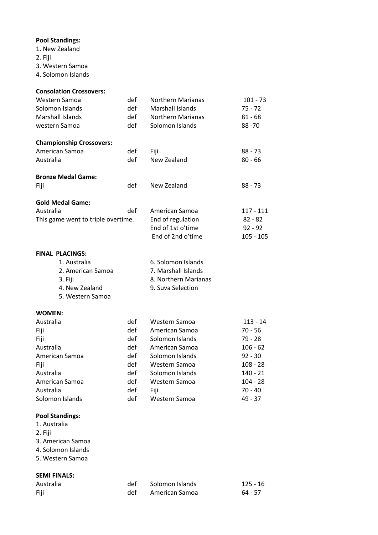#### **Pool Standings:**

- **The Document Contract Register of Document** 1. New Zealand
- 2. Fiji
- 3. Western Samoa
- **Title of Document in Arial Regular 12pt**  4. Solomon Islands

| <b>Consolation Crossovers:</b>     |     |                          |             |
|------------------------------------|-----|--------------------------|-------------|
| Western Samoa                      | def | <b>Northern Marianas</b> | $101 - 73$  |
| Solomon Islands                    | def | <b>Marshall Islands</b>  | $75 - 72$   |
| <b>Marshall Islands</b>            | def | <b>Northern Marianas</b> | $81 - 68$   |
| western Samoa                      | def | Solomon Islands          | $88 - 70$   |
| <b>Championship Crossovers:</b>    |     |                          |             |
| American Samoa                     | def | Fiji                     | 88 - 73     |
| Australia                          | def | New Zealand              | $80 - 66$   |
|                                    |     |                          |             |
| <b>Bronze Medal Game:</b>          |     |                          |             |
| Fiji                               | def | New Zealand              | $88 - 73$   |
| <b>Gold Medal Game:</b>            |     |                          |             |
| Australia                          | def | American Samoa           | 117 - 111   |
| This game went to triple overtime. |     | End of regulation        | $82 - 82$   |
|                                    |     | End of 1st o'time        | $92 - 92$   |
|                                    |     | End of 2nd o'time        | $105 - 105$ |
|                                    |     |                          |             |
| <b>FINAL PLACINGS:</b>             |     |                          |             |
| 1. Australia                       |     | 6. Solomon Islands       |             |
| 2. American Samoa                  |     | 7. Marshall Islands      |             |
| 3. Fiji                            |     | 8. Northern Marianas     |             |
| 4. New Zealand                     |     | 9. Suva Selection        |             |
| 5. Western Samoa                   |     |                          |             |
| <b>WOMEN:</b>                      |     |                          |             |
| Australia                          | def | Western Samoa            | 113 - 14    |
| Fiji                               | def | American Samoa           | $70 - 56$   |
| Fiji                               | def | Solomon Islands          | 79 - 28     |
| Australia                          | def | American Samoa           | $106 - 62$  |
| American Samoa                     | def | Solomon Islands          | $92 - 30$   |
| Fiji                               | def | Western Samoa            | $108 - 28$  |
| Australia                          | def | Solomon Islands          | $140 - 21$  |
| American Samoa                     | def | Western Samoa            | $104 - 28$  |
| Australia                          | def | Fiji                     | $70 - 40$   |
| Solomon Islands                    | def | Western Samoa            | 49 - 37     |
|                                    |     |                          |             |

#### **Pool Standings:**

- 1. Australia
- 2. Fiji
- 3. American Samoa
- 4. Solomon Islands
- 5. Western Samoa

#### **SEMI FINALS:**

| Australia | def | Solomon Islands | $125 - 16$ |
|-----------|-----|-----------------|------------|
| Fiji      | def | American Samoa  | $64 - 57$  |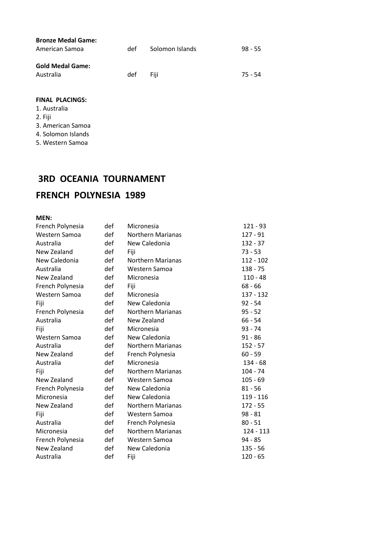| <b>Bronze Medal Game:</b><br>American Samoa | det. | Solomon Islands | $98 - 55$ |
|---------------------------------------------|------|-----------------|-----------|
| <b>Gold Medal Game:</b><br>Australia        | def  | Fiii            | 75 - 54   |

#### **FINAL PLACINGS:**

- 1. Australia
- **Title of Document in Arial Regular 12pt**  2. Fiji
- 3. American Samoa
- 4. Solomon Islands
- 5. Western Samoa

## **3RD OCEANIA TOURNAMENT**

## **FRENCH POLYNESIA 1989**

#### **MEN:**

| French Polynesia | def | Micronesia               | $121 - 93$  |
|------------------|-----|--------------------------|-------------|
| Western Samoa    | def | <b>Northern Marianas</b> | $127 - 91$  |
| Australia        | def | New Caledonia            | $132 - 37$  |
| New Zealand      | def | Fiji                     | 73 - 53     |
| New Caledonia    | def | <b>Northern Marianas</b> | $112 - 102$ |
| Australia        | def | Western Samoa            | $138 - 75$  |
| New Zealand      | def | Micronesia               | $110 - 48$  |
| French Polynesia | def | Fiji                     | $68 - 66$   |
| Western Samoa    | def | Micronesia               | 137 - 132   |
| Fiji             | def | New Caledonia            | $92 - 54$   |
| French Polynesia | def | <b>Northern Marianas</b> | $95 - 52$   |
| Australia        | def | New Zealand              | $66 - 54$   |
| Fiji             | def | Micronesia               | $93 - 74$   |
| Western Samoa    | def | New Caledonia            | $91 - 86$   |
| Australia        | def | <b>Northern Marianas</b> | $152 - 57$  |
| New Zealand      | def | French Polynesia         | $60 - 59$   |
| Australia        | def | Micronesia               | 134 - 68    |
| Fiji             | def | <b>Northern Marianas</b> | $104 - 74$  |
| New Zealand      | def | Western Samoa            | $105 - 69$  |
| French Polynesia | def | New Caledonia            | $81 - 56$   |
| Micronesia       | def | New Caledonia            | 119 - 116   |
| New Zealand      | def | <b>Northern Marianas</b> | 172 - 55    |
| Fiji             | def | Western Samoa            | $98 - 81$   |
| Australia        | def | French Polynesia         | $80 - 51$   |
| Micronesia       | def | <b>Northern Marianas</b> | 124 - 113   |
| French Polynesia | def | Western Samoa            | 94 - 85     |
| New Zealand      | def | New Caledonia            | 135 - 56    |
| Australia        | def | Fiji                     | $120 - 65$  |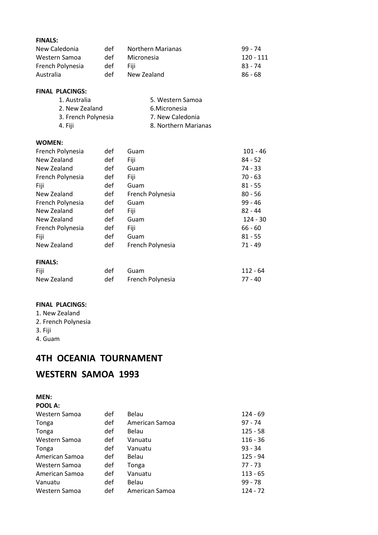#### **FINALS:**

| .                |     |                          |           |
|------------------|-----|--------------------------|-----------|
| New Caledonia    | def | <b>Northern Marianas</b> | 99 - 74   |
| Western Samoa    | def | Micronesia               | 120 - 111 |
| French Polynesia | def | Fiii                     | $83 - 74$ |
| Australia        | def | New Zealand              | 86 - 68   |
|                  |     |                          |           |

#### **FINAL PLACINGS:**

| 5. Western Samoa     |
|----------------------|
| 6. Micronesia        |
| 7. New Caledonia     |
| 8. Northern Marianas |
|                      |

#### **WOMEN:**

| French Polynesia | def | Guam             | $101 - 46$ |
|------------------|-----|------------------|------------|
| New Zealand      | def | Fiji             | $84 - 52$  |
| New Zealand      | def | Guam             | 74 - 33    |
| French Polynesia | def | Fiji             | $70 - 63$  |
| Fiji             | def | Guam             | $81 - 55$  |
| New Zealand      | def | French Polynesia | $80 - 56$  |
| French Polynesia | def | Guam             | $99 - 46$  |
| New Zealand      | def | Fiji             | $82 - 44$  |
| New Zealand      | def | Guam             | $124 - 30$ |
| French Polynesia | def | Fiji             | $66 - 60$  |
| Fiji             | def | Guam             | $81 - 55$  |
| New Zealand      | def | French Polynesia | $71 - 49$  |
| <b>FINALS:</b>   |     |                  |            |
| Fiji             | def | Guam             | $112 - 64$ |
| New Zealand      | def | French Polynesia | $77 - 40$  |

Western Samoa def American Samoa 124 - 72

 $125 - 58$ 

#### **FINAL PLACINGS:**

- 1. New Zealand
- 2. French Polynesia
- 3. Fiji
- 4. Guam

## **4TH OCEANIA TOURNAMENT**

## **WESTERN SAMOA 1993**

#### **MEN:**

| .              |     |                |            |
|----------------|-----|----------------|------------|
| POOL A:        |     |                |            |
| Western Samoa  | def | Belau          | 124 - 69   |
| Tonga          | def | American Samoa | 97 - 74    |
| Tonga          | def | Belau          | $125 - 58$ |
| Western Samoa  | def | Vanuatu        | $116 - 36$ |
| Tonga          | def | Vanuatu        | 93 - 34    |
| American Samoa | def | Belau          | 125 - 94   |
| Western Samoa  | def | Tonga          | 77 - 73    |
| American Samoa | def | Vanuatu        | $113 - 65$ |
| Vanuatu        | def | Belau          | 99 - 78    |
|                |     |                |            |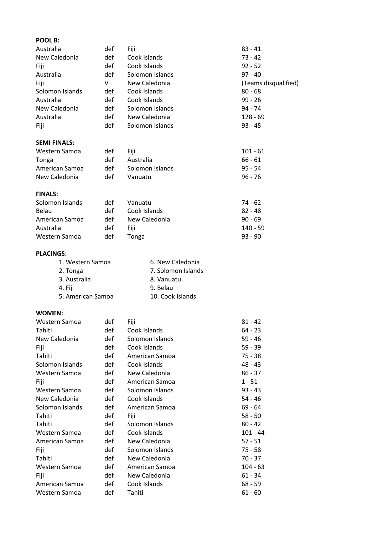#### Australia def Fiji Australia def Solomon Islands<br> **Title Concurrent Contract Concurrent Concurrent V** New Caledonia Australia def Western Samoa def Fiji 101 - 61 **POOL B:** Australia def Fiji 83 - 41 New Caledonia def Cook Islands 73 - 42 Fiji 192 - 52<br>Australia 1930 def Cook Islands 193 - 52<br>Australia 193 - 40 Solomon Islands (Teams disqualified) Solomon Islands def Cook Islands 80 - 68 Australia def Cook Islands 99 - 26 New Caledonia def Solomon Islands 94 - 74 def New Caledonia 128 - 69<br>def Solomon Islands 93 - 45 Fiji def Solomon Islands **SEMI FINALS:** Tonga def Australia 66 - 61 American Samoa def Solomon Islands 95 - 54 New Caledonia def Vanuatu 96 - 76 **FINALS:** Solomon Islands def Vanuatu 74 - 62 Belau def Cook Islands 82 - 48 American Samoa def New Caledonia<br>
Australia def Fiji en 140 - 59 Australia def Fiji 140 - 59 Western Samoa def Tonga 193 - 90

#### **PLACINGS**:

| 1. Western Samoa  | 6. New Caledonia   |
|-------------------|--------------------|
| 2. Tonga          | 7. Solomon Islands |
| 3. Australia      | 8. Vanuatu         |
| 4. Fiji           | 9. Belau           |
| 5. American Samoa | 10. Cook Islands   |

#### **WOMEN:**

| Western Samoa   | def | Fiji            | $81 - 42$  |
|-----------------|-----|-----------------|------------|
| Tahiti          | def | Cook Islands    | $64 - 23$  |
| New Caledonia   | def | Solomon Islands | $59 - 46$  |
| Fiji            | def | Cook Islands    | 59 - 39    |
| Tahiti          | def | American Samoa  | 75 - 38    |
| Solomon Islands | def | Cook Islands    | 48 - 43    |
| Western Samoa   | def | New Caledonia   | $86 - 37$  |
| Fiji            | def | American Samoa  | $1 - 51$   |
| Western Samoa   | def | Solomon Islands | $93 - 43$  |
| New Caledonia   | def | Cook Islands    | 54 - 46    |
| Solomon Islands | def | American Samoa  | $69 - 64$  |
| Tahiti          | def | Fiji            | $58 - 50$  |
| Tahiti          | def | Solomon Islands | $80 - 42$  |
| Western Samoa   | def | Cook Islands    | 101 - 44   |
| American Samoa  | def | New Caledonia   | 57 - 51    |
| Fiji            | def | Solomon Islands | 75 - 58    |
| Tahiti          | def | New Caledonia   | 70 - 37    |
| Western Samoa   | def | American Samoa  | $104 - 63$ |
| Fiji            | def | New Caledonia   | $61 - 34$  |
| American Samoa  | def | Cook Islands    | $68 - 59$  |
| Western Samoa   | def | Tahiti          | 61 - 60    |
|                 |     |                 |            |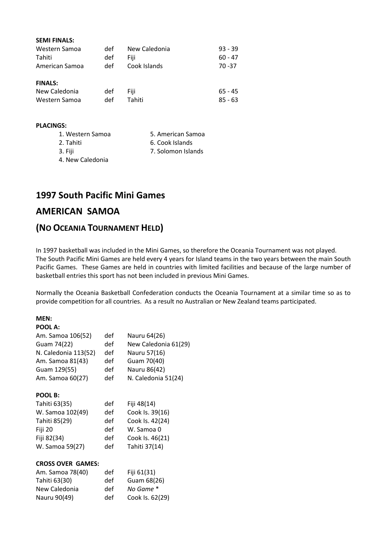| <b>SEMI FINALS:</b> |     |               |           |
|---------------------|-----|---------------|-----------|
| Western Samoa       | def | New Caledonia | $93 - 39$ |
| Tahiti              | def | Fiii          | $60 - 47$ |
| American Samoa      | def | Cook Islands  | $70 - 37$ |
| <b>FINALS:</b>      |     |               |           |
| New Caledonia       | def | Fiji          | $65 - 45$ |
| Western Samoa       | def | Tahiti        | $85 - 63$ |

#### **PLACINGS:**

| 1. Western Samoa | 5. American Samoa  |
|------------------|--------------------|
| 2. Tahiti        | 6. Cook Islands    |
| 3. Fiji          | 7. Solomon Islands |
| 4. New Caledonia |                    |

## **1997 South Pacific Mini Games**

## **AMERICAN SAMOA**

## **(NO OCEANIA TOURNAMENT HELD)**

In 1997 basketball was included in the Mini Games, so therefore the Oceania Tournament was not played. The South Pacific Mini Games are held every 4 years for Island teams in the two years between the main South Pacific Games. These Games are held in countries with limited facilities and because of the large number of basketball entries this sport has not been included in previous Mini Games.

Normally the Oceania Basketball Confederation conducts the Oceania Tournament at a similar time so as to provide competition for all countries. As a result no Australian or New Zealand teams participated.

#### **MEN:**

| POOL A:                  |     |                      |
|--------------------------|-----|----------------------|
| Am. Samoa 106(52)        | def | Nauru 64(26)         |
| Guam 74(22)              | def | New Caledonia 61(29) |
| N. Caledonia 113(52)     | def | Nauru 57(16)         |
| Am. Samoa 81(43)         | def | Guam 70(40)          |
| Guam 129(55)             | def | Nauru 86(42)         |
| Am. Samoa 60(27)         | def | N. Caledonia 51(24)  |
| POOL B:                  |     |                      |
| Tahiti 63(35)            | def | Fiji 48(14)          |
| W. Samoa 102(49)         | def | Cook Is. 39(16)      |
| Tahiti 85(29)            | def | Cook Is. 42(24)      |
| Fiji 20                  | def | W. Samoa 0           |
| Fiji 82(34)              | def | Cook Is. 46(21)      |
| W. Samoa 59(27)          | def | Tahiti 37(14)        |
| <b>CROSS OVER GAMES:</b> |     |                      |
| Am. Samoa 78(40)         | def | Fiji 61(31)          |
| Tahiti 63(30)            | def | Guam 68(26)          |

New Caledonia def *No Game* \* Nauru 90(49) def Cook Is. 62(29)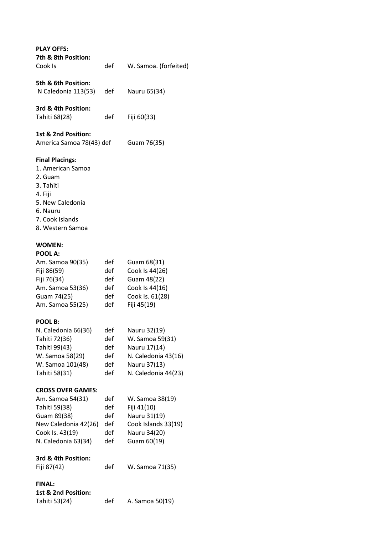| <b>PLAY OFFS:</b><br>7th & 8th Position:<br>Cook Is                                                                                                   | def                                    | W. Samoa. (forfeited)                                                                                         |
|-------------------------------------------------------------------------------------------------------------------------------------------------------|----------------------------------------|---------------------------------------------------------------------------------------------------------------|
| 5th & 6th Position:<br>N Caledonia 113(53)                                                                                                            | def                                    | Nauru 65(34)                                                                                                  |
| 3rd & 4th Position:<br>Tahiti 68(28)                                                                                                                  | def                                    | Fiji 60(33)                                                                                                   |
| 1st & 2nd Position:<br>America Samoa 78(43) def                                                                                                       |                                        | Guam 76(35)                                                                                                   |
| <b>Final Placings:</b><br>1. American Samoa<br>2. Guam<br>3. Tahiti<br>4. Fiji<br>5. New Caledonia<br>6. Nauru<br>7. Cook Islands<br>8. Western Samoa |                                        |                                                                                                               |
| <b>WOMEN:</b><br>POOL A:                                                                                                                              |                                        |                                                                                                               |
| Am. Samoa 90(35)<br>Fiji 86(59)<br>Fiji 76(34)<br>Am. Samoa 53(36)<br>Guam 74(25)<br>Am. Samoa 55(25)                                                 | def<br>def<br>def<br>def<br>def<br>def | Guam 68(31)<br>Cook Is 44(26)<br>Guam 48(22)<br>Cook Is 44(16)<br>Cook Is. 61(28)<br>Fiji 45(19)              |
| POOL B:<br>N. Caledonia 66(36)<br>Tahiti 72(36)<br>Tahiti 99(43)<br>W. Samoa 58(29)<br>W. Samoa 101(48)<br>Tahiti 58(31)                              | def<br>def<br>def<br>def<br>def<br>def | Nauru 32(19)<br>W. Samoa 59(31)<br>Nauru 17(14)<br>N. Caledonia 43(16)<br>Nauru 37(13)<br>N. Caledonia 44(23) |
| <b>CROSS OVER GAMES:</b><br>Am. Samoa 54(31)<br>Tahiti 59(38)<br>Guam 89(38)<br>New Caledonia 42(26)<br>Cook Is. 43(19)<br>N. Caledonia 63(34)        | def<br>def<br>def<br>def<br>def<br>def | W. Samoa 38(19)<br>Fiji 41(10)<br>Nauru 31(19)<br>Cook Islands 33(19)<br>Nauru 34(20)<br>Guam 60(19)          |
| 3rd & 4th Position:<br>Fiji 87(42)                                                                                                                    | def                                    | W. Samoa 71(35)                                                                                               |
| <b>FINAL:</b><br>1st & 2nd Position:<br>Tahiti 53(24)                                                                                                 | def                                    | A. Samoa 50(19)                                                                                               |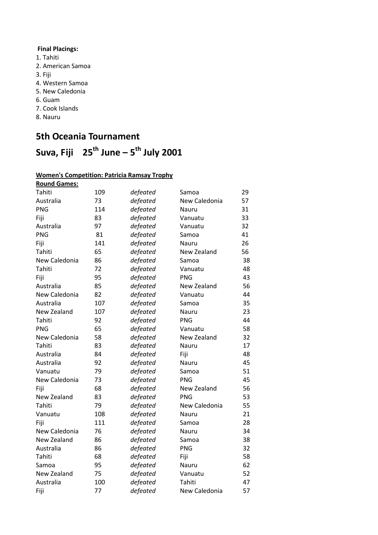## **Title of Document in Arial Regular 12pt Final Placings:**

- 1. Tahiti
- 2. American Samoa
- 3. Fiji
- **Title of Document in Arial Regular 12pt**  4. Western Samoa
- 5. New Caledonia
- 6. Guam
- 7. Cook Islands
- **Title of Document in Arial Regular 12pt**  8. Nauru

## **5th Oceania Tournament**

## **Title of Document in Arial Regular 12pt Suva, Fiji 25th June – 5 th July 2001**

#### **Women's Competition: Patricia Ramsay Trophy**

| <b>Round Games:</b> |     |          |               |    |
|---------------------|-----|----------|---------------|----|
| Tahiti              | 109 | defeated | Samoa         | 29 |
| Australia           | 73  | defeated | New Caledonia | 57 |
| <b>PNG</b>          | 114 | defeated | Nauru         | 31 |
| Fiji                | 83  | defeated | Vanuatu       | 33 |
| Australia           | 97  | defeated | Vanuatu       | 32 |
| <b>PNG</b>          | 81  | defeated | Samoa         | 41 |
| Fiji                | 141 | defeated | Nauru         | 26 |
| Tahiti              | 65  | defeated | New Zealand   | 56 |
| New Caledonia       | 86  | defeated | Samoa         | 38 |
| Tahiti              | 72  | defeated | Vanuatu       | 48 |
| Fiji                | 95  | defeated | PNG           | 43 |
| Australia           | 85  | defeated | New Zealand   | 56 |
| New Caledonia       | 82  | defeated | Vanuatu       | 44 |
| Australia           | 107 | defeated | Samoa         | 35 |
| New Zealand         | 107 | defeated | Nauru         | 23 |
| Tahiti              | 92  | defeated | <b>PNG</b>    | 44 |
| <b>PNG</b>          | 65  | defeated | Vanuatu       | 58 |
| New Caledonia       | 58  | defeated | New Zealand   | 32 |
| Tahiti              | 83  | defeated | Nauru         | 17 |
| Australia           | 84  | defeated | Fiji          | 48 |
| Australia           | 92  | defeated | Nauru         | 45 |
| Vanuatu             | 79  | defeated | Samoa         | 51 |
| New Caledonia       | 73  | defeated | PNG           | 45 |
| Fiji                | 68  | defeated | New Zealand   | 56 |
| New Zealand         | 83  | defeated | <b>PNG</b>    | 53 |
| Tahiti              | 79  | defeated | New Caledonia | 55 |
| Vanuatu             | 108 | defeated | Nauru         | 21 |
| Fiji                | 111 | defeated | Samoa         | 28 |
| New Caledonia       | 76  | defeated | Nauru         | 34 |
| New Zealand         | 86  | defeated | Samoa         | 38 |
| Australia           | 86  | defeated | PNG           | 32 |
| Tahiti              | 68  | defeated | Fiji          | 58 |
| Samoa               | 95  | defeated | Nauru         | 62 |
| New Zealand         | 75  | defeated | Vanuatu       | 52 |
| Australia           | 100 | defeated | Tahiti        | 47 |
| Fiji                | 77  | defeated | New Caledonia | 57 |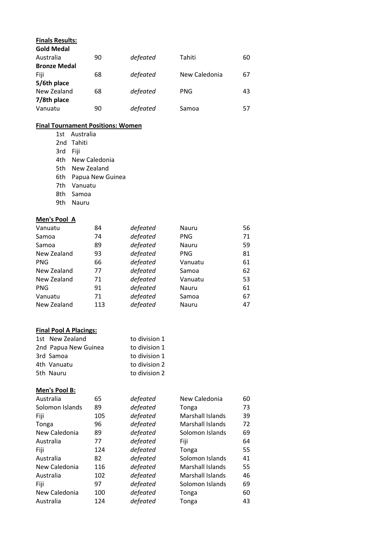| <b>Finals Results:</b><br><b>Gold Medal</b> |    |          |               |    |
|---------------------------------------------|----|----------|---------------|----|
| Australia                                   | 90 | defeated | Tahiti        | 60 |
| <b>Bronze Medal</b>                         |    |          |               |    |
| Fiji                                        | 68 | defeated | New Caledonia | 67 |
| 5/6th place                                 |    |          |               |    |
| New Zealand                                 | 68 | defeated | <b>PNG</b>    | 43 |
| 7/8th place                                 |    |          |               |    |
| Vanuatu                                     | 90 | defeated | Samoa         | 57 |
|                                             |    |          |               |    |

#### **Final Tournament Positions: Women**

1st Australia

- 2nd Tahiti
- **Title of Document in Arial Regular 12pt**  3rd Fiji
	- 4th New Caledonia
	- 5th New Zealand
	- 6th Papua New Guinea
	- 7th Vanuatu
	- 8th Samoa
	- 9th Nauru

#### **Men's Pool A**

| Vanuatu     | 84  | defeated | Nauru      | 56 |
|-------------|-----|----------|------------|----|
| Samoa       | 74  | defeated | <b>PNG</b> | 71 |
| Samoa       | 89  | defeated | Nauru      | 59 |
| New Zealand | 93  | defeated | <b>PNG</b> | 81 |
| <b>PNG</b>  | 66  | defeated | Vanuatu    | 61 |
| New Zealand | 77  | defeated | Samoa      | 62 |
| New Zealand | 71  | defeated | Vanuatu    | 53 |
| <b>PNG</b>  | 91  | defeated | Nauru      | 61 |
| Vanuatu     | 71  | defeated | Samoa      | 67 |
| New Zealand | 113 | defeated | Nauru      | 47 |

#### **Final Pool A Placings:**

| 1st New Zealand      | to division 1 |
|----------------------|---------------|
| 2nd Papua New Guinea | to division 1 |
| 3rd Samoa            | to division 1 |
| 4th Vanuatu          | to division 2 |
| 5th Nauru            | to division 2 |

#### **Men's Pool B:**

| Australia       | 65  | defeated | New Caledonia    | 60 |
|-----------------|-----|----------|------------------|----|
| Solomon Islands | 89  | defeated | Tonga            | 73 |
| Fiji            | 105 | defeated | Marshall Islands | 39 |
| Tonga           | 96  | defeated | Marshall Islands | 72 |
| New Caledonia   | 89  | defeated | Solomon Islands  | 69 |
| Australia       | 77  | defeated | Fiji             | 64 |
| Fiji            | 124 | defeated | Tonga            | 55 |
| Australia       | 82  | defeated | Solomon Islands  | 41 |
| New Caledonia   | 116 | defeated | Marshall Islands | 55 |
| Australia       | 102 | defeated | Marshall Islands | 46 |
| Fiji            | 97  | defeated | Solomon Islands  | 69 |
| New Caledonia   | 100 | defeated | Tonga            | 60 |
| Australia       | 124 | defeated | Tonga            | 43 |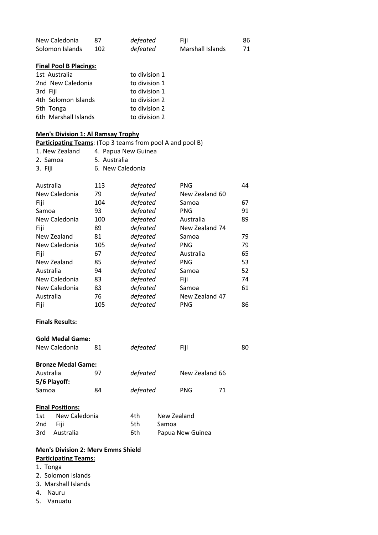| New Caledonia   |     | defeated | Fiji             | 86 |
|-----------------|-----|----------|------------------|----|
| Solomon Islands | 102 | defeated | Marshall Islands | 71 |

#### **Final Pool B Placings:**

| to division 1 |
|---------------|
| to division 1 |
| to division 1 |
| to division 2 |
| to division 2 |
| to division 2 |
|               |

#### **Men's Division 1: Al Ramsay Trophy**

### **Participating Teams**: (Top 3 teams from pool A and pool B)

- 1. New Zealand 4. Papua New Guinea
- 2. Samoa 5. Australia<br>3. Fii:
- 3. Fiji 6. New Caledonia

| Australia<br>New Caledonia | 113<br>79 | defeated<br>defeated | <b>PNG</b><br>New Zealand 60 | 44 |
|----------------------------|-----------|----------------------|------------------------------|----|
| Fiji                       | 104       | defeated             | Samoa                        | 67 |
| Samoa                      | 93        | defeated             | PNG                          | 91 |
| New Caledonia              | 100       | defeated             | Australia                    | 89 |
| Fiji                       | 89        | defeated             | New Zealand 74               |    |
| New Zealand                | 81        | defeated             | Samoa                        | 79 |
| New Caledonia              | 105       | defeated             | PNG                          | 79 |
| Fiji                       | 67        | defeated             | Australia                    | 65 |
| New Zealand                | 85        | defeated             | PNG                          | 53 |
| Australia                  | 94        | defeated             | Samoa                        | 52 |
| New Caledonia              | 83        | defeated             | Fiji                         | 74 |
| New Caledonia              | 83        | defeated             | Samoa                        | 61 |
| Australia                  | 76        | defeated             | New Zealand 47               |    |
| Fiji                       | 105       | defeated             | PNG                          | 86 |

#### **Finals Results:**

|              | <b>Gold Medal Game:</b><br>New Caledonia | 81 | defeated |             | Fiji           | 80 |  |
|--------------|------------------------------------------|----|----------|-------------|----------------|----|--|
|              | <b>Bronze Medal Game:</b>                |    |          |             |                |    |  |
| Australia    |                                          | 97 | defeated |             | New Zealand 66 |    |  |
| 5/6 Playoff: |                                          |    |          |             |                |    |  |
| Samoa        |                                          | 84 | defeated |             | <b>PNG</b>     | 71 |  |
|              |                                          |    |          |             |                |    |  |
|              | <b>Final Positions:</b>                  |    |          |             |                |    |  |
| 1st          | New Caledonia                            |    | 4th      | New Zealand |                |    |  |
| 2nd          | Fiji                                     |    | 5th      | Samoa       |                |    |  |

3rd Australia 6th Papua New Guinea

#### **Men's Division 2: Merv Emms Shield Participating Teams:**

## 1. Tonga

- 
- 2. Solomon Islands 3. Marshall Islands
- 
- 4. Nauru
- 5. Vanuatu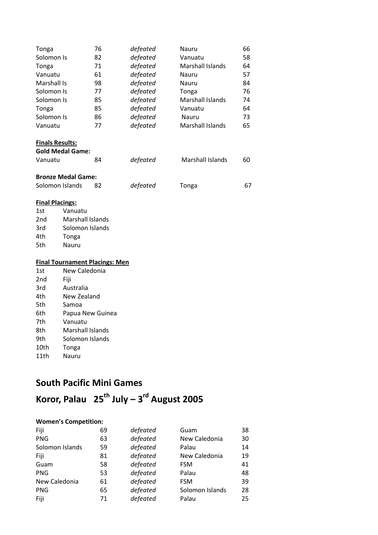| Tonga              | 76 | defeated | Nauru                   | 66 |
|--------------------|----|----------|-------------------------|----|
| Solomon Is         | 82 | defeated | Vanuatu                 | 58 |
| Tonga              | 71 | defeated | Marshall Islands        | 64 |
| Vanuatu            | 61 | defeated | Nauru                   | 57 |
| <b>Marshall Is</b> | 98 | defeated | Nauru                   | 84 |
| Solomon Is         | 77 | defeated | Tonga                   | 76 |
| Solomon Is         | 85 | defeated | <b>Marshall Islands</b> | 74 |
| Tonga              | 85 | defeated | Vanuatu                 | 64 |
| Solomon Is         | 86 | defeated | Nauru                   | 73 |
| Vanuatu            | 77 | defeated | Marshall Islands        | 65 |
|                    |    |          |                         |    |

### **Finals Results:**

| <b>Gold Medal Game:</b>   |     |          |                  |    |
|---------------------------|-----|----------|------------------|----|
| Vanuatu                   | 84  | defeated | Marshall Islands | 60 |
| <b>Bronze Medal Game:</b> |     |          |                  |    |
| Solomon Islands           | 82. | defeated | Tonga            | 67 |

#### **Final Placings:**

| 1st             | Vanuatu          |
|-----------------|------------------|
| 2 <sub>nd</sub> | Marshall Islands |
| 3rd             | Solomon Islands  |
| 4th             | Tonga            |
| 5th             | Nauru            |

#### **Final Tournament Placings: Men**

| 1st             | New Caledonia    |
|-----------------|------------------|
| 2 <sub>nd</sub> | Fiji             |
| 3rd             | Australia        |
| 4th             | New Zealand      |
| 5th             | Samoa            |
| 6th             | Papua New Guinea |
| 7th             | Vanuatu          |
| 8th             | Marshall Islands |
| 9th             | Solomon Islands  |
| 10th            | Tonga            |
| 11th            | Nauru            |

## **South Pacific Mini Games**

## **Koror, Palau 25th July – 3 rd August 2005**

#### **Women's Competition:**

| Fiji            | 69 | defeated | Guam            | 38 |
|-----------------|----|----------|-----------------|----|
| <b>PNG</b>      | 63 | defeated | New Caledonia   | 30 |
| Solomon Islands | 59 | defeated | Palau           | 14 |
| Fiji            | 81 | defeated | New Caledonia   | 19 |
| Guam            | 58 | defeated | <b>FSM</b>      | 41 |
| <b>PNG</b>      | 53 | defeated | Palau           | 48 |
| New Caledonia   | 61 | defeated | <b>FSM</b>      | 39 |
| <b>PNG</b>      | 65 | defeated | Solomon Islands | 28 |
| Fiji            | 71 | defeated | Palau           | 25 |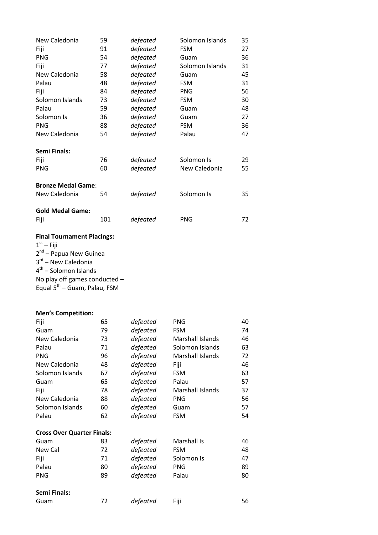| New Caledonia             | 59  | defeated | Solomon Islands | 35 |
|---------------------------|-----|----------|-----------------|----|
| Fiji                      | 91  | defeated | <b>FSM</b>      | 27 |
| <b>PNG</b>                | 54  | defeated | Guam            | 36 |
| Fiji                      | 77  | defeated | Solomon Islands | 31 |
| New Caledonia             | 58  | defeated | Guam            | 45 |
| Palau                     | 48  | defeated | <b>FSM</b>      | 31 |
| Fiji                      | 84  | defeated | <b>PNG</b>      | 56 |
| Solomon Islands           | 73  | defeated | <b>FSM</b>      | 30 |
| Palau                     | 59  | defeated | Guam            | 48 |
| Solomon Is                | 36  | defeated | Guam            | 27 |
| <b>PNG</b>                | 88  | defeated | <b>FSM</b>      | 36 |
| New Caledonia             | 54  | defeated | Palau           | 47 |
|                           |     |          |                 |    |
| <b>Semi Finals:</b>       |     |          |                 |    |
| Fiji                      | 76  | defeated | Solomon Is      | 29 |
| <b>PNG</b>                | 60  | defeated | New Caledonia   | 55 |
|                           |     |          |                 |    |
| <b>Bronze Medal Game:</b> |     |          |                 |    |
| New Caledonia             | 54  | defeated | Solomon Is      | 35 |
|                           |     |          |                 |    |
| <b>Gold Medal Game:</b>   |     |          |                 |    |
| Fiji                      | 101 | defeated | <b>PNG</b>      | 72 |
|                           |     |          |                 |    |

## **Final Tournament Placings:**

 $1<sup>st</sup> -$  Fiji 2<sup>nd</sup> – Papua New Guinea 3<sup>rd</sup> – New Caledonia 4<sup>th</sup> – Solomon Islands No play off games conducted – Equal 5<sup>th</sup> – Guam, Palau, FSM

#### **Men's Competition:**

| Fiji                              | 65 | defeated | <b>PNG</b>       | 40 |
|-----------------------------------|----|----------|------------------|----|
| Guam                              | 79 | defeated | <b>FSM</b>       | 74 |
| New Caledonia                     | 73 | defeated | Marshall Islands | 46 |
| Palau                             | 71 | defeated | Solomon Islands  | 63 |
| <b>PNG</b>                        | 96 | defeated | Marshall Islands | 72 |
| New Caledonia                     | 48 | defeated | Fiji             | 46 |
| Solomon Islands                   | 67 | defeated | <b>FSM</b>       | 63 |
| Guam                              | 65 | defeated | Palau            | 57 |
| Fiji                              | 78 | defeated | Marshall Islands | 37 |
| New Caledonia                     | 88 | defeated | <b>PNG</b>       | 56 |
| Solomon Islands                   | 60 | defeated | Guam             | 57 |
| Palau                             | 62 | defeated | <b>FSM</b>       | 54 |
| <b>Cross Over Quarter Finals:</b> |    |          |                  |    |
| Guam                              | 83 | defeated | Marshall Is      | 46 |
| New Cal                           | 72 | defeated | <b>FSM</b>       | 48 |
| Fiji                              | 71 | defeated | Solomon Is       | 47 |
| Palau                             | 80 | defeated | <b>PNG</b>       | 89 |
| PNG                               | 89 | defeated | Palau            | 80 |
| <b>Semi Finals:</b>               |    |          |                  |    |
| Guam                              | 72 | defeated | Fiji             | 56 |
|                                   |    |          |                  |    |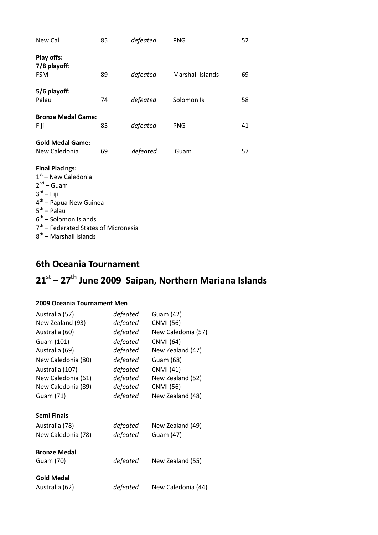| New Cal                                                                                                                                                                                                                                                    | 85 | defeated | <b>PNG</b>       | 52 |
|------------------------------------------------------------------------------------------------------------------------------------------------------------------------------------------------------------------------------------------------------------|----|----------|------------------|----|
| Play offs:<br>7/8 playoff:<br><b>FSM</b>                                                                                                                                                                                                                   | 89 | defeated | Marshall Islands | 69 |
| 5/6 playoff:<br>Palau                                                                                                                                                                                                                                      | 74 | defeated | Solomon Is       | 58 |
| <b>Bronze Medal Game:</b><br>Fiji                                                                                                                                                                                                                          | 85 | defeated | <b>PNG</b>       | 41 |
| <b>Gold Medal Game:</b><br>New Caledonia                                                                                                                                                                                                                   | 69 | defeated | Guam             | 57 |
| <b>Final Placings:</b><br>$1st$ – New Caledonia<br>$2^{nd}$ – Guam<br>$3^{rd}$ – Fiji<br>4 <sup>th</sup> – Papua New Guinea<br>$5^{th}$ – Palau<br>$6th$ – Solomon Islands<br>7 <sup>th</sup> – Federated States of Micronesia<br>$8th$ – Marshall Islands |    |          |                  |    |

## **6th Oceania Tournament**

## **21st – 27th June 2009 Saipan, Northern Mariana Islands**

#### **2009 Oceania Tournament Men**

| Australia (57)      | defeated | Guam (42)          |
|---------------------|----------|--------------------|
| New Zealand (93)    | defeated | <b>CNMI</b> (56)   |
| Australia (60)      | defeated | New Caledonia (57) |
| Guam (101)          | defeated | <b>CNMI</b> (64)   |
| Australia (69)      | defeated | New Zealand (47)   |
| New Caledonia (80)  | defeated | Guam (68)          |
| Australia (107)     | defeated | CNMI (41)          |
| New Caledonia (61)  | defeated | New Zealand (52)   |
| New Caledonia (89)  | defeated | <b>CNMI</b> (56)   |
| Guam (71)           | defeated | New Zealand (48)   |
|                     |          |                    |
| Semi Finals         |          |                    |
| Australia (78)      | defeated | New Zealand (49)   |
| New Caledonia (78)  | defeated | Guam (47)          |
|                     |          |                    |
| <b>Bronze Medal</b> |          |                    |
| Guam (70)           | defeated | New Zealand (55)   |
| <b>Gold Medal</b>   |          |                    |
| Australia (62)      | defeated | New Caledonia (44) |
|                     |          |                    |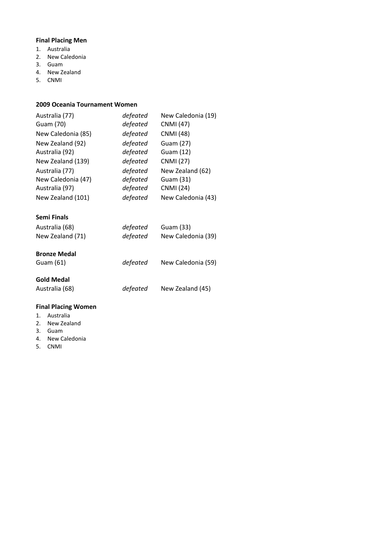#### **Final Placing Men**

- **Title of Documental Regular 12**<br> **1.** Australia
- 2. New Caledonia
- 3. Guam
- 4. New Zealand
- **Title of Document in Arial Regular 12pt**  5. CNMI

#### **2009 Oceania Tournament Women**

| Australia (77)     | defeated | New Caledonia (19) |
|--------------------|----------|--------------------|
| Guam (70)          | defeated | <b>CNMI</b> (47)   |
| New Caledonia (85) | defeated | <b>CNMI</b> (48)   |
| New Zealand (92)   | defeated | Guam (27)          |
| Australia (92)     | defeated | Guam (12)          |
| New Zealand (139)  | defeated | <b>CNMI</b> (27)   |
| Australia (77)     | defeated | New Zealand (62)   |
| New Caledonia (47) | defeated | Guam (31)          |
| Australia (97)     | defeated | <b>CNMI</b> (24)   |
| New Zealand (101)  | defeated | New Caledonia (43) |

#### **Semi Finals**

| Australia (68)      | defeated | Guam (33)          |
|---------------------|----------|--------------------|
| New Zealand (71)    | defeated | New Caledonia (39) |
|                     |          |                    |
| <b>Bronze Medal</b> |          |                    |
|                     |          |                    |
| Guam (61)           | defeated | New Caledonia (59) |
|                     |          |                    |

#### **Gold Medal**

Australia (68) *defeated* New Zealand (45)

#### **Final Placing Women**

- 1. Australia
- 2. New Zealand
- 3. Guam
- 4. New Caledonia
- 5. CNMI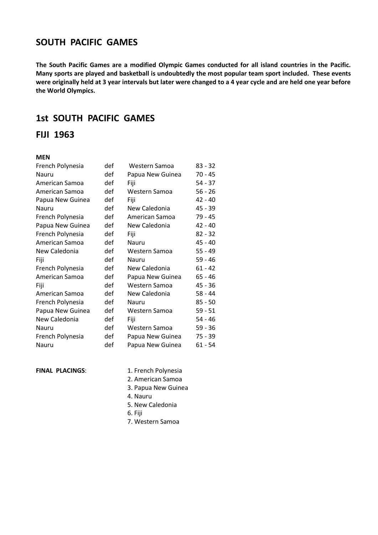## **Title of Document in Arial Regular 12pt SOUTH PACIFIC GAMES**

were originally held at 3 year intervals but later were changed to a 4 year cycle and are held one year before **The South Pacific Games are a modified Olympic Games conducted for all island countries in the Pacific. Many sports are played and basketball is undoubtedly the most popular team sport included. These events the World Olympics.**

## **1st SOUTH PACIFIC GAMES**

#### **FIJI 1963**

#### **MEN**

| French Polynesia | def | Western Samoa    | $83 - 32$ |
|------------------|-----|------------------|-----------|
| Nauru            | def | Papua New Guinea | $70 - 45$ |
| American Samoa   | def | Fiji             | $54 - 37$ |
| American Samoa   | def | Western Samoa    | $56 - 26$ |
| Papua New Guinea | def | Fiji             | $42 - 40$ |
| Nauru            | def | New Caledonia    | 45 - 39   |
| French Polynesia | def | American Samoa   | 79 - 45   |
| Papua New Guinea | def | New Caledonia    | $42 - 40$ |
| French Polynesia | def | Fiji             | $82 - 32$ |
| American Samoa   | def | Nauru            | 45 - 40   |
| New Caledonia    | def | Western Samoa    | $55 - 49$ |
| Fiji             | def | Nauru            | $59 - 46$ |
| French Polynesia | def | New Caledonia    | $61 - 42$ |
| American Samoa   | def | Papua New Guinea | $65 - 46$ |
| Fiji             | def | Western Samoa    | $45 - 36$ |
| American Samoa   | def | New Caledonia    | 58 - 44   |
| French Polynesia | def | Nauru            | $85 - 50$ |
| Papua New Guinea | def | Western Samoa    | $59 - 51$ |
| New Caledonia    | def | Fiji             | $54 - 46$ |
| Nauru            | def | Western Samoa    | $59 - 36$ |
| French Polynesia | def | Papua New Guinea | 75 - 39   |
| Nauru            | def | Papua New Guinea | $61 - 54$ |

- **FINAL PLACINGS:** 1. French Polynesia
	- 2. American Samoa
	- 3. Papua New Guinea
	- 4. Nauru
	- 5. New Caledonia
	- 6. Fiji
	- 7. Western Samoa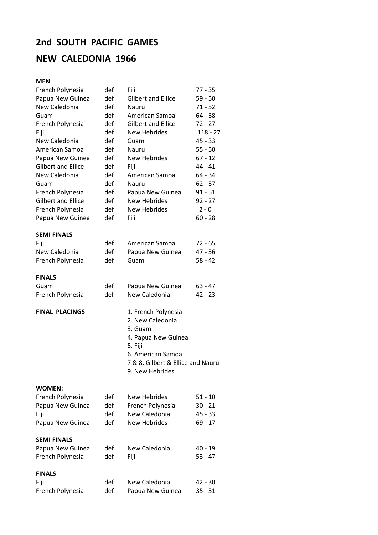## **2nd SOUTH PACIFIC GAMES**

## **NEW CALEDONIA 1966**

#### **Title of Document in Arial Regular 12pt MEN**

| French Polynesia          | def | Fiji                              | 77 - 35    |
|---------------------------|-----|-----------------------------------|------------|
| Papua New Guinea          | def | <b>Gilbert and Ellice</b>         | $59 - 50$  |
| New Caledonia             | def | Nauru                             | $71 - 52$  |
| Guam                      | def | American Samoa                    | 64 - 38    |
| French Polynesia          | def | <b>Gilbert and Ellice</b>         | $72 - 27$  |
| Fiji                      | def | <b>New Hebrides</b>               | $118 - 27$ |
| New Caledonia             | def | Guam                              | $45 - 33$  |
| American Samoa            | def | Nauru                             | $55 - 50$  |
| Papua New Guinea          | def | <b>New Hebrides</b>               | $67 - 12$  |
| <b>Gilbert and Ellice</b> | def | Fiji                              | $44 - 41$  |
| New Caledonia             | def | American Samoa                    | 64 - 34    |
| Guam                      | def | Nauru                             | $62 - 37$  |
| French Polynesia          | def | Papua New Guinea                  | $91 - 51$  |
| <b>Gilbert and Ellice</b> | def | <b>New Hebrides</b>               | $92 - 27$  |
| French Polynesia          | def | <b>New Hebrides</b>               | $2 - 0$    |
| Papua New Guinea          | def | Fiji                              | $60 - 28$  |
|                           |     |                                   |            |
| <b>SEMI FINALS</b>        |     |                                   |            |
| Fiji                      | def | American Samoa                    | $72 - 65$  |
| New Caledonia             | def | Papua New Guinea                  | 47 - 36    |
| French Polynesia          | def | Guam                              | $58 - 42$  |
|                           |     |                                   |            |
| <b>FINALS</b>             |     |                                   |            |
| Guam                      | def | Papua New Guinea                  | $63 - 47$  |
| French Polynesia          | def | New Caledonia                     | $42 - 23$  |
|                           |     |                                   |            |
| <b>FINAL PLACINGS</b>     |     | 1. French Polynesia               |            |
|                           |     | 2. New Caledonia                  |            |
|                           |     | 3. Guam                           |            |
|                           |     | 4. Papua New Guinea               |            |
|                           |     | 5. Fiji                           |            |
|                           |     | 6. American Samoa                 |            |
|                           |     | 7 & 8. Gilbert & Ellice and Nauru |            |
|                           |     | 9. New Hebrides                   |            |
|                           |     |                                   |            |
| <b>WOMEN:</b>             |     |                                   |            |
| French Polynesia          | def | New Hebrides                      | $51 - 10$  |
| Papua New Guinea          | def | French Polynesia                  | $30 - 21$  |
| Fiji                      | def | New Caledonia                     | $45 - 33$  |
| Papua New Guinea          | def | <b>New Hebrides</b>               | $69 - 17$  |
|                           |     |                                   |            |
| <b>SEMI FINALS</b>        |     |                                   |            |
| Papua New Guinea          | def | New Caledonia                     | 40 - 19    |
| French Polynesia          | def | Fiji                              | $53 - 47$  |
|                           |     |                                   |            |
| <b>FINALS</b>             |     | New Caledonia                     |            |
| Fiji                      | def |                                   | 42 - 30    |
| French Polynesia          | def | Papua New Guinea                  | $35 - 31$  |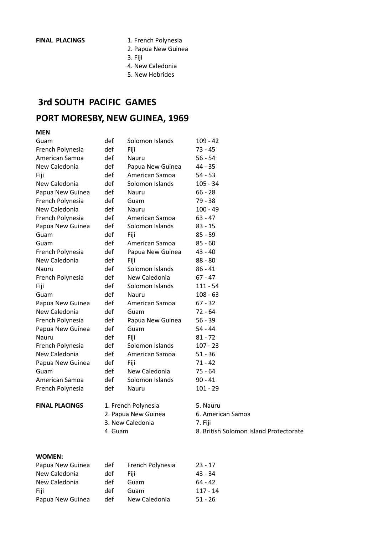- **FINAL PLACINGS** 1. French Polynesia
- **Title of Document in Arial Regular 12pt**  2. Papua New Guinea
	- 3. Fiji
	- 4. New Caledonia
- **Title of Document in Arial Regular 12pt**  5. New Hebrides

## **3rd SOUTH PACIFIC GAMES**

## **PORT MORESBY, NEW GUINEA, 1969**

#### **MEN**

| Guam                  | def     | Solomon Islands     | $109 - 42$                             |
|-----------------------|---------|---------------------|----------------------------------------|
| French Polynesia      | def     | Fiji                | $73 - 45$                              |
| American Samoa        | def     | Nauru               | $56 - 54$                              |
| New Caledonia         | def     | Papua New Guinea    | 44 - 35                                |
| Fiji                  | def     | American Samoa      | $54 - 53$                              |
| New Caledonia         | def     | Solomon Islands     | $105 - 34$                             |
| Papua New Guinea      | def     | Nauru               | $66 - 28$                              |
| French Polynesia      | def     | Guam                | $79 - 38$                              |
| New Caledonia         | def     | Nauru               | $100 - 49$                             |
| French Polynesia      | def     | American Samoa      | $63 - 47$                              |
| Papua New Guinea      | def     | Solomon Islands     | $83 - 15$                              |
| Guam                  | def     | Fiji                | $85 - 59$                              |
| Guam                  | def     | American Samoa      | $85 - 60$                              |
| French Polynesia      | def     | Papua New Guinea    | $43 - 40$                              |
| New Caledonia         | def     | Fiji                | $88 - 80$                              |
| Nauru                 | def     | Solomon Islands     | $86 - 41$                              |
| French Polynesia      | def     | New Caledonia       | $67 - 47$                              |
| Fiji                  | def     | Solomon Islands     | $111 - 54$                             |
| Guam                  | def     | Nauru               | $108 - 63$                             |
| Papua New Guinea      | def     | American Samoa      | $67 - 32$                              |
| New Caledonia         | def     | Guam                | $72 - 64$                              |
| French Polynesia      | def     | Papua New Guinea    | $56 - 39$                              |
| Papua New Guinea      | def     | Guam                | $54 - 44$                              |
| Nauru                 | def     | Fiji                | $81 - 72$                              |
| French Polynesia      | def     | Solomon Islands     | $107 - 23$                             |
| New Caledonia         | def     | American Samoa      | $51 - 36$                              |
| Papua New Guinea      | def     | Fiji                | $71 - 42$                              |
| Guam                  | def     | New Caledonia       | 75 - 64                                |
| American Samoa        | def     | Solomon Islands     | $90 - 41$                              |
| French Polynesia      | def     | Nauru               | $101 - 29$                             |
| <b>FINAL PLACINGS</b> |         | 1. French Polynesia | 5. Nauru                               |
|                       |         | 2. Papua New Guinea | 6. American Samoa                      |
|                       |         | 3. New Caledonia    | 7. Fiji                                |
|                       | 4. Guam |                     | 8. British Solomon Island Protectorate |

#### **WOMEN:**

| Papua New Guinea | def | French Polynesia | $23 - 17$ |
|------------------|-----|------------------|-----------|
| New Caledonia    | def | Fiii             | $43 - 34$ |
| New Caledonia    | def | Guam             | $64 - 42$ |
| Fiii             | def | Guam             | 117 - 14  |
| Papua New Guinea | def | New Caledonia    | $51 - 26$ |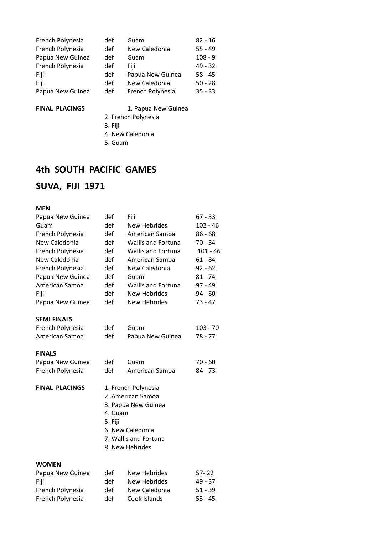| French Polynesia | def | Guam             | $82 - 16$ |
|------------------|-----|------------------|-----------|
| French Polynesia | def | New Caledonia    | $55 - 49$ |
| Papua New Guinea | def | Guam             | $108 - 9$ |
| French Polynesia | def | Fiii             | $49 - 32$ |
| Fiji             | def | Papua New Guinea | $58 - 45$ |
| Fiji             | def | New Caledonia    | $50 - 28$ |
| Papua New Guinea | def | French Polynesia | $35 - 33$ |

#### FINAL PLACINGS 1. Papua New Guinea

- **Title of Document in Arial Regular 12pt**  2. French Polynesia
	- 3. Fiji
	- 4. New Caledonia
	- 5. Guam

## **4th SOUTH PACIFIC GAMES**

## **SUVA, FIJI 1971**

## **MEN**

| Papua New Guinea      | def                | Fiji                                                                                                                            | $67 - 53$  |
|-----------------------|--------------------|---------------------------------------------------------------------------------------------------------------------------------|------------|
| Guam                  | def                | <b>New Hebrides</b>                                                                                                             | $102 - 46$ |
| French Polynesia      | def                | American Samoa                                                                                                                  | $86 - 68$  |
| New Caledonia         | def                | <b>Wallis and Fortuna</b>                                                                                                       | $70 - 54$  |
| French Polynesia      | def                | <b>Wallis and Fortuna</b>                                                                                                       | $101 - 46$ |
| New Caledonia         | def                | American Samoa                                                                                                                  | $61 - 84$  |
| French Polynesia      | def                | New Caledonia                                                                                                                   | $92 - 62$  |
| Papua New Guinea      | def                | Guam                                                                                                                            | $81 - 74$  |
| American Samoa        | def                | <b>Wallis and Fortuna</b>                                                                                                       | $97 - 49$  |
| Fiji                  | def                | <b>New Hebrides</b>                                                                                                             | $94 - 60$  |
| Papua New Guinea      | def                | New Hebrides                                                                                                                    | 73 - 47    |
| <b>SEMI FINALS</b>    |                    |                                                                                                                                 |            |
| French Polynesia      | def                | Guam                                                                                                                            | $103 - 70$ |
| American Samoa        | def                | Papua New Guinea                                                                                                                | 78 - 77    |
| <b>FINALS</b>         |                    |                                                                                                                                 |            |
| Papua New Guinea      | def                | Guam                                                                                                                            | $70 - 60$  |
| French Polynesia      | def                | American Samoa                                                                                                                  | 84 - 73    |
| <b>FINAL PLACINGS</b> | 4. Guam<br>5. Fiji | 1. French Polynesia<br>2. American Samoa<br>3. Papua New Guinea<br>6. New Caledonia<br>7. Wallis and Fortuna<br>8. New Hebrides |            |
| <b>WOMEN</b>          |                    |                                                                                                                                 |            |
| Papua New Guinea      | def                | <b>New Hebrides</b>                                                                                                             | $57 - 22$  |
| Fiji                  | def                | <b>New Hebrides</b>                                                                                                             | 49 - 37    |
| French Polynesia      | def                | New Caledonia                                                                                                                   | $51 - 39$  |
| French Polynesia      | def                | Cook Islands                                                                                                                    | $53 - 45$  |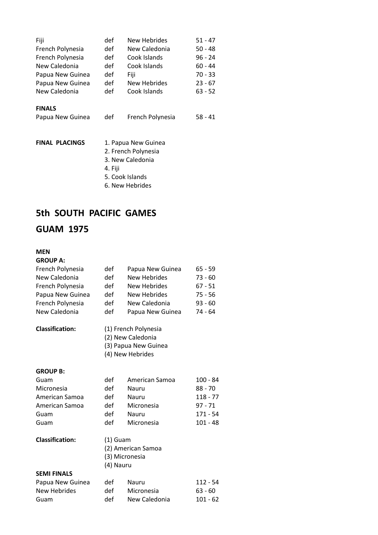| Fiji                  | def     | New Hebrides        | $51 - 47$ |
|-----------------------|---------|---------------------|-----------|
| French Polynesia      | def     | New Caledonia       | $50 - 48$ |
| French Polynesia      | def     | Cook Islands        | 96 - 24   |
| New Caledonia         | def     | Cook Islands        | $60 - 44$ |
| Papua New Guinea      | def     | Fiji                | 70 - 33   |
| Papua New Guinea      | def     | New Hebrides        | $23 - 67$ |
| New Caledonia         | def     | Cook Islands        | $63 - 52$ |
| <b>FINALS</b>         |         |                     |           |
| Papua New Guinea      | def     | French Polynesia    | $58 - 41$ |
|                       |         |                     |           |
| <b>FINAL PLACINGS</b> |         | 1. Papua New Guinea |           |
|                       |         | 2. French Polynesia |           |
|                       |         | 3. New Caledonia    |           |
|                       | 4. Fiji |                     |           |
|                       |         | 5. Cook Islands     |           |
|                       |         |                     |           |

6. New Hebrides

## **5th SOUTH PACIFIC GAMES**

## **GUAM 1975**

#### **MEN**

**GROUP A:**

| French Polynesia       | def        | Papua New Guinea     | $65 - 59$  |
|------------------------|------------|----------------------|------------|
| New Caledonia          | def        | New Hebrides         | $73 - 60$  |
| French Polynesia       | def        | <b>New Hebrides</b>  | $67 - 51$  |
| Papua New Guinea       | def        | New Hebrides         | $75 - 56$  |
| French Polynesia       | def        | New Caledonia        | $93 - 60$  |
| New Caledonia          | def        | Papua New Guinea     | 74 - 64    |
| <b>Classification:</b> |            | (1) French Polynesia |            |
|                        |            | (2) New Caledonia    |            |
|                        |            | (3) Papua New Guinea |            |
|                        |            | (4) New Hebrides     |            |
| <b>GROUP B:</b>        |            |                      |            |
| Guam                   | def        | American Samoa       | $100 - 84$ |
| Micronesia             | def        | Nauru                | 88 - 70    |
| American Samoa         | def        | Nauru                | $118 - 77$ |
| American Samoa         | def        | Micronesia           | $97 - 71$  |
| Guam                   | def        | Nauru                | $171 - 54$ |
| Guam                   | def        | Micronesia           | $101 - 48$ |
| <b>Classification:</b> | $(1)$ Guam |                      |            |
|                        |            | (2) American Samoa   |            |
|                        |            | (3) Micronesia       |            |
|                        | (4) Nauru  |                      |            |
| <b>SEMI FINALS</b>     |            |                      |            |
| Papua New Guinea       | def        | Nauru                | $112 - 54$ |
| <b>New Hebrides</b>    | def        | Micronesia           | 63 - 60    |
| Guam                   | def        | New Caledonia        | $101 - 62$ |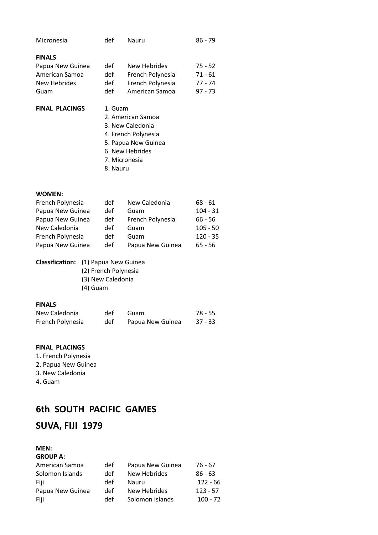| Micronesia            | def               | Nauru               | 86 - 79 |  |
|-----------------------|-------------------|---------------------|---------|--|
| <b>FINALS</b>         |                   |                     |         |  |
| Papua New Guinea      | def               | New Hebrides        | 75 - 52 |  |
| American Samoa        | def               | French Polynesia    | 71 - 61 |  |
| New Hebrides          | def               | French Polynesia    | 77 - 74 |  |
| Guam                  | def               | American Samoa      | 97 - 73 |  |
| <b>FINAL PLACINGS</b> | 1. Guam           |                     |         |  |
|                       | 2. American Samoa |                     |         |  |
|                       | 3. New Caledonia  |                     |         |  |
|                       |                   | 4. French Polynesia |         |  |
|                       |                   | 5. Papua New Guinea |         |  |
|                       |                   | 6. New Hebrides     |         |  |
|                       |                   | 7. Micronesia       |         |  |
|                       | 8. Nauru          |                     |         |  |
|                       |                   |                     |         |  |
|                       |                   |                     |         |  |

#### **WOMEN:**

| def |                  | $68 - 61$     |
|-----|------------------|---------------|
| def | Guam             | $104 - 31$    |
| def | French Polynesia | $66 - 56$     |
| def | Guam             | $105 - 50$    |
| def | Guam             | $120 - 35$    |
| def | Papua New Guinea | $65 - 56$     |
|     |                  | New Caledonia |

#### **Classification:** (1) Papua New Guinea

(2) French Polynesia (3) New Caledonia (4) Guam

#### **FINALS**

| New Caledonia    | def | Guam             | 78 - 55   |
|------------------|-----|------------------|-----------|
| French Polynesia | def | Papua New Guinea | $37 - 33$ |

#### **FINAL PLACINGS**

- 1. French Polynesia
- 2. Papua New Guinea
- 3. New Caledonia
- 4. Guam

## **6th SOUTH PACIFIC GAMES**

## **SUVA, FIJI 1979**

#### **MEN: GROUP A:**

| American Samoa   | def | Papua New Guinea | 76 - 67    |
|------------------|-----|------------------|------------|
| Solomon Islands  | def | New Hebrides     | $86 - 63$  |
| Fiji             | def | Nauru            | $122 - 66$ |
| Papua New Guinea | def | New Hebrides     | $123 - 57$ |
| Fiji             | def | Solomon Islands  | $100 - 72$ |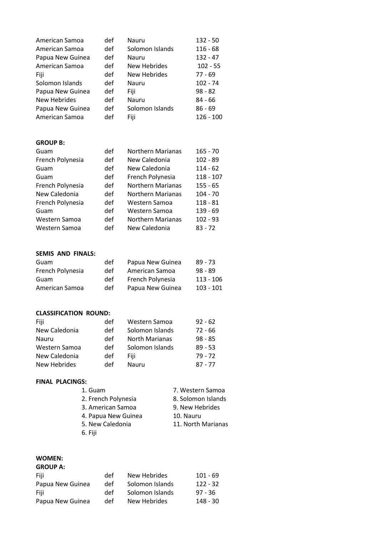| Solomon Islands<br>$116 - 68$          |
|----------------------------------------|
| $132 - 47$<br>Nauru                    |
| <b>New Hebrides</b><br>$102 - 55$      |
| <b>New Hebrides</b><br>77 - 69         |
| $102 - 74$<br>Nauru                    |
| $98 - 82$                              |
| 84 - 66<br>Nauru                       |
| Solomon Islands<br>$86 - 69$           |
| 126 - 100                              |
|                                        |
|                                        |
|                                        |
| Northern Marianas<br>$165 - 70$        |
| New Caledonia<br>$102 - 89$            |
| New Caledonia<br>$114 - 62$            |
| French Polynesia<br>118 - 107          |
| <b>Northern Marianas</b><br>155 - 65   |
| <b>Northern Marianas</b><br>$104 - 70$ |
| Western Samoa<br>$118 - 81$            |
| Western Samoa<br>139 - 69              |
| <b>Northern Marianas</b><br>$102 - 93$ |
|                                        |

#### **SEMIS AND FINALS:**

| Guam             | def | Papua New Guinea | $89 - 73$   |
|------------------|-----|------------------|-------------|
| French Polynesia | def | American Samoa   | $98 - 89$   |
| Guam             | def | French Polynesia | $113 - 106$ |
| American Samoa   | def | Papua New Guinea | $103 - 101$ |

#### **CLASSIFICATION ROUND:**

| Fiji          | def | Western Samoa         | $92 - 62$ |
|---------------|-----|-----------------------|-----------|
| New Caledonia | def | Solomon Islands       | $72 - 66$ |
| Nauru         | def | <b>North Marianas</b> | $98 - 85$ |
| Western Samoa | def | Solomon Islands       | $89 - 53$ |
| New Caledonia | def | Fiii                  | $79 - 72$ |
| New Hebrides  | def | Nauru                 | $87 - 77$ |

#### **FINAL PLACINGS:**

| 1. Guam             | 7. Western Samoa   |
|---------------------|--------------------|
| 2. French Polynesia | 8. Solomon Islands |
| 3. American Samoa   | 9. New Hebrides    |
| 4. Papua New Guinea | 10. Nauru          |
| 5. New Caledonia    | 11. North Marianas |
| 6. Fiji             |                    |

### **WOMEN:**

## **GROUP A:**

| Fiji             | def | New Hebrides    | 101 - 69   |
|------------------|-----|-----------------|------------|
| Papua New Guinea | def | Solomon Islands | $122 - 32$ |
| Fiji             | def | Solomon Islands | 97 - 36    |
| Papua New Guinea | def | New Hebrides    | $148 - 30$ |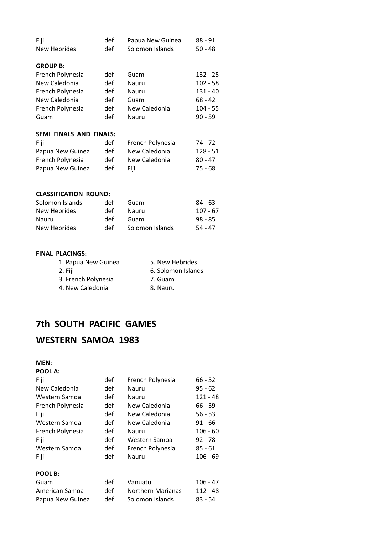| Fiji                    | def          | Papua New Guinea | $88 - 91$  |
|-------------------------|--------------|------------------|------------|
| New Hebrides            | def          | Solomon Islands  | $50 - 48$  |
|                         |              |                  |            |
| <b>GROUP B:</b>         |              |                  |            |
| French Polynesia        | def          | Guam             | 132 - 25   |
| New Caledonia           | def          | Nauru            | $102 - 58$ |
| French Polynesia        | def          | Nauru            | $131 - 40$ |
| New Caledonia           | def          | Guam             | 68 - 42    |
| French Polynesia        | def          | New Caledonia    | $104 - 55$ |
| Guam                    | def          | Nauru            | $90 - 59$  |
| SEMI FINALS AND FINALS: |              |                  |            |
|                         |              |                  |            |
| Fiji                    | def          | French Polynesia | 74 - 72    |
|                         | $\mathbf{r}$ |                  |            |

| Papua New Guinea | def | New Caledonia | 128 - 51 |
|------------------|-----|---------------|----------|
| French Polynesia | def | New Caledonia | 80 - 47  |
| Papua New Guinea | def | Fiii.         | 75 - 68  |

#### **CLASSIFICATION ROUND:**

| Solomon Islands | def | Guam            | $84 - 63$ |
|-----------------|-----|-----------------|-----------|
| New Hebrides    | det | Nauru           | 107 - 67  |
| Nauru           | def | Guam            | $98 - 85$ |
| New Hebrides    | def | Solomon Islands | $54 - 47$ |

#### **FINAL PLACINGS:**

| 1. Papua New Guinea | 5. New Hebrides    |
|---------------------|--------------------|
| 2. Fiji             | 6. Solomon Islands |
| 3. French Polynesia | 7. Guam            |
| 4. New Caledonia    | 8. Nauru           |

## **7th SOUTH PACIFIC GAMES**

## **WESTERN SAMOA 1983**

**MEN:**

| <b>POOL A:</b> |
|----------------|
|----------------|

| Fiji             | def | French Polynesia         | $66 - 52$  |
|------------------|-----|--------------------------|------------|
| New Caledonia    | def | Nauru                    | $95 - 62$  |
| Western Samoa    | def | Nauru                    | $121 - 48$ |
| French Polynesia | def | New Caledonia            | $66 - 39$  |
| Fiji             | def | New Caledonia            | $56 - 53$  |
| Western Samoa    | def | New Caledonia            | $91 - 66$  |
| French Polynesia | def | Nauru                    | $106 - 60$ |
| Fiji             | def | Western Samoa            | $92 - 78$  |
| Western Samoa    | def | French Polynesia         | $85 - 61$  |
| Fiji             | def | Nauru                    | $106 - 69$ |
| POOL B:          |     |                          |            |
| Guam             | def | Vanuatu                  | $106 - 47$ |
| American Samoa   | def | <b>Northern Marianas</b> | $112 - 48$ |
| Papua New Guinea | def | Solomon Islands          | $83 - 54$  |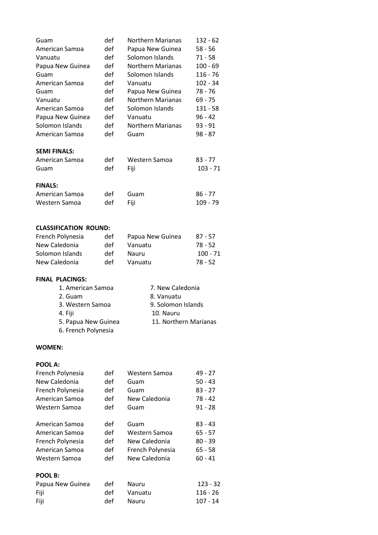| Guam                | def | Northern Marianas        | 132 - 62   |
|---------------------|-----|--------------------------|------------|
| American Samoa      | def | Papua New Guinea         | $58 - 56$  |
| Vanuatu             | def | Solomon Islands          | $71 - 58$  |
| Papua New Guinea    | def | <b>Northern Marianas</b> | 100 - 69   |
| Guam                | def | Solomon Islands          | 116 - 76   |
| American Samoa      | def | Vanuatu                  | 102 - 34   |
| Guam                | def | Papua New Guinea         | 78 - 76    |
| Vanuatu             | def | <b>Northern Marianas</b> | $69 - 75$  |
| American Samoa      | def | Solomon Islands          | 131 - 58   |
| Papua New Guinea    | def | Vanuatu                  | $96 - 42$  |
| Solomon Islands     | def | <b>Northern Marianas</b> | $93 - 91$  |
| American Samoa      | def | Guam                     | $98 - 87$  |
| <b>SEMI FINALS:</b> |     |                          |            |
| American Samoa      | def | Western Samoa            | $83 - 77$  |
| Guam                | def | Fiji                     | $103 - 71$ |
| <b>FINALS:</b>      |     |                          |            |
| American Samoa      | def | Guam                     | $86 - 77$  |
| Western Samoa       | def | Fiji                     | 109 - 79   |

#### **CLASSIFICATION ROUND:**

| French Polynesia | def | Papua New Guinea | $87 - 57$  |
|------------------|-----|------------------|------------|
| New Caledonia    | def | Vanuatu          | 78 - 52    |
| Solomon Islands  | def | Nauru            | $100 - 71$ |
| New Caledonia    | def | Vanuatu          | 78 - 52    |

#### **FINAL PLACINGS:**

| 1. American Samoa   | 7. New Caledonia      |
|---------------------|-----------------------|
| 2. Guam             | 8. Vanuatu            |
| 3. Western Samoa    | 9. Solomon Islands    |
| 4. Fiji             | 10. Nauru             |
| 5. Papua New Guinea | 11. Northern Marianas |
| 6. French Polynesia |                       |
|                     |                       |

#### **WOMEN:**

#### **POOL A:**

| French Polynesia | def | Western Samoa    | 49 - 27    |
|------------------|-----|------------------|------------|
| New Caledonia    | def | Guam             | 50 - 43    |
| French Polynesia | def | Guam             | $83 - 27$  |
| American Samoa   | def | New Caledonia    | 78 - 42    |
| Western Samoa    | def | Guam             | $91 - 28$  |
| American Samoa   | def | Guam             | $83 - 43$  |
| American Samoa   | def | Western Samoa    | 65 - 57    |
| French Polynesia | def | New Caledonia    | 80 - 39    |
| American Samoa   | def | French Polynesia | 65 - 58    |
| Western Samoa    | def | New Caledonia    | $60 - 41$  |
| POOL B:          |     |                  |            |
| Papua New Guinea | def | Nauru            | $123 - 32$ |
| Fiji             | def | Vanuatu          | $116 - 26$ |
| Fiji             | def | Nauru            | $107 - 14$ |
|                  |     |                  |            |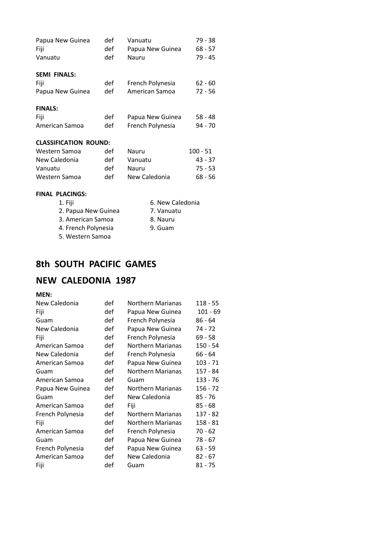| Papua New Guinea             | def | Vanuatu          | 79 - 38    |
|------------------------------|-----|------------------|------------|
| Fiji                         | def | Papua New Guinea | $68 - 57$  |
| Vanuatu                      | def | Nauru            | 79 - 45    |
| <b>SEMI FINALS:</b>          |     |                  |            |
| Fiji                         | def | French Polynesia | $62 - 60$  |
| Papua New Guinea             | def | American Samoa   | $72 - 56$  |
| <b>FINALS:</b>               |     |                  |            |
| Fiji                         | def | Papua New Guinea | $58 - 48$  |
| American Samoa               | def | French Polynesia | 94 - 70    |
| <b>CLASSIFICATION ROUND:</b> |     |                  |            |
| Western Samoa                | def | Nauru            | $100 - 51$ |

| Western Samoa | def | Nauru         | $100 - 51$ |
|---------------|-----|---------------|------------|
| New Caledonia | def | Vanuatu       | $43 - 37$  |
| Vanuatu       | def | Nauru         | $75 - 53$  |
| Western Samoa | def | New Caledonia | 68 - 56    |

#### **FINAL PLACINGS:**

| 1. Fiji             | 6. New Caledonia |
|---------------------|------------------|
| 2. Papua New Guinea | 7. Vanuatu       |
| 3. American Samoa   | 8. Nauru         |
| 4. French Polynesia | 9. Guam          |
| 5. Western Samoa    |                  |
|                     |                  |

## **8th SOUTH PACIFIC GAMES**

## **NEW CALEDONIA 1987**

#### **MEN:**

| New Caledonia    | def | <b>Northern Marianas</b> | 118 - 55   |
|------------------|-----|--------------------------|------------|
| Fiji             | def | Papua New Guinea         | $101 - 69$ |
| Guam             | def | French Polynesia         | 86 - 64    |
| New Caledonia    | def | Papua New Guinea         | 74 - 72    |
| Fiji             | def | French Polynesia         | $69 - 58$  |
| American Samoa   | def | <b>Northern Marianas</b> | $150 - 54$ |
| New Caledonia    | def | French Polynesia         | 66 - 64    |
| American Samoa   | def | Papua New Guinea         | 103 - 71   |
| Guam             | def | <b>Northern Marianas</b> | 157 - 84   |
| American Samoa   | def | Guam                     | 133 - 76   |
| Papua New Guinea | def | <b>Northern Marianas</b> | 156 - 72   |
| Guam             | def | New Caledonia            | $85 - 76$  |
| American Samoa   | def | Fiji                     | $85 - 68$  |
| French Polynesia | def | <b>Northern Marianas</b> | 137 - 82   |
| Fiji             | def | <b>Northern Marianas</b> | 158 - 81   |
| American Samoa   | def | French Polynesia         | $70 - 62$  |
| Guam             | def | Papua New Guinea         | 78 - 67    |
| French Polynesia | def | Papua New Guinea         | 63 - 59    |
| American Samoa   | def | New Caledonia            | $82 - 67$  |
| Fiji             | def | Guam                     | $81 - 75$  |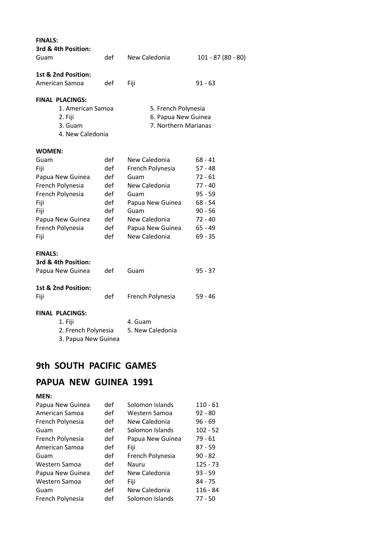| <b>FINALS:</b><br>3rd & 4th Position: |     |                      |                    |
|---------------------------------------|-----|----------------------|--------------------|
| Guam                                  | def | New Caledonia        | 101 - 87 (80 - 80) |
| 1st & 2nd Position:<br>American Samoa | def |                      | $91 - 63$          |
|                                       |     | Fiji                 |                    |
| <b>FINAL PLACINGS:</b>                |     |                      |                    |
| 1. American Samoa                     |     | 5. French Polynesia  |                    |
| 2. Fiji                               |     | 6. Papua New Guinea  |                    |
| 3. Guam                               |     | 7. Northern Marianas |                    |
| 4. New Caledonia                      |     |                      |                    |
| <b>WOMEN:</b>                         |     |                      |                    |
| Guam                                  | def | New Caledonia        | $68 - 41$          |
| Fiji                                  | def | French Polynesia     | $57 - 48$          |
| Papua New Guinea                      | def | Guam                 | $72 - 61$          |
| French Polynesia                      | def | New Caledonia        | $77 - 40$          |
| French Polynesia                      | def | Guam                 | $95 - 59$          |
| Fiji                                  | def | Papua New Guinea     | $68 - 54$          |
| Fiji                                  | def | Guam                 | $90 - 56$          |
| Papua New Guinea                      | def | New Caledonia        | 72 - 40            |
| French Polynesia                      | def | Papua New Guinea     | $65 - 49$          |
| Fiji                                  | def | New Caledonia        | $69 - 35$          |
| <b>FINALS:</b>                        |     |                      |                    |
| 3rd & 4th Position:                   |     |                      |                    |
| Papua New Guinea                      | def | Guam                 | 95 - 37            |
|                                       |     |                      |                    |
| 1st & 2nd Position:                   |     |                      |                    |
| Fiji                                  | def | French Polynesia     | 59 - 46            |
| <b>FINAL PLACINGS:</b>                |     |                      |                    |
| 1. Fiji                               |     | 4. Guam              |                    |
| 2. French Polynesia                   |     | 5. New Caledonia     |                    |
| 3. Papua New Guinea                   |     |                      |                    |

## **9th SOUTH PACIFIC GAMES**

## **PAPUA NEW GUINEA 1991**

## **MEN:**

| Papua New Guinea | def | Solomon Islands  | $110 - 61$ |
|------------------|-----|------------------|------------|
| American Samoa   | def | Western Samoa    | $92 - 80$  |
| French Polynesia | def | New Caledonia    | $96 - 69$  |
| Guam             | def | Solomon Islands  | $102 - 52$ |
| French Polynesia | def | Papua New Guinea | $79 - 61$  |
| American Samoa   | def | Fiji             | $87 - 59$  |
| Guam             | def | French Polynesia | $90 - 82$  |
| Western Samoa    | def | Nauru            | $125 - 73$ |
| Papua New Guinea | def | New Caledonia    | $93 - 59$  |
| Western Samoa    | def | Fiji             | $84 - 75$  |
| Guam             | def | New Caledonia    | $116 - 84$ |
| French Polynesia | def | Solomon Islands  | $77 - 50$  |
|                  |     |                  |            |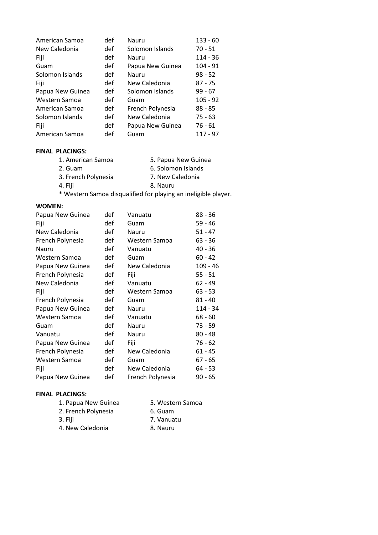| American Samoa   | def | Nauru            | $133 - 60$ |
|------------------|-----|------------------|------------|
| New Caledonia    | def | Solomon Islands  | $70 - 51$  |
| Fiji             | def | Nauru            | $114 - 36$ |
| Guam             | def | Papua New Guinea | $104 - 91$ |
| Solomon Islands  | def | Nauru            | $98 - 52$  |
| Fiji             | def | New Caledonia    | $87 - 75$  |
| Papua New Guinea | def | Solomon Islands  | $99 - 67$  |
| Western Samoa    | def | Guam             | $105 - 92$ |
| American Samoa   | def | French Polynesia | $88 - 85$  |
| Solomon Islands  | def | New Caledonia    | $75 - 63$  |
| Fiji             | def | Papua New Guinea | $76 - 61$  |
| American Samoa   | def | Guam             | $117 - 97$ |

#### **Title of Document in Arial Regular 12pt FINAL PLACINGS:**

- 1. American Samoa 5. Papua New Guinea 2. Guam 6. Solomon Islands 3. French Polynesia 7. New Caledonia 4. Fiji 8. Nauru
- \* Western Samoa disqualified for playing an ineligible player.

#### **WOMEN:**

| Papua New Guinea | def | Vanuatu          | $88 - 36$  |
|------------------|-----|------------------|------------|
| Fiji             | def | Guam             | $59 - 46$  |
| New Caledonia    | def | Nauru            | $51 - 47$  |
| French Polynesia | def | Western Samoa    | $63 - 36$  |
| Nauru            | def | Vanuatu          | $40 - 36$  |
| Western Samoa    | def | Guam             | $60 - 42$  |
| Papua New Guinea | def | New Caledonia    | $109 - 46$ |
| French Polynesia | def | Fiji             | $55 - 51$  |
| New Caledonia    | def | Vanuatu          | 62 - 49    |
| Fiji             | def | Western Samoa    | $63 - 53$  |
| French Polynesia | def | Guam             | $81 - 40$  |
| Papua New Guinea | def | Nauru            | 114 - 34   |
| Western Samoa    | def | Vanuatu          | $68 - 60$  |
| Guam             | def | Nauru            | 73 - 59    |
| Vanuatu          | def | Nauru            | $80 - 48$  |
| Papua New Guinea | def | Fiji             | $76 - 62$  |
| French Polynesia | def | New Caledonia    | $61 - 45$  |
| Western Samoa    | def | Guam             | $67 - 65$  |
| Fiji             | def | New Caledonia    | $64 - 53$  |
| Papua New Guinea | def | French Polynesia | $90 - 65$  |

#### **FINAL PLACINGS:**

| 1. Papua New Guinea | 5. Western Samoa |
|---------------------|------------------|
| 2. French Polynesia | 6. Guam          |
| 3. Fiji             | 7. Vanuatu       |
| 4. New Caledonia    | 8. Nauru         |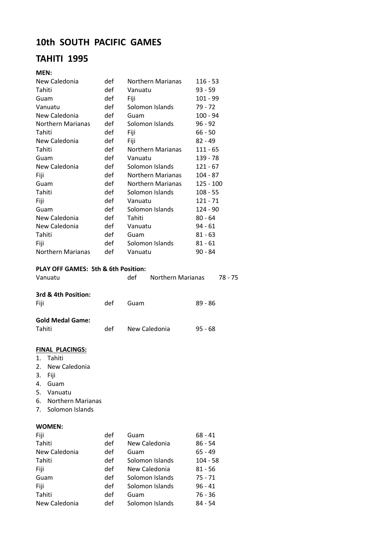## **10th SOUTH PACIFIC GAMES**

## **TAHITI 1995**

#### **MEN:**

| New Caledonia                                  | def        | <b>Northern Marianas</b>        | $116 - 53$  |  |
|------------------------------------------------|------------|---------------------------------|-------------|--|
| Tahiti                                         | def        | Vanuatu                         | $93 - 59$   |  |
| Guam                                           | def        | Fiji<br>$101 - 99$              |             |  |
| Vanuatu                                        | def        | Solomon Islands                 | 79 - 72     |  |
| New Caledonia                                  | def        | Guam                            | $100 - 94$  |  |
| <b>Northern Marianas</b>                       | def        | Solomon Islands                 | $96 - 92$   |  |
| Tahiti                                         | def        | Fiji                            | $66 - 50$   |  |
| New Caledonia                                  | def        | Fiji                            | $82 - 49$   |  |
| Tahiti                                         | def        | Northern Marianas               | $111 - 65$  |  |
| Guam                                           | def        | Vanuatu                         | 139 - 78    |  |
| New Caledonia                                  | def        | Solomon Islands                 | $121 - 67$  |  |
| Fiji                                           | def        | <b>Northern Marianas</b>        | $104 - 87$  |  |
| Guam                                           | def        | <b>Northern Marianas</b>        | $125 - 100$ |  |
| Tahiti                                         | def        | Solomon Islands                 | $108 - 55$  |  |
| Fiji                                           | def        | Vanuatu                         | $121 - 71$  |  |
| Guam                                           | def        | Solomon Islands                 | $124 - 90$  |  |
| New Caledonia                                  | def        | Tahiti                          | $80 - 64$   |  |
| New Caledonia                                  | def        | Vanuatu                         | $94 - 61$   |  |
| Tahiti                                         | def        | Guam                            | $81 - 63$   |  |
| Fiji                                           | def        | Solomon Islands                 | $81 - 61$   |  |
| <b>Northern Marianas</b>                       | def        | Vanuatu                         | $90 - 84$   |  |
| <b>PLAY OFF GAMES: 5th &amp; 6th Position:</b> |            |                                 |             |  |
| Vanuatu                                        |            | def<br><b>Northern Marianas</b> | 78 - 75     |  |
|                                                |            |                                 |             |  |
| 3rd & 4th Position:                            |            |                                 |             |  |
| Fiji                                           | def        | Guam                            | $89 - 86$   |  |
| <b>Gold Medal Game:</b>                        |            |                                 |             |  |
| Tahiti                                         | def        | New Caledonia                   | $95 - 68$   |  |
|                                                |            |                                 |             |  |
| <b>FINAL PLACINGS:</b>                         |            |                                 |             |  |
| 1.<br>Tahiti                                   |            |                                 |             |  |
| 2.<br>New Caledonia                            |            |                                 |             |  |
| 3.<br>Fiji                                     |            |                                 |             |  |
| 4.<br>Guam                                     |            |                                 |             |  |
| 5.<br>Vanuatu                                  |            |                                 |             |  |
| 6. Northern Marianas                           |            |                                 |             |  |
| Solomon Islands<br>7.                          |            |                                 |             |  |
| <b>WOMEN:</b>                                  |            |                                 |             |  |
|                                                |            |                                 |             |  |
| Fiji<br>Tahiti                                 | def<br>def | Guam<br>New Caledonia           | $68 - 41$   |  |
|                                                |            |                                 | 86 - 54     |  |
| New Caledonia                                  | def        | Guam                            | 65 - 49     |  |
| Tahiti                                         | def        | Solomon Islands                 | $104 - 58$  |  |
| Fiji                                           | def        | New Caledonia                   | $81 - 56$   |  |
| Guam                                           | def        | Solomon Islands                 | $75 - 71$   |  |
| Fiji                                           | def        | Solomon Islands                 | $96 - 41$   |  |

Fiji def Solomon Islands

Tahiti def Guam 76 - 36 New Caledonia def Solomon Islands 84 - 54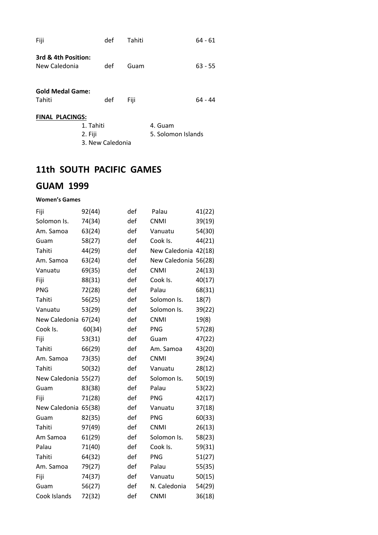| Fiji                                 | def              | Tahiti             | 64 - 61   |  |  |  |
|--------------------------------------|------------------|--------------------|-----------|--|--|--|
| 3rd & 4th Position:<br>New Caledonia | def              | Guam               | $63 - 55$ |  |  |  |
| <b>Gold Medal Game:</b><br>Tahiti    | def              | Fiji               | 64 - 44   |  |  |  |
| <b>FINAL PLACINGS:</b>               |                  |                    |           |  |  |  |
|                                      | 1. Tahiti        |                    | 4. Guam   |  |  |  |
|                                      | 2. Fiji          | 5. Solomon Islands |           |  |  |  |
|                                      | 3. New Caledonia |                    |           |  |  |  |

## **11th SOUTH PACIFIC GAMES**

## **GUAM 1999**

#### **Women's Games**

| Fiji                 | 92(44) | def | Palau                | 41(22) |
|----------------------|--------|-----|----------------------|--------|
| Solomon Is.          | 74(34) | def | <b>CNMI</b>          | 39(19) |
| Am. Samoa            | 63(24) | def | Vanuatu              | 54(30) |
| Guam                 | 58(27) | def | Cook Is.             | 44(21) |
| Tahiti               | 44(29) | def | New Caledonia 42(18) |        |
| Am. Samoa            | 63(24) | def | New Caledonia 56(28) |        |
| Vanuatu              | 69(35) | def | <b>CNMI</b>          | 24(13) |
| Fiji                 | 88(31) | def | Cook Is.             | 40(17) |
| <b>PNG</b>           | 72(28) | def | Palau                | 68(31) |
| Tahiti               | 56(25) | def | Solomon Is.          | 18(7)  |
| Vanuatu              | 53(29) | def | Solomon Is.          | 39(22) |
| New Caledonia 67(24) |        | def | <b>CNMI</b>          | 19(8)  |
| Cook Is.             | 60(34) | def | <b>PNG</b>           | 57(28) |
| Fiji                 | 53(31) | def | Guam                 | 47(22) |
| Tahiti               | 66(29) | def | Am. Samoa            | 43(20) |
| Am. Samoa            | 73(35) | def | <b>CNMI</b>          | 39(24) |
| Tahiti               | 50(32) | def | Vanuatu              | 28(12) |
| New Caledonia 55(27) |        | def | Solomon Is.          | 50(19) |
| Guam                 | 83(38) | def | Palau                | 53(22) |
| Fiji                 | 71(28) | def | <b>PNG</b>           | 42(17) |
| New Caledonia 65(38) |        | def | Vanuatu              | 37(18) |
| Guam                 | 82(35) | def | <b>PNG</b>           | 60(33) |
| Tahiti               | 97(49) | def | <b>CNMI</b>          | 26(13) |
| Am Samoa             | 61(29) | def | Solomon Is.          | 58(23) |
| Palau                | 71(40) | def | Cook Is.             | 59(31) |
| Tahiti               | 64(32) | def | <b>PNG</b>           | 51(27) |
| Am. Samoa            | 79(27) | def | Palau                | 55(35) |
| Fiji                 | 74(37) | def | Vanuatu              | 50(15) |
| Guam                 | 56(27) | def | N. Caledonia         | 54(29) |
| Cook Islands         | 72(32) | def | <b>CNMI</b>          | 36(18) |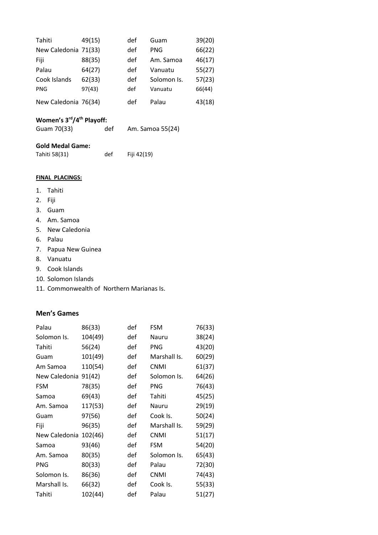| Tahiti               | 49(15) | def | Guam        | 39(20) |
|----------------------|--------|-----|-------------|--------|
| New Caledonia 71(33) |        | def | <b>PNG</b>  | 66(22) |
| Fiji                 | 88(35) | def | Am. Samoa   | 46(17) |
| Palau                | 64(27) | def | Vanuatu     | 55(27) |
| Cook Islands         | 62(33) | def | Solomon Is. | 57(23) |
| <b>PNG</b>           | 97(43) | def | Vanuatu     | 66(44) |
| New Caledonia 76(34) |        | def | Palau       | 43(18) |

#### **Title of Documental Regular 12 Women's 3rd/4th Playoff:**

| Guam 70(33) | def | Am. Samoa 55(24) |  |
|-------------|-----|------------------|--|
|-------------|-----|------------------|--|

| <b>Gold Medal Game:</b> |     |             |
|-------------------------|-----|-------------|
| Tahiti 58(31)           | def | Fiji 42(19) |

#### **FINAL PLACINGS:**

- 1. Tahiti
- 2. Fiji
- 3. Guam
- 4. Am. Samoa
- 5. New Caledonia
- 6. Palau
- 7. Papua New Guinea
- 8. Vanuatu
- 9. Cook Islands
- 10. Solomon Islands
- 11. Commonwealth of Northern Marianas Is.

#### **Men's Games**

| Palau         | 86(33)  | def | <b>FSM</b>   | 76(33) |
|---------------|---------|-----|--------------|--------|
| Solomon Is.   | 104(49) | def | Nauru        | 38(24) |
| Tahiti        | 56(24)  | def | <b>PNG</b>   | 43(20) |
| Guam          | 101(49) | def | Marshall Is. | 60(29) |
| Am Samoa      | 110(54) | def | <b>CNMI</b>  | 61(37) |
| New Caledonia | 91(42)  | def | Solomon Is.  | 64(26) |
| <b>FSM</b>    | 78(35)  | def | <b>PNG</b>   | 76(43) |
| Samoa         | 69(43)  | def | Tahiti       | 45(25) |
| Am. Samoa     | 117(53) | def | Nauru        | 29(19) |
| Guam          | 97(56)  | def | Cook Is.     | 50(24) |
| Fiji          | 96(35)  | def | Marshall Is. | 59(29) |
| New Caledonia | 102(46) | def | <b>CNMI</b>  | 51(17) |
| Samoa         | 93(46)  | def | <b>FSM</b>   | 54(20) |
| Am. Samoa     | 80(35)  | def | Solomon Is.  | 65(43) |
| <b>PNG</b>    | 80(33)  | def | Palau        | 72(30) |
| Solomon Is.   | 86(36)  | def | <b>CNMI</b>  | 74(43) |
| Marshall Is.  | 66(32)  | def | Cook Is.     | 55(33) |
| Tahiti        | 102(44) | def | Palau        | 51(27) |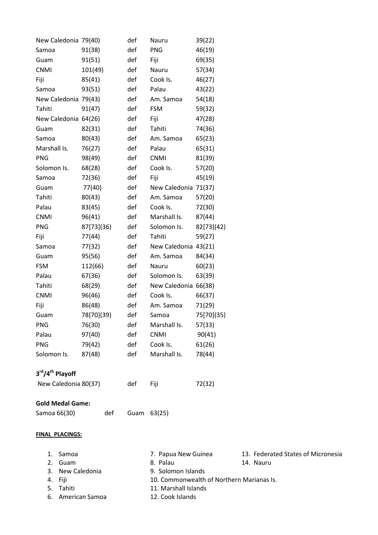| New Caledonia 79(40)        |            | def | Nauru                | 39(22)     |                                    |
|-----------------------------|------------|-----|----------------------|------------|------------------------------------|
| Samoa                       | 91(38)     | def | PNG                  | 46(19)     |                                    |
| Guam                        | 91(51)     | def | Fiji                 | 69(35)     |                                    |
| <b>CNMI</b>                 | 101(49)    | def | Nauru                | 57(34)     |                                    |
| Fiji                        | 85(41)     | def | Cook Is.             | 46(27)     |                                    |
| Samoa                       | 93(51)     | def | Palau                | 43(22)     |                                    |
| New Caledonia 79(43)        |            | def | Am. Samoa            | 54(18)     |                                    |
| Tahiti                      | 91(47)     | def | <b>FSM</b>           | 59(32)     |                                    |
| New Caledonia 64(26)        |            | def | Fiji                 | 47(28)     |                                    |
| Guam                        | 82(31)     | def | Tahiti               | 74(36)     |                                    |
| Samoa                       | 80(43)     | def | Am. Samoa            | 65(23)     |                                    |
| Marshall Is.                | 76(27)     | def | Palau                | 65(31)     |                                    |
| <b>PNG</b>                  | 98(49)     | def | <b>CNMI</b>          | 81(39)     |                                    |
| Solomon Is.                 | 68(28)     | def | Cook Is.             | 57(20)     |                                    |
| Samoa                       | 72(36)     | def | Fiji                 | 45(19)     |                                    |
| Guam                        | 77(40)     | def | New Caledonia 71(37) |            |                                    |
| Tahiti                      | 80(43)     | def | Am. Samoa            | 57(20)     |                                    |
| Palau                       | 83(45)     | def | Cook Is.             | 72(30)     |                                    |
| <b>CNMI</b>                 | 96(41)     | def | Marshall Is.         | 87(44)     |                                    |
| <b>PNG</b>                  | 87[73](36) | def | Solomon Is.          | 82[73](42) |                                    |
| Fiji                        | 77(44)     | def | Tahiti               | 59(27)     |                                    |
| Samoa                       | 77(32)     | def | New Caledonia 43(21) |            |                                    |
| Guam                        | 95(56)     | def | Am. Samoa            | 84(34)     |                                    |
| <b>FSM</b>                  | 112(66)    | def | Nauru                | 60(23)     |                                    |
| Palau                       | 67(36)     | def | Solomon Is.          | 63(39)     |                                    |
| Tahiti                      | 68(29)     | def | New Caledonia 66(38) |            |                                    |
| <b>CNMI</b>                 | 96(46)     | def | Cook Is.             | 66(37)     |                                    |
| Fiji                        | 86(48)     | def | Am. Samoa            | 71(29)     |                                    |
| Guam                        | 78[70](39) | def | Samoa                | 75[70](35) |                                    |
| <b>PNG</b>                  | 76(30)     | def | Marshall Is.         | 57(33)     |                                    |
| Palau                       | 97(40)     | def | <b>CNMI</b>          | 90(41)     |                                    |
| <b>PNG</b>                  | 79(42)     | def | Cook Is.             | 61(26)     |                                    |
| Solomon Is.                 | 87(48)     | def | Marshall Is.         | 78(44)     |                                    |
| 3rd/4 <sup>th</sup> Playoff |            |     |                      |            |                                    |
| New Caledonia 80(37)        |            | def | Fiji                 | 72(32)     |                                    |
| <b>Gold Medal Game:</b>     |            |     |                      |            |                                    |
| Samoa 66(30)                | def        |     | Guam 63(25)          |            |                                    |
| <b>FINAL PLACINGS:</b>      |            |     |                      |            |                                    |
|                             |            |     |                      |            |                                    |
| Samoa<br>1.                 |            |     | 7. Papua New Guinea  |            | 13. Federated States of Micronesia |
| Guam<br>2.                  |            |     | 8. Palau             |            | 14. Nauru                          |

- 
- 3. New Caledonia 9. Solomon Islands
- 
- 
- 6. American Samoa 12. Cook Islands
- 4. Fiji 10. Commonwealth of Northern Marianas Is.<br>
5. Tahiti 11. Marshall Islands 11. Marshall Islands
	-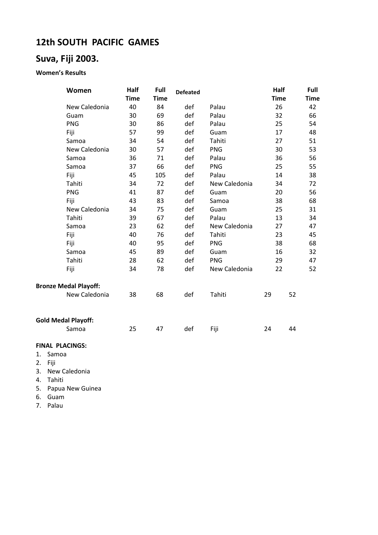## **Title of Document in Arial Regular 12pt 12th SOUTH PACIFIC GAMES**

## **Suva, Fiji 2003.**

#### **Women's Results**

| Women                        | Half        | Full        | <b>Defeated</b> |               | Half        | Full        |
|------------------------------|-------------|-------------|-----------------|---------------|-------------|-------------|
|                              | <b>Time</b> | <b>Time</b> |                 |               | <b>Time</b> | <b>Time</b> |
| New Caledonia                | 40          | 84          | def             | Palau         | 26          | 42          |
| Guam                         | 30          | 69          | def             | Palau         | 32          | 66          |
| <b>PNG</b>                   | 30          | 86          | def             | Palau         | 25          | 54          |
| Fiji                         | 57          | 99          | def             | Guam          | 17          | 48          |
| Samoa                        | 34          | 54          | def             | Tahiti        | 27          | 51          |
| New Caledonia                | 30          | 57          | def             | <b>PNG</b>    | 30          | 53          |
| Samoa                        | 36          | 71          | def             | Palau         | 36          | 56          |
| Samoa                        | 37          | 66          | def             | <b>PNG</b>    | 25          | 55          |
| Fiji                         | 45          | 105         | def             | Palau         | 14          | 38          |
| Tahiti                       | 34          | 72          | def             | New Caledonia | 34          | 72          |
| <b>PNG</b>                   | 41          | 87          | def             | Guam          | 20          | 56          |
| Fiji                         | 43          | 83          | def             | Samoa         | 38          | 68          |
| New Caledonia                | 34          | 75          | def             | Guam          | 25          | 31          |
| Tahiti                       | 39          | 67          | def             | Palau         | 13          | 34          |
| Samoa                        | 23          | 62          | def             | New Caledonia | 27          | 47          |
| Fiji                         | 40          | 76          | def             | Tahiti        | 23          | 45          |
| Fiji                         | 40          | 95          | def             | <b>PNG</b>    | 38          | 68          |
| Samoa                        | 45          | 89          | def             | Guam          | 16          | 32          |
| Tahiti                       | 28          | 62          | def             | <b>PNG</b>    | 29          | 47          |
| Fiji                         | 34          | 78          | def             | New Caledonia | 22          | 52          |
| <b>Bronze Medal Playoff:</b> |             |             |                 |               |             |             |
| New Caledonia                | 38          | 68          | def             | Tahiti        | 29          | 52          |
| <b>Gold Medal Playoff:</b>   |             |             |                 |               |             |             |
| Samoa                        | 25          | 47          | def             | Fiji          | 24          | 44          |
| <b>FINAL PLACINGS:</b>       |             |             |                 |               |             |             |

## **FINAL PLACINGS:**

- 1. Samoa
- 2. Fiji
- 3. New Caledonia
- 4. Tahiti
- 5. Papua New Guinea
- 6. Guam
- 7. Palau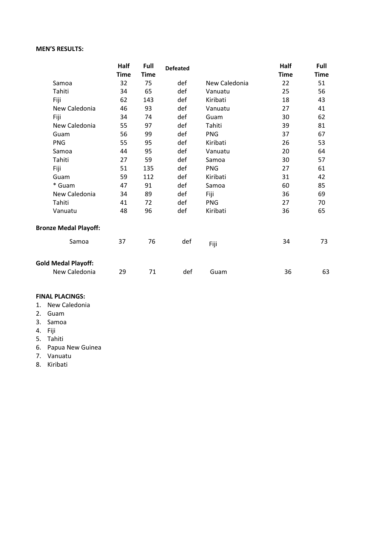## **Title of Document in Arial Regular 12pt MEN'S RESULTS:**

|                              | Half        | Full        | <b>Defeated</b> |               | Half        | Full        |
|------------------------------|-------------|-------------|-----------------|---------------|-------------|-------------|
|                              | <b>Time</b> | <b>Time</b> |                 |               | <b>Time</b> | <b>Time</b> |
| Samoa                        | 32          | 75          | def             | New Caledonia | 22          | 51          |
| Tahiti                       | 34          | 65          | def             | Vanuatu       | 25          | 56          |
| Fiji                         | 62          | 143         | def             | Kiribati      | 18          | 43          |
| New Caledonia                | 46          | 93          | def             | Vanuatu       | 27          | 41          |
| Fiji                         | 34          | 74          | def             | Guam          | 30          | 62          |
| New Caledonia                | 55          | 97          | def             | Tahiti        | 39          | 81          |
| Guam                         | 56          | 99          | def             | <b>PNG</b>    | 37          | 67          |
| <b>PNG</b>                   | 55          | 95          | def             | Kiribati      | 26          | 53          |
| Samoa                        | 44          | 95          | def             | Vanuatu       | 20          | 64          |
| Tahiti                       | 27          | 59          | def             | Samoa         | 30          | 57          |
| Fiji                         | 51          | 135         | def             | <b>PNG</b>    | 27          | 61          |
| Guam                         | 59          | 112         | def             | Kiribati      | 31          | 42          |
| * Guam                       | 47          | 91          | def             | Samoa         | 60          | 85          |
| New Caledonia                | 34          | 89          | def             | Fiji          | 36          | 69          |
| Tahiti                       | 41          | 72          | def             | <b>PNG</b>    | 27          | 70          |
| Vanuatu                      | 48          | 96          | def             | Kiribati      | 36          | 65          |
| <b>Bronze Medal Playoff:</b> |             |             |                 |               |             |             |
| Samoa                        | 37          | 76          | def             | Fiji          | 34          | 73          |
| <b>Gold Medal Playoff:</b>   |             |             |                 |               |             |             |
| New Caledonia                | 29          | 71          | def             | Guam          | 36          | 63          |

#### **FINAL PLACINGS:**

- 1. New Caledonia
- 2. Guam
- 3. Samoa
- 4. Fiji
- 5. Tahiti
- 6. Papua New Guinea
- 7. Vanuatu
- 8. Kiribati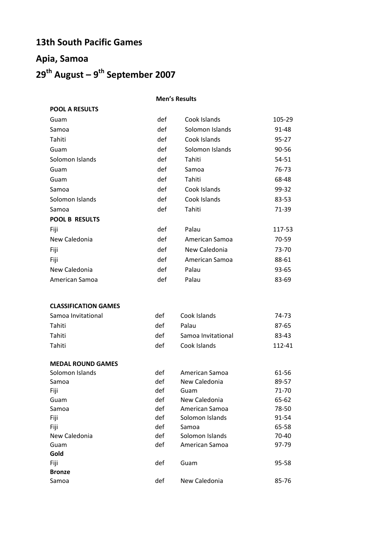## **13th South Pacific Games**

**POOL A RESULTS**

# **Title of Document in Arial Regular 12pt 29th August – 9 th September 2007 Apia, Samoa**

#### **Men's Results**

| Guam                  | def | Cook Islands    | 105-29    |
|-----------------------|-----|-----------------|-----------|
| Samoa                 | def | Solomon Islands | 91-48     |
| Tahiti                | def | Cook Islands    | $95 - 27$ |
| Guam                  | def | Solomon Islands | 90-56     |
| Solomon Islands       | def | Tahiti          | 54-51     |
| Guam                  | def | Samoa           | 76-73     |
| Guam                  | def | Tahiti          | 68-48     |
| Samoa                 | def | Cook Islands    | 99-32     |
| Solomon Islands       | def | Cook Islands    | 83-53     |
| Samoa                 | def | Tahiti          | 71-39     |
| <b>POOL B RESULTS</b> |     |                 |           |
| Fiji                  | def | Palau           | 117-53    |
| New Caledonia         | def | American Samoa  | 70-59     |
| Fiji                  | def | New Caledonia   | 73-70     |
| Fiji                  | def | American Samoa  | 88-61     |
| New Caledonia         | def | Palau           | 93-65     |
| American Samoa        | def | Palau           | 83-69     |
|                       |     |                 |           |

#### **CLASSIFICATION GAMES**

| Samoa Invitational | det  | Cook Islands       | 74-73  |
|--------------------|------|--------------------|--------|
| Tahiti             | def  | Palau              | 87-65  |
| Tahiti             | def  | Samoa Invitational | 83-43  |
| Tahiti             | det. | Cook Islands       | 112-41 |

| <b>MEDAL ROUND GAMES</b> |     |                 |       |
|--------------------------|-----|-----------------|-------|
| Solomon Islands          | def | American Samoa  | 61-56 |
| Samoa                    | def | New Caledonia   | 89-57 |
| Fiji                     | def | Guam            | 71-70 |
| Guam                     | def | New Caledonia   | 65-62 |
| Samoa                    | def | American Samoa  | 78-50 |
| Fiji                     | def | Solomon Islands | 91-54 |
| Fiji                     | def | Samoa           | 65-58 |
| New Caledonia            | def | Solomon Islands | 70-40 |
| Guam                     | def | American Samoa  | 97-79 |
| Gold                     |     |                 |       |
| Fiji                     | def | Guam            | 95-58 |
| <b>Bronze</b>            |     |                 |       |
| Samoa                    | def | New Caledonia   | 85-76 |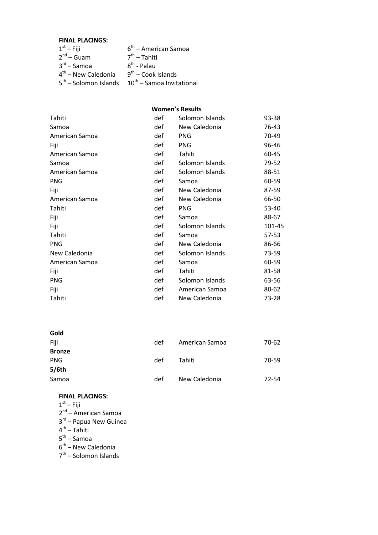#### **FINAL PLACINGS:**

| $1st - Fiji$            | $6th$ – American Samoa         |
|-------------------------|--------------------------------|
| $2^{nd}$ – Guam         | $7th$ – Tahiti                 |
| $3^{\text{rd}}$ – Samoa | $8^{th}$ - Palau               |
| $4th$ – New Caledonia   | $9th$ – Cook Islands           |
| $5th$ – Solomon Islands | $10^{th}$ – Samoa Invitational |
|                         |                                |

#### **Women's Results**

| Tahiti         | def | Solomon Islands | 93-38     |
|----------------|-----|-----------------|-----------|
| Samoa          | def | New Caledonia   | 76-43     |
| American Samoa | def | <b>PNG</b>      | 70-49     |
| Fiji           | def | <b>PNG</b>      | 96-46     |
| American Samoa | def | Tahiti          | 60-45     |
| Samoa          | def | Solomon Islands | 79-52     |
| American Samoa | def | Solomon Islands | 88-51     |
| <b>PNG</b>     | def | Samoa           | 60-59     |
| Fiji           | def | New Caledonia   | 87-59     |
| American Samoa | def | New Caledonia   | 66-50     |
| Tahiti         | def | <b>PNG</b>      | 53-40     |
| Fiji           | def | Samoa           | 88-67     |
| Fiji           | def | Solomon Islands | 101-45    |
| Tahiti         | def | Samoa           | $57 - 53$ |
| <b>PNG</b>     | def | New Caledonia   | 86-66     |
| New Caledonia  | def | Solomon Islands | 73-59     |
| American Samoa | def | Samoa           | 60-59     |
| Fiji           | def | Tahiti          | 81-58     |
| <b>PNG</b>     | def | Solomon Islands | 63-56     |
| Fiji           | def | American Samoa  | 80-62     |
| Tahiti         | def | New Caledonia   | 73-28     |
|                |     |                 |           |

| Gold          |     |                |       |
|---------------|-----|----------------|-------|
| Fiji          | def | American Samoa | 70-62 |
| <b>Bronze</b> |     |                |       |
| <b>PNG</b>    | def | Tahiti         | 70-59 |
| 5/6th         |     |                |       |
| Samoa         | def | New Caledonia  | 72-54 |

### **FINAL PLACINGS:**

- $1<sup>st</sup> -$  Fiji
- 2<sup>nd</sup> American Samoa
- 3<sup>rd</sup> Papua New Guinea
- 4<sup>th</sup> Tahiti
- 5<sup>th</sup> Samoa
- 6<sup>th</sup> New Caledonia
- 7<sup>th</sup> Solomon Islands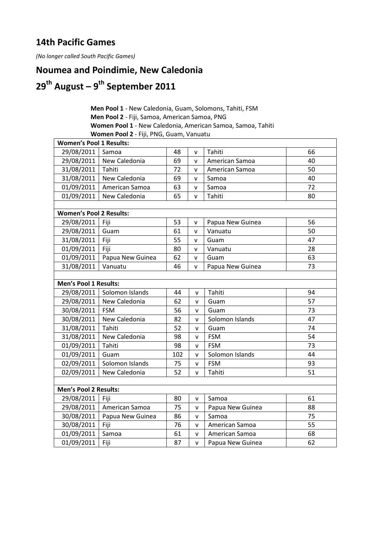## **Title of Document in Arial Regular 12pt 14th Pacific Games**

*(No longer called South Pacific Games)*

## **Noumea and Poindimie, New Caledonia**

# **Title of Document in Arial Regular 12pt 29th August – 9 th September 2011**

| <b>Men Pool 1</b> - New Caledonia, Guam, Solomons, Tahiti, FSM     |
|--------------------------------------------------------------------|
| <b>Men Pool 2</b> - Fiji, Samoa, American Samoa, PNG               |
| <b>Women Pool 1</b> - New Caledonia, American Samoa, Samoa, Tahiti |
| Women Pool 2 - Fiji, PNG, Guam, Vanuatu                            |

| <b>Women's Pool 1 Results:</b> |                              |     |              |                  |    |
|--------------------------------|------------------------------|-----|--------------|------------------|----|
| 29/08/2011                     | Samoa                        | 48  | $\mathsf{v}$ | Tahiti           | 66 |
| 29/08/2011                     | New Caledonia                | 69  | v            | American Samoa   | 40 |
| 31/08/2011                     | Tahiti                       | 72  | $\mathsf{v}$ | American Samoa   | 50 |
| 31/08/2011                     | New Caledonia                | 69  | $\mathsf{v}$ | Samoa            | 40 |
| 01/09/2011                     | American Samoa               | 63  | v            | Samoa            | 72 |
| 01/09/2011                     | New Caledonia                | 65  | $\mathsf{v}$ | Tahiti           | 80 |
| <b>Women's Pool 2 Results:</b> |                              |     |              |                  |    |
| 29/08/2011   Fiji              |                              | 53  | v            | Papua New Guinea | 56 |
| 29/08/2011                     | Guam                         | 61  | $\mathsf{v}$ | Vanuatu          | 50 |
| 31/08/2011                     | Fiji                         | 55  | $\mathsf{v}$ | Guam             | 47 |
| 01/09/2011                     | Fiji                         | 80  | $\mathsf{v}$ | Vanuatu          | 28 |
| 01/09/2011                     | Papua New Guinea             | 62  | $\mathsf{v}$ | Guam             | 63 |
| 31/08/2011                     | Vanuatu                      | 46  | $\mathsf{v}$ | Papua New Guinea | 73 |
|                                |                              |     |              |                  |    |
| <b>Men's Pool 1 Results:</b>   |                              |     |              |                  |    |
|                                | 29/08/2011   Solomon Islands | 44  | $\mathsf{v}$ | Tahiti           | 94 |
|                                | 29/08/2011   New Caledonia   | 62  | v            | Guam             | 57 |
| 30/08/2011                     | FSM                          | 56  | $\mathsf{v}$ | Guam             | 73 |
| 30/08/2011                     | New Caledonia                | 82  | $\mathsf{v}$ | Solomon Islands  | 47 |
| 31/08/2011                     | Tahiti                       | 52  | v            | Guam             | 74 |
| 31/08/2011                     | New Caledonia                | 98  | V            | <b>FSM</b>       | 54 |
| 01/09/2011                     | Tahiti                       | 98  | $\mathsf{v}$ | <b>FSM</b>       | 73 |
| 01/09/2011                     | Guam                         | 102 | $\mathsf{V}$ | Solomon Islands  | 44 |
| 02/09/2011                     | Solomon Islands              | 75  | V            | <b>FSM</b>       | 93 |
| 02/09/2011                     | New Caledonia                | 52  | $\mathsf{V}$ | Tahiti           | 51 |
| <b>Men's Pool 2 Results:</b>   |                              |     |              |                  |    |
| 29/08/2011                     | Fiji                         | 80  | $\mathsf{v}$ | Samoa            | 61 |
| 29/08/2011                     | American Samoa               | 75  | v            | Papua New Guinea | 88 |
| 30/08/2011                     | Papua New Guinea             | 86  | v            | Samoa            | 75 |
| 30/08/2011                     | Fiji                         | 76  | $\mathsf{V}$ | American Samoa   | 55 |
| 01/09/2011                     | Samoa                        | 61  | $\mathsf{V}$ | American Samoa   | 68 |
| 01/09/2011                     | Fiji                         | 87  | $\mathsf{v}$ | Papua New Guinea | 62 |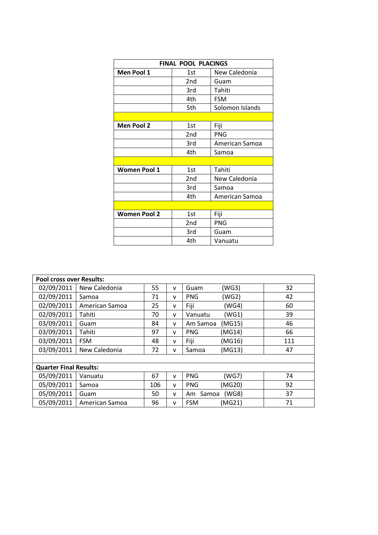| <b>FINAL POOL PLACINGS</b> |     |                |  |  |  |
|----------------------------|-----|----------------|--|--|--|
|                            |     |                |  |  |  |
| Men Pool 1                 | 1st | New Caledonia  |  |  |  |
|                            | 2nd | Guam           |  |  |  |
|                            | 3rd | Tahiti         |  |  |  |
|                            | 4th | <b>FSM</b>     |  |  |  |
| 5th<br>Solomon Islands     |     |                |  |  |  |
|                            |     |                |  |  |  |
| <b>Men Pool 2</b>          | 1st | Fiji           |  |  |  |
|                            | 2nd | <b>PNG</b>     |  |  |  |
|                            | 3rd | American Samoa |  |  |  |
|                            | 4th | Samoa          |  |  |  |
|                            |     |                |  |  |  |
| <b>Women Pool 1</b>        | 1st | Tahiti         |  |  |  |
|                            | 2nd | New Caledonia  |  |  |  |
|                            | 3rd | Samoa          |  |  |  |
|                            | 4th | American Samoa |  |  |  |
|                            |     |                |  |  |  |
| <b>Women Pool 2</b>        | 1st | Fiji           |  |  |  |
|                            | 2nd | <b>PNG</b>     |  |  |  |
|                            | 3rd | Guam           |  |  |  |
|                            | 4th | Vanuatu        |  |  |  |

| <b>Pool cross over Results:</b> |                |     |              |             |        |     |
|---------------------------------|----------------|-----|--------------|-------------|--------|-----|
| 02/09/2011                      | New Caledonia  | 55  | v            | Guam        | (WG3)  | 32  |
| 02/09/2011                      | Samoa          | 71  | v            | <b>PNG</b>  | (WG2)  | 42  |
| 02/09/2011                      | American Samoa | 25  | v            | Fiji        | (WG4)  | 60  |
| 02/09/2011                      | Tahiti         | 70  | v            | Vanuatu     | (WG1)  | 39  |
| 03/09/2011                      | Guam           | 84  | $\mathsf{v}$ | Am Samoa    | (MG15) | 46  |
| 03/09/2011                      | Tahiti         | 97  | v            | <b>PNG</b>  | (MG14) | 66  |
| 03/09/2011                      | <b>FSM</b>     | 48  | v            | Fiji        | (MG16) | 111 |
| 03/09/2011                      | New Caledonia  | 72  | v            | Samoa       | (MG13) | 47  |
|                                 |                |     |              |             |        |     |
| <b>Quarter Final Results:</b>   |                |     |              |             |        |     |
| 05/09/2011                      | Vanuatu        | 67  | $\mathsf{v}$ | <b>PNG</b>  | (WG7)  | 74  |
| 05/09/2011                      | Samoa          | 106 | v            | <b>PNG</b>  | (MG20) | 92  |
| 05/09/2011                      | Guam           | 50  | $\mathsf{v}$ | Samoa<br>Am | (WG8)  | 37  |
| 05/09/2011                      | American Samoa | 96  | v            | <b>FSM</b>  | (MG21) | 71  |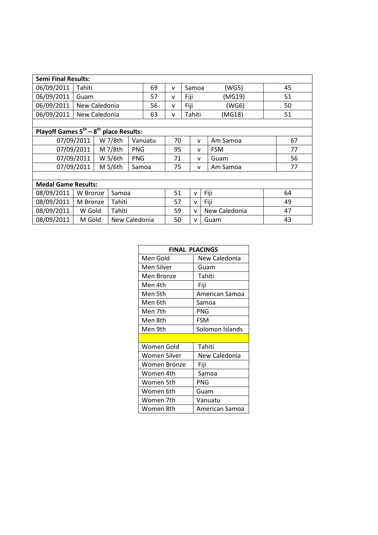| <b>Semi Final Results:</b>                        |               |  |               |            |    |       |               |              |      |               |  |    |
|---------------------------------------------------|---------------|--|---------------|------------|----|-------|---------------|--------------|------|---------------|--|----|
| 06/09/2011                                        | Tahiti        |  | 69            | v          |    | Samoa |               | (WG5)        |      | 45            |  |    |
| 06/09/2011                                        | Guam          |  |               |            | 57 | v     | Fiji          |              |      | (MG19)        |  | 51 |
| 06/09/2011                                        | New Caledonia |  |               |            | 56 | v     | Fiji          |              |      | (WG6)         |  | 50 |
| 06/09/2011                                        | New Caledonia |  |               |            | 63 | v     |               | Tahiti       |      | (MG18)        |  | 51 |
|                                                   |               |  |               |            |    |       |               |              |      |               |  |    |
| Playoff Games $5^{th} - 8^{th}$<br>place Results: |               |  |               |            |    |       |               |              |      |               |  |    |
|                                                   | 07/09/2011    |  | W 7/8th       | Vanuatu    |    | 70    |               | v            |      | Am Samoa      |  | 67 |
|                                                   | 07/09/2011    |  | M 7/8th       | <b>PNG</b> |    | 95    |               | v            |      | <b>FSM</b>    |  | 77 |
|                                                   | 07/09/2011    |  | W 5/6th       | <b>PNG</b> |    | 71    |               | v            |      | Guam          |  | 56 |
|                                                   | 07/09/2011    |  | M 5/6th       | Samoa      |    | 75    | Am Samoa<br>v |              |      | 77            |  |    |
|                                                   |               |  |               |            |    |       |               |              |      |               |  |    |
| <b>Medal Game Results:</b>                        |               |  |               |            |    |       |               |              |      |               |  |    |
| 08/09/2011                                        | W Bronze      |  | Samoa         |            |    | 51    |               | v            | Fiji |               |  | 64 |
| 08/09/2011                                        | M Bronze      |  | Tahiti        |            |    | 57    |               | v            | Fiji |               |  | 49 |
| 08/09/2011                                        | W Gold        |  | Tahiti        |            |    | 59    |               | $\mathsf{v}$ |      | New Caledonia |  | 47 |
| 08/09/2011                                        | M Gold        |  | New Caledonia |            |    | 50    |               | v            |      | Guam          |  | 43 |

| <b>FINAL PLACINGS</b> |                 |  |  |  |  |
|-----------------------|-----------------|--|--|--|--|
| Men Gold              | New Caledonia   |  |  |  |  |
| Men Silver            | Guam            |  |  |  |  |
| Men Bronze            | Tahiti          |  |  |  |  |
| Men 4th               | Fiji            |  |  |  |  |
| Men 5th               | American Samoa  |  |  |  |  |
| Men 6th               | Samoa           |  |  |  |  |
| Men 7th               | PNG             |  |  |  |  |
| Men 8th               | FSM             |  |  |  |  |
| Men 9th               | Solomon Islands |  |  |  |  |
|                       |                 |  |  |  |  |
| Women Gold            | Tahiti          |  |  |  |  |
| Women Silver          | New Caledonia   |  |  |  |  |
| Women Bronze          | Fiji            |  |  |  |  |
| Women 4th             | Samoa           |  |  |  |  |
| Women 5th             | PNG             |  |  |  |  |
| Women 6th             | Guam            |  |  |  |  |
| Women 7th             | Vanuatu         |  |  |  |  |
| Women 8th             | American Samoa  |  |  |  |  |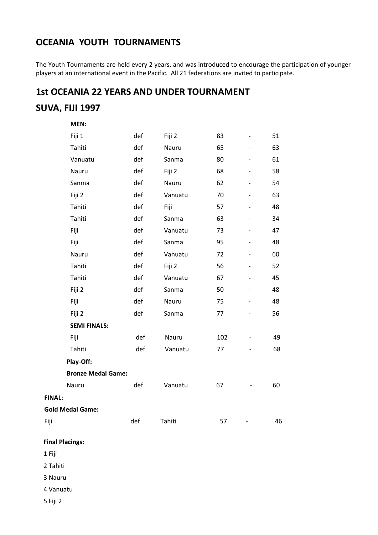## **OCEANIA YOUTH TOURNAMENTS**

The Youth Tournaments are held every 2 years, and was introduced to encourage the participation of younger players at an international event in the Pacific. All 21 federations are invited to participate.

## **1st OCEANIA 22 YEARS AND UNDER TOURNAMENT**

## **Title of Document in Arial Regular 12pt SUVA, FIJI 1997**

| MEN:                      |     |         |     |                          |    |
|---------------------------|-----|---------|-----|--------------------------|----|
| Fiji 1                    | def | Fiji 2  | 83  | $\overline{\phantom{0}}$ | 51 |
| Tahiti                    | def | Nauru   | 65  | $\qquad \qquad -$        | 63 |
| Vanuatu                   | def | Sanma   | 80  | $\overline{\phantom{0}}$ | 61 |
| Nauru                     | def | Fiji 2  | 68  | -                        | 58 |
| Sanma                     | def | Nauru   | 62  |                          | 54 |
| Fiji 2                    | def | Vanuatu | 70  |                          | 63 |
| Tahiti                    | def | Fiji    | 57  |                          | 48 |
| Tahiti                    | def | Sanma   | 63  |                          | 34 |
| Fiji                      | def | Vanuatu | 73  |                          | 47 |
| Fiji                      | def | Sanma   | 95  |                          | 48 |
| Nauru                     | def | Vanuatu | 72  | $\overline{a}$           | 60 |
| Tahiti                    | def | Fiji 2  | 56  | $\overline{\phantom{0}}$ | 52 |
| Tahiti                    | def | Vanuatu | 67  | $\overline{\phantom{0}}$ | 45 |
| Fiji 2                    | def | Sanma   | 50  | $\qquad \qquad -$        | 48 |
| Fiji                      | def | Nauru   | 75  |                          | 48 |
| Fiji 2                    | def | Sanma   | 77  |                          | 56 |
| <b>SEMI FINALS:</b>       |     |         |     |                          |    |
| Fiji                      | def | Nauru   | 102 |                          | 49 |
| Tahiti                    | def | Vanuatu | 77  |                          | 68 |
| Play-Off:                 |     |         |     |                          |    |
| <b>Bronze Medal Game:</b> |     |         |     |                          |    |
| Nauru                     | def | Vanuatu | 67  |                          | 60 |
| <b>FINAL:</b>             |     |         |     |                          |    |
| <b>Gold Medal Game:</b>   |     |         |     |                          |    |
| Fiji                      | def | Tahiti  | 57  |                          | 46 |

#### **Final Placings:**

1 Fiji

2 Tahiti

3 Nauru

4 Vanuatu

5 Fiji 2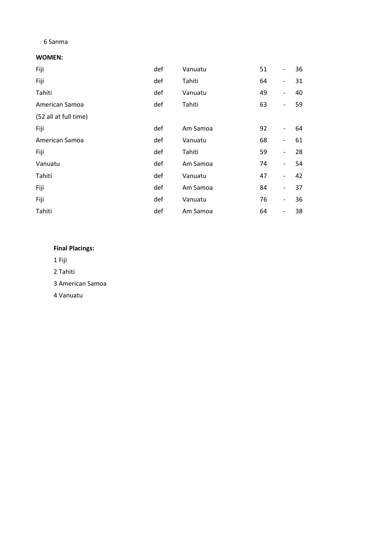## **Title of Document in Arial Regular 12pt**  6 Sanma

#### **WOMEN:**

| Fiji                  | def | Vanuatu  | 51 | $\overline{\phantom{a}}$ | 36 |
|-----------------------|-----|----------|----|--------------------------|----|
| Fiji                  | def | Tahiti   | 64 | $\overline{\phantom{a}}$ | 31 |
| Tahiti                | def | Vanuatu  | 49 | $\overline{\phantom{a}}$ | 40 |
| American Samoa        | def | Tahiti   | 63 | $\qquad \qquad -$        | 59 |
| (52 all at full time) |     |          |    |                          |    |
| Fiji                  | def | Am Samoa | 92 | $\qquad \qquad -$        | 64 |
| American Samoa        | def | Vanuatu  | 68 | $\overline{\phantom{0}}$ | 61 |
| Fiji                  | def | Tahiti   | 59 | $\qquad \qquad -$        | 28 |
| Vanuatu               | def | Am Samoa | 74 | $\overline{\phantom{a}}$ | 54 |
| Tahiti                | def | Vanuatu  | 47 | $\overline{\phantom{a}}$ | 42 |
| Fiji                  | def | Am Samoa | 84 | $\overline{\phantom{a}}$ | 37 |
| Fiji                  | def | Vanuatu  | 76 | $\overline{\phantom{a}}$ | 36 |
| Tahiti                | def | Am Samoa | 64 | $\overline{\phantom{a}}$ | 38 |

### **Final Placings:**

1 Fiji

2 Tahiti

3 American Samoa

4 Vanuatu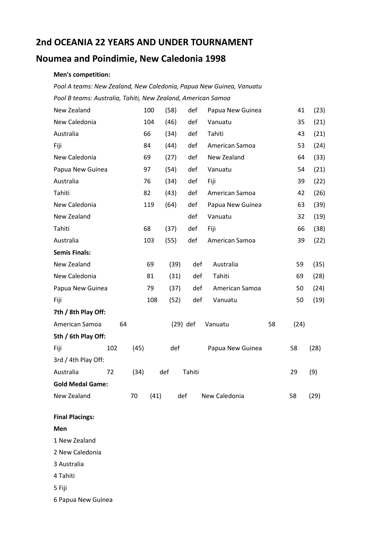## **2nd OCEANIA 22 YEARS AND UNDER TOURNAMENT**

## **Noumea and Poindimie, New Caledonia 1998**

#### **Title of Document in Arial Regular 12pt Men's competition:**

*Pool A teams: New Zealand, New Caledonia, Papua New Guinea, Vanuatu Pool B teams: Australia, Tahiti, New Zealand, American Samoa*

| New Zealand             |     |      | 100  | (58)       | def    | Papua New Guinea |    | 41   | (23) |
|-------------------------|-----|------|------|------------|--------|------------------|----|------|------|
| New Caledonia           |     |      | 104  | (46)       | def    | Vanuatu          |    | 35   | (21) |
| Australia               |     |      | 66   | (34)       | def    | Tahiti           |    | 43   | (21) |
| Fiji                    |     |      | 84   | (44)       | def    | American Samoa   |    | 53   | (24) |
| New Caledonia           |     |      | 69   | (27)       | def    | New Zealand      |    | 64   | (33) |
| Papua New Guinea        |     |      | 97   | (54)       | def    | Vanuatu          |    | 54   | (21) |
| Australia               |     |      | 76   | (34)       | def    | Fiji             |    | 39   | (22) |
| Tahiti                  |     |      | 82   | (43)       | def    | American Samoa   |    | 42   | (26) |
| New Caledonia           |     |      | 119  | (64)       | def    | Papua New Guinea |    | 63   | (39) |
| New Zealand             |     |      |      |            | def    | Vanuatu          |    | 32   | (19) |
| Tahiti                  |     |      | 68   | (37)       | def    | Fiji             |    | 66   | (38) |
| Australia               |     |      | 103  | (55)       | def    | American Samoa   |    | 39   | (22) |
| <b>Semis Finals:</b>    |     |      |      |            |        |                  |    |      |      |
| New Zealand             |     |      | 69   | (39)       | def    | Australia        |    | 59   | (35) |
| New Caledonia           |     |      | 81   | (31)       | def    | Tahiti           |    | 69   | (28) |
| Papua New Guinea        |     |      | 79   | (37)       | def    | American Samoa   |    | 50   | (24) |
| Fiji                    |     |      | 108  | (52)       | def    | Vanuatu          |    | 50   | (19) |
| 7th / 8th Play Off:     |     |      |      |            |        |                  |    |      |      |
| American Samoa          | 64  |      |      | $(29)$ def |        | Vanuatu          | 58 | (24) |      |
| 5th / 6th Play Off:     |     |      |      |            |        |                  |    |      |      |
| Fiji                    | 102 | (45) |      | def        |        | Papua New Guinea |    | 58   | (28) |
| 3rd / 4th Play Off:     |     |      |      |            |        |                  |    |      |      |
| Australia               | 72  | (34) |      | def        | Tahiti |                  |    | 29   | (9)  |
| <b>Gold Medal Game:</b> |     |      |      |            |        |                  |    |      |      |
| New Zealand             |     | 70   | (41) | def        |        | New Caledonia    |    | 58   | (29) |

**Men**

1 New Zealand

2 New Caledonia

3 Australia

4 Tahiti

5 Fiji

6 Papua New Guinea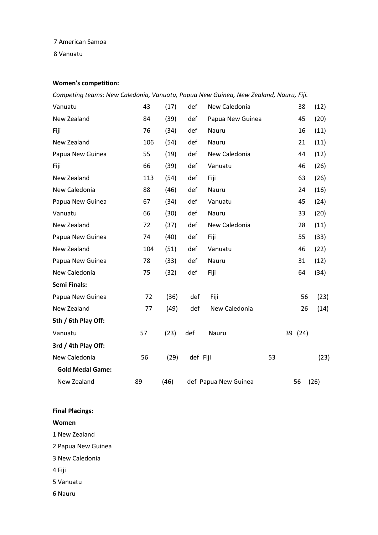## **Title of Document in Arial Regular 12pt**  7 American Samoa

8 Vanuatu

## **Women's competition:**

*Competing teams: New Caledonia, Vanuatu, Papua New Guinea, New Zealand, Nauru, Fiji.*

| Vanuatu                 | 43  | (17) | def      | New Caledonia        |    | 38      | (12) |
|-------------------------|-----|------|----------|----------------------|----|---------|------|
| New Zealand             | 84  | (39) | def      | Papua New Guinea     |    | 45      | (20) |
| Fiji                    | 76  | (34) | def      | Nauru                |    | 16      | (11) |
| New Zealand             | 106 | (54) | def      | Nauru                |    | 21      | (11) |
| Papua New Guinea        | 55  | (19) | def      | New Caledonia        |    | 44      | (12) |
| Fiji                    | 66  | (39) | def      | Vanuatu              |    | 46      | (26) |
| New Zealand             | 113 | (54) | def      | Fiji                 |    | 63      | (26) |
| New Caledonia           | 88  | (46) | def      | Nauru                |    | 24      | (16) |
| Papua New Guinea        | 67  | (34) | def      | Vanuatu              |    | 45      | (24) |
| Vanuatu                 | 66  | (30) | def      | Nauru                |    | 33      | (20) |
| New Zealand             | 72  | (37) | def      | New Caledonia        |    | 28      | (11) |
| Papua New Guinea        | 74  | (40) | def      | Fiji                 |    | 55      | (33) |
| New Zealand             | 104 | (51) | def      | Vanuatu              |    | 46      | (22) |
| Papua New Guinea        | 78  | (33) | def      | Nauru                |    | 31      | (12) |
| New Caledonia           | 75  | (32) | def      | Fiji                 |    | 64      | (34) |
| <b>Semi Finals:</b>     |     |      |          |                      |    |         |      |
| Papua New Guinea        | 72  | (36) | def      | Fiji                 |    | 56      | (23) |
| New Zealand             | 77  | (49) | def      | New Caledonia        |    | 26      | (14) |
| 5th / 6th Play Off:     |     |      |          |                      |    |         |      |
| Vanuatu                 | 57  | (23) | def      | Nauru                |    | 39 (24) |      |
| 3rd / 4th Play Off:     |     |      |          |                      |    |         |      |
| New Caledonia           | 56  | (29) | def Fiji |                      | 53 |         | (23) |
| <b>Gold Medal Game:</b> |     |      |          |                      |    |         |      |
| New Zealand             | 89  | (46) |          | def Papua New Guinea |    | 56      | (26) |

#### **Final Placings:**

**Women**

1 New Zealand

2 Papua New Guinea

3 New Caledonia

4 Fiji

5 Vanuatu

6 Nauru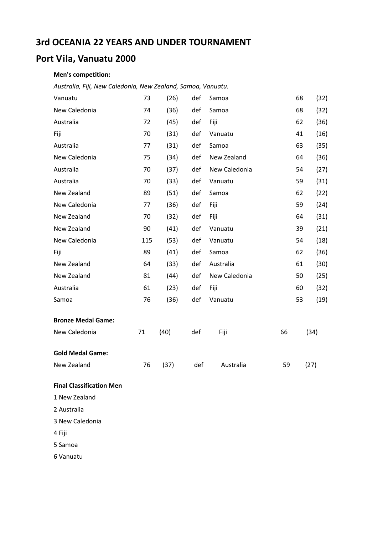## **Title of Document in Arial Regular 12pt 3rd OCEANIA 22 YEARS AND UNDER TOURNAMENT**

## **Port Vila, Vanuatu 2000**

#### **Men's competition:**

**Title of Document in Arial Regular 12pt**  *Australia, Fiji, New Caledonia, New Zealand, Samoa, Vanuatu.*

| Vanuatu                         | 73  | (26) | def | Samoa         |    | 68 | (32) |
|---------------------------------|-----|------|-----|---------------|----|----|------|
| New Caledonia                   | 74  | (36) | def | Samoa         |    | 68 | (32) |
| Australia                       | 72  | (45) | def | Fiji          |    | 62 | (36) |
| Fiji                            | 70  | (31) | def | Vanuatu       |    | 41 | (16) |
| Australia                       | 77  | (31) | def | Samoa         |    | 63 | (35) |
| New Caledonia                   | 75  | (34) | def | New Zealand   |    | 64 | (36) |
| Australia                       | 70  | (37) | def | New Caledonia |    | 54 | (27) |
| Australia                       | 70  | (33) | def | Vanuatu       |    | 59 | (31) |
| New Zealand                     | 89  | (51) | def | Samoa         |    | 62 | (22) |
| New Caledonia                   | 77  | (36) | def | Fiji          |    | 59 | (24) |
| New Zealand                     | 70  | (32) | def | Fiji          |    | 64 | (31) |
| New Zealand                     | 90  | (41) | def | Vanuatu       |    | 39 | (21) |
| New Caledonia                   | 115 | (53) | def | Vanuatu       |    | 54 | (18) |
| Fiji                            | 89  | (41) | def | Samoa         |    | 62 | (36) |
| New Zealand                     | 64  | (33) | def | Australia     |    | 61 | (30) |
| New Zealand                     | 81  | (44) | def | New Caledonia |    | 50 | (25) |
| Australia                       | 61  | (23) | def | Fiji          |    | 60 | (32) |
| Samoa                           | 76  | (36) | def | Vanuatu       |    | 53 | (19) |
| <b>Bronze Medal Game:</b>       |     |      |     |               |    |    |      |
| New Caledonia                   | 71  | (40) | def | Fiji          | 66 |    | (34) |
| <b>Gold Medal Game:</b>         |     |      |     |               |    |    |      |
| New Zealand                     | 76  | (37) | def | Australia     | 59 |    | (27) |
| <b>Final Classification Men</b> |     |      |     |               |    |    |      |
| 1 New Zealand                   |     |      |     |               |    |    |      |
| 2 Australia                     |     |      |     |               |    |    |      |
| 3 New Caledonia                 |     |      |     |               |    |    |      |
|                                 |     |      |     |               |    |    |      |

4 Fiji

5 Samoa

6 Vanuatu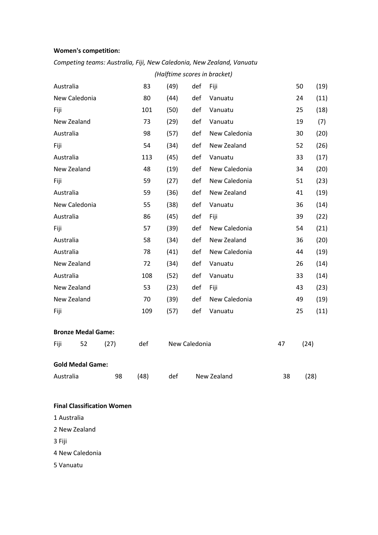#### **Title of Document in Arial Regular 12pt Women's competition:**

#### *Competing teams: Australia, Fiji, New Caledonia, New Zealand, Vanuatu*

|           | (Halftime scores in bracket) |      |      |      |               |               |    |      |      |
|-----------|------------------------------|------|------|------|---------------|---------------|----|------|------|
| Australia |                              |      | 83   | (49) | def           | Fiji          |    | 50   | (19) |
|           | New Caledonia                |      | 80   | (44) | def           | Vanuatu       |    | 24   | (11) |
| Fiji      |                              |      | 101  | (50) | def           | Vanuatu       |    | 25   | (18) |
|           | New Zealand                  |      | 73   | (29) | def           | Vanuatu       |    | 19   | (7)  |
| Australia |                              |      | 98   | (57) | def           | New Caledonia |    | 30   | (20) |
| Fiji      |                              |      | 54   | (34) | def           | New Zealand   |    | 52   | (26) |
| Australia |                              |      | 113  | (45) | def           | Vanuatu       |    | 33   | (17) |
|           | New Zealand                  |      | 48   | (19) | def           | New Caledonia |    | 34   | (20) |
| Fiji      |                              |      | 59   | (27) | def           | New Caledonia |    | 51   | (23) |
| Australia |                              |      | 59   | (36) | def           | New Zealand   |    | 41   | (19) |
|           | New Caledonia                |      | 55   | (38) | def           | Vanuatu       |    | 36   | (14) |
| Australia |                              |      | 86   | (45) | def           | Fiji          |    | 39   | (22) |
| Fiji      |                              |      | 57   | (39) | def           | New Caledonia |    | 54   | (21) |
| Australia |                              |      | 58   | (34) | def           | New Zealand   |    | 36   | (20) |
| Australia |                              |      | 78   | (41) | def           | New Caledonia |    | 44   | (19) |
|           | New Zealand                  |      | 72   | (34) | def           | Vanuatu       |    | 26   | (14) |
| Australia |                              |      | 108  | (52) | def           | Vanuatu       |    | 33   | (14) |
|           | New Zealand                  |      | 53   | (23) | def           | Fiji          |    | 43   | (23) |
|           | New Zealand                  |      | 70   | (39) | def           | New Caledonia |    | 49   | (19) |
| Fiji      |                              |      | 109  | (57) | def           | Vanuatu       |    | 25   | (11) |
|           | <b>Bronze Medal Game:</b>    |      |      |      |               |               |    |      |      |
| Fiji      | 52                           | (27) | def  |      | New Caledonia |               | 47 | (24) |      |
|           | <b>Gold Medal Game:</b>      |      |      |      |               |               |    |      |      |
| Australia |                              | 98   | (48) | def  |               | New Zealand   | 38 |      | (28) |

#### **Final Classification Women**

1 Australia

2 New Zealand

3 Fiji

4 New Caledonia

5 Vanuatu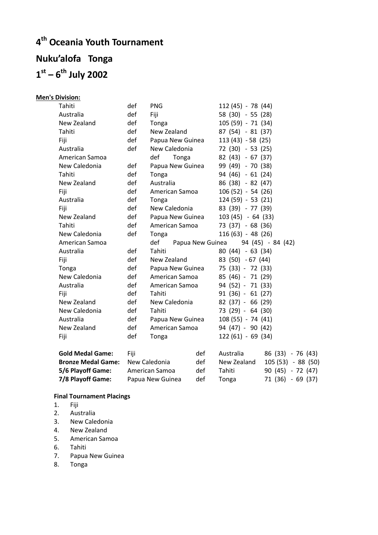# **Title of Document in Arial Regular 12pt 4 th Oceania Youth Tournament Title of Document in Arial Regular 12pt 1 st – 6 th July 2002 Nuku'alofa Tonga**

| <b>Men's Division:</b> |
|------------------------|
|                        |

| Tahiti                    | def  | <b>PNG</b>       |                  | 112 (45) - 78 (44) |                    |
|---------------------------|------|------------------|------------------|--------------------|--------------------|
| Australia                 | def  | Fiji             |                  | 58 (30) - 55 (28)  |                    |
| New Zealand               | def  | Tonga            |                  | 105 (59) - 71 (34) |                    |
| Tahiti                    | def  | New Zealand      |                  | 87 (54) - 81 (37)  |                    |
| Fiji                      | def  | Papua New Guinea |                  | $113(43) - 58(25)$ |                    |
| Australia                 | def  | New Caledonia    |                  | 72 (30) - 53 (25)  |                    |
| American Samoa            |      | def<br>Tonga     |                  | 82 (43) - 67 (37)  |                    |
| New Caledonia             | def  | Papua New Guinea |                  | 99 (49) - 70 (38)  |                    |
| Tahiti                    | def  | Tonga            |                  | 94 (46) - 61 (24)  |                    |
| New Zealand               | def  | Australia        |                  | 86 (38) - 82 (47)  |                    |
| Fiji                      | def  | American Samoa   |                  | $106(52) - 54(26)$ |                    |
| Australia                 | def  | Tonga            |                  | $124(59) - 53(21)$ |                    |
| Fiji                      | def  | New Caledonia    |                  | 83 (39) - 77 (39)  |                    |
| New Zealand               | def  | Papua New Guinea |                  | $103(45) - 64(33)$ |                    |
| Tahiti                    | def  | American Samoa   |                  | 73 (37) - 68 (36)  |                    |
| New Caledonia             | def  | Tonga            |                  | $116(63) - 48(26)$ |                    |
| American Samoa            |      | def              | Papua New Guinea |                    | 94 (45) - 84 (42)  |
| Australia                 | def  | Tahiti           |                  | 80 (44) - 63 (34)  |                    |
| Fiji                      | def  | New Zealand      |                  | 83 (50) - 67 (44)  |                    |
| Tonga                     | def  | Papua New Guinea |                  | 75 (33) - 72 (33)  |                    |
| New Caledonia             | def  | American Samoa   |                  | 85 (46) - 71 (29)  |                    |
| Australia                 | def  | American Samoa   |                  | 94 (52) - 71 (33)  |                    |
| Fiji                      | def  | Tahiti           |                  | $91(36) - 61(27)$  |                    |
| New Zealand               | def  | New Caledonia    |                  | $82(37) - 66(29)$  |                    |
| New Caledonia             | def  | Tahiti           |                  | 73 (29) - 64 (30)  |                    |
| Australia                 | def  | Papua New Guinea |                  | $108(55) - 74(41)$ |                    |
| New Zealand               | def  | American Samoa   |                  | 94 (47) - 90 (42)  |                    |
| Fiji                      | def  | Tonga            |                  | $122(61) - 69(34)$ |                    |
| <b>Gold Medal Game:</b>   | Fiji |                  | def              | Australia          | 86 (33) - 76 (43)  |
| <b>Bronze Medal Game:</b> |      | New Caledonia    | def              | New Zealand        | 105 (53) - 88 (50) |
| 5/6 Playoff Game:         |      | American Samoa   | def              | Tahiti             | $90(45) - 72(47)$  |
| 7/8 Playoff Game:         |      | Papua New Guinea | def              | Tonga              | 71 (36) - 69 (37)  |

### **Final Tournament Placings**

- 1. Fiji
- 
- 2. Australia<br>3. New Cale New Caledonia
- 4. New Zealand
- 5. American Samoa
- 6. Tahiti
- 7. Papua New Guinea
- 8. Tonga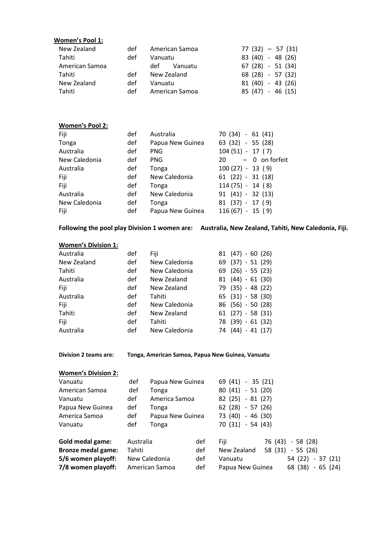| Women's Pool 1:<br>New Zealand                                                                                                                                                                                                                                                                                                                                                                      | def        | American Samoa                                   | $77(32) - 57(31)$                                                     |
|-----------------------------------------------------------------------------------------------------------------------------------------------------------------------------------------------------------------------------------------------------------------------------------------------------------------------------------------------------------------------------------------------------|------------|--------------------------------------------------|-----------------------------------------------------------------------|
| Tahiti                                                                                                                                                                                                                                                                                                                                                                                              | def        | Vanuatu                                          | 83 (40) - 48 (26)                                                     |
| American Samoa                                                                                                                                                                                                                                                                                                                                                                                      |            | def<br>Vanuatu                                   | $67(28) - 51(34)$                                                     |
| Tahiti                                                                                                                                                                                                                                                                                                                                                                                              | def        | New Zealand                                      | 68 (28) - 57 (32)                                                     |
| New Zealand                                                                                                                                                                                                                                                                                                                                                                                         | def        | Vanuatu                                          | 81 (40) - 43 (26)                                                     |
| Tahiti                                                                                                                                                                                                                                                                                                                                                                                              | def        | American Samoa                                   | 85 (47) - 46 (15)                                                     |
|                                                                                                                                                                                                                                                                                                                                                                                                     |            |                                                  |                                                                       |
| <b>Women's Pool 2:</b>                                                                                                                                                                                                                                                                                                                                                                              |            |                                                  |                                                                       |
| Fiji                                                                                                                                                                                                                                                                                                                                                                                                | def        | Australia                                        | 70 (34) - 61 (41)                                                     |
| Tonga                                                                                                                                                                                                                                                                                                                                                                                               | def        | Papua New Guinea                                 | 63 (32) - 55 (28)                                                     |
| Australia                                                                                                                                                                                                                                                                                                                                                                                           | def        | <b>PNG</b>                                       | $104(51) - 17(7)$                                                     |
| New Caledonia                                                                                                                                                                                                                                                                                                                                                                                       | def        | <b>PNG</b>                                       | 20<br>$-$ 0 on forfeit                                                |
| Australia                                                                                                                                                                                                                                                                                                                                                                                           | def        | Tonga                                            | $100(27) - 13(9)$                                                     |
| Fiji                                                                                                                                                                                                                                                                                                                                                                                                | def        | New Caledonia                                    | $61$ $(22) - 31$ $(18)$                                               |
| Fiji                                                                                                                                                                                                                                                                                                                                                                                                | def        | Tonga                                            | $114(75) - 14(8)$                                                     |
| Australia                                                                                                                                                                                                                                                                                                                                                                                           | def        | New Caledonia                                    | $91(41) - 32(13)$                                                     |
| New Caledonia                                                                                                                                                                                                                                                                                                                                                                                       | def        | Tonga                                            | $81(37) - 17(9)$                                                      |
| Fiji                                                                                                                                                                                                                                                                                                                                                                                                | def        | Papua New Guinea                                 | $116(67) - 15(9)$                                                     |
|                                                                                                                                                                                                                                                                                                                                                                                                     |            |                                                  |                                                                       |
|                                                                                                                                                                                                                                                                                                                                                                                                     |            |                                                  |                                                                       |
|                                                                                                                                                                                                                                                                                                                                                                                                     | def        | Fiji                                             | $81(47) - 60(26)$                                                     |
|                                                                                                                                                                                                                                                                                                                                                                                                     | def        | New Caledonia                                    | 69 (37) - 51 (29)                                                     |
|                                                                                                                                                                                                                                                                                                                                                                                                     | def        | New Caledonia                                    | 69 (26) - 55 (23)                                                     |
|                                                                                                                                                                                                                                                                                                                                                                                                     | def        | New Zealand                                      | $81(44) - 61(30)$                                                     |
|                                                                                                                                                                                                                                                                                                                                                                                                     | def        | New Zealand                                      | 79 (35) - 48 (22)                                                     |
|                                                                                                                                                                                                                                                                                                                                                                                                     | def        | Tahiti                                           | $65$ $(31) - 58$ $(30)$                                               |
|                                                                                                                                                                                                                                                                                                                                                                                                     | def        | New Caledonia                                    | 86 (56) - 50 (28)                                                     |
|                                                                                                                                                                                                                                                                                                                                                                                                     | def        | New Zealand                                      | $61$ $(27) - 58$ $(31)$                                               |
|                                                                                                                                                                                                                                                                                                                                                                                                     | def<br>def | Tahiti<br>New Caledonia                          | 78 (39) - 61 (32)<br>74 (44) - 41 (17)                                |
|                                                                                                                                                                                                                                                                                                                                                                                                     |            | Tonga, American Samoa, Papua New Guinea, Vanuatu |                                                                       |
|                                                                                                                                                                                                                                                                                                                                                                                                     |            |                                                  |                                                                       |
|                                                                                                                                                                                                                                                                                                                                                                                                     | def        | Papua New Guinea                                 | 69 (41) - 35 (21)                                                     |
|                                                                                                                                                                                                                                                                                                                                                                                                     | def        | Tonga                                            | $80(41) - 51(20)$                                                     |
|                                                                                                                                                                                                                                                                                                                                                                                                     | def        | America Samoa                                    | 82 (25) - 81 (27)                                                     |
|                                                                                                                                                                                                                                                                                                                                                                                                     | def        | Tonga                                            | 62 (28) - 57 (26)                                                     |
|                                                                                                                                                                                                                                                                                                                                                                                                     | def        | Papua New Guinea                                 | 73 (40) - 46 (30)                                                     |
|                                                                                                                                                                                                                                                                                                                                                                                                     | def        | Tonga                                            | 70 (31) - 54 (43)                                                     |
|                                                                                                                                                                                                                                                                                                                                                                                                     | Australia  | def                                              | 76 (43) - 58 (28)<br>Fiji                                             |
|                                                                                                                                                                                                                                                                                                                                                                                                     | Tahiti     | def                                              | New Zealand<br>58 (31) - 55 (26)                                      |
| <b>Women's Division 1:</b><br>Australia<br>New Zealand<br>Tahiti<br>Australia<br>Fiji<br>Australia<br>Fiji<br>Tahiti<br>Fiji<br>Australia<br><b>Division 2 teams are:</b><br><b>Women's Division 2:</b><br>Vanuatu<br>American Samoa<br>Vanuatu<br>Papua New Guinea<br>America Samoa<br>Vanuatu<br><b>Gold medal game:</b><br><b>Bronze medal game:</b><br>5/6 women playoff:<br>7/8 women playoff: |            | New Caledonia<br>def<br>American Samoa<br>def    | Vanuatu<br>54 (22) - 37 (21)<br>Papua New Guinea<br>68 (38) - 65 (24) |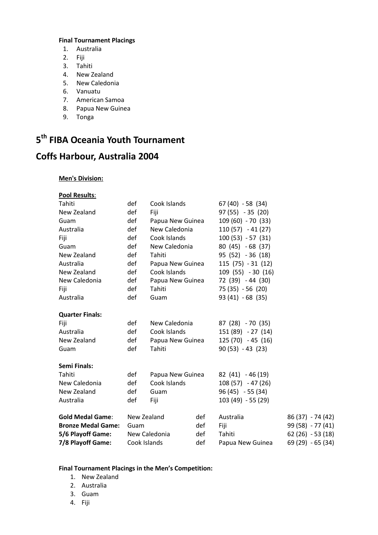#### **Final Tournament Placings**

- **Title of Documental Regular 12**<br>
1. Australia
	- 2. Fiji
	- 3. Tahiti
	- 4. New Zealand
- **Title of Document in Arial Regular 12pt**  5. New Caledonia
	- 6. Vanuatu
	- 7. American Samoa
	- 8. Papua New Guinea
- **Title of Document in Arial Regular 12pt**  9. Tonga

## **Title of Document in Arial Regular 12pt 5 th FIBA Oceania Youth Tournament**

# **Coffs Harbour, Australia 2004**

#### **Men's Division:**

| <b>Pool Results:</b>      |              |                  |     |                    |                   |
|---------------------------|--------------|------------------|-----|--------------------|-------------------|
| Tahiti                    | def          | Cook Islands     |     | $67(40) - 58(34)$  |                   |
| New Zealand               | def          | Fiji             |     | $97(55) - 35(20)$  |                   |
| Guam                      | def          | Papua New Guinea |     | 109 (60) - 70 (33) |                   |
| Australia                 | def          | New Caledonia    |     | $110(57) - 41(27)$ |                   |
| Fiji                      | def          | Cook Islands     |     | $100(53) - 57(31)$ |                   |
| Guam                      | def          | New Caledonia    |     | 80 (45) - 68 (37)  |                   |
| New Zealand               | def          | Tahiti           |     | $95(52) - 36(18)$  |                   |
| Australia                 | def          | Papua New Guinea |     | $115(75) - 31(12)$ |                   |
| New Zealand               | def          | Cook Islands     |     | 109 (55) - 30 (16) |                   |
| New Caledonia             | def          | Papua New Guinea |     | 72 (39) - 44 (30)  |                   |
| Fiji                      | def          | Tahiti           |     | $75(35) - 56(20)$  |                   |
| Australia                 | def          | Guam             |     | $93(41) - 68(35)$  |                   |
| <b>Quarter Finals:</b>    |              |                  |     |                    |                   |
| Fiji                      | def          | New Caledonia    |     | 87 (28) - 70 (35)  |                   |
| Australia                 | def          | Cook Islands     |     | 151 (89) - 27 (14) |                   |
| New Zealand               | def          | Papua New Guinea |     | $125(70) - 45(16)$ |                   |
| Guam                      | def          | Tahiti           |     | $90(53) - 43(23)$  |                   |
| Semi Finals:              |              |                  |     |                    |                   |
| Tahiti                    | def          | Papua New Guinea |     | $82(41) - 46(19)$  |                   |
| New Caledonia             | def          | Cook Islands     |     | $108(57) - 47(26)$ |                   |
| New Zealand               | def          | Guam             |     | $96(45) - 55(34)$  |                   |
| Australia                 | def          | Fiji             |     | 103 (49) - 55 (29) |                   |
| <b>Gold Medal Game:</b>   | New Zealand  |                  | def | Australia          | 86 (37) - 74 (42) |
| <b>Bronze Medal Game:</b> | Guam         |                  | def | Fiji               | 99 (58) - 77 (41) |
| 5/6 Playoff Game:         |              | New Caledonia    | def | Tahiti             | $62(26) - 53(18)$ |
| 7/8 Playoff Game:         | Cook Islands |                  | def | Papua New Guinea   | 69 (29) - 65 (34) |

#### **Final Tournament Placings in the Men's Competition:**

- 1. New Zealand
- 2. Australia
- 3. Guam
- 4. Fiji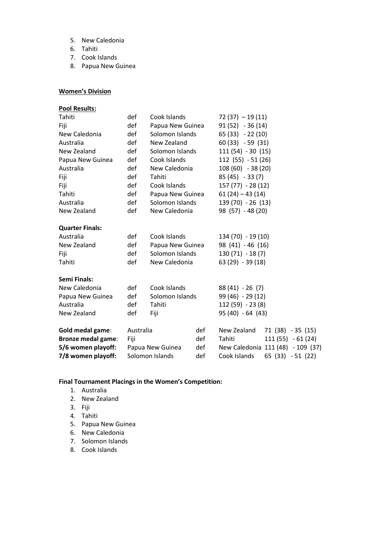- 5. New Caledonia
- **Title of Document in Arial Regular 12pt**  6. Tahiti
	- 7. Cook Islands
	- 8. Papua New Guinea

#### **Women's Division**

| <b>Pool Results:</b>      |           |                  |                  |                    |                                   |  |
|---------------------------|-----------|------------------|------------------|--------------------|-----------------------------------|--|
| Tahiti                    | def       | Cook Islands     |                  | $72(37) - 19(11)$  |                                   |  |
| Fiji                      | def       |                  | Papua New Guinea |                    | $91(52) - 36(14)$                 |  |
| New Caledonia             | def       |                  | Solomon Islands  |                    | $65(33) - 22(10)$                 |  |
| Australia                 | def       | New Zealand      |                  | $60(33) - 59(31)$  |                                   |  |
| New Zealand               | def       | Solomon Islands  |                  | $111(54) - 30(15)$ |                                   |  |
| Papua New Guinea          | def       | Cook Islands     |                  | $112(55) - 51(26)$ |                                   |  |
| Australia                 | def       | New Caledonia    |                  | 108 (60) - 38 (20) |                                   |  |
| Fiji                      | def       | Tahiti           |                  | $85(45) - 33(7)$   |                                   |  |
| Fiji                      | def       | Cook Islands     |                  | 157 (77) - 28 (12) |                                   |  |
| Tahiti                    | def       | Papua New Guinea |                  | $61(24) - 43(14)$  |                                   |  |
| Australia                 | def       | Solomon Islands  |                  | 139 (70) - 26 (13) |                                   |  |
| New Zealand               | def       | New Caledonia    |                  | 98 (57) - 48 (20)  |                                   |  |
| <b>Quarter Finals:</b>    |           |                  |                  |                    |                                   |  |
| Australia                 | def       | Cook Islands     |                  | 134 (70) - 19 (10) |                                   |  |
| New Zealand               | def       | Papua New Guinea |                  | 98 (41) - 46 (16)  |                                   |  |
| Fiji                      | def       | Solomon Islands  |                  | $130(71) - 18(7)$  |                                   |  |
| Tahiti                    | def       | New Caledonia    |                  | $63(29) - 39(18)$  |                                   |  |
| <b>Semi Finals:</b>       |           |                  |                  |                    |                                   |  |
| New Caledonia             | def       | Cook Islands     |                  | $88(41) - 26(7)$   |                                   |  |
| Papua New Guinea          | def       | Solomon Islands  |                  | 99 (46) - 29 (12)  |                                   |  |
| Australia                 | def       | Tahiti           |                  | $112(59) - 23(8)$  |                                   |  |
| New Zealand               | def       | Fiji             |                  | 95 (40) - 64 (43)  |                                   |  |
| Gold medal game:          | Australia |                  | def              | New Zealand        | 71 (38) - 35 (15)                 |  |
| <b>Bronze medal game:</b> | Fiji      |                  | def              | Tahiti             | $111(55) - 61(24)$                |  |
| 5/6 women playoff:        |           | Papua New Guinea | def              |                    | New Caledonia 111 (48) - 109 (37) |  |
| 7/8 women playoff:        |           | Solomon Islands  | def              | Cook Islands       | 65 (33) - 51 (22)                 |  |

#### **Final Tournament Placings in the Women's Competition:**

- 1. Australia
- 2. New Zealand
- 3. Fiji
- 4. Tahiti
- 5. Papua New Guinea
- 6. New Caledonia
- 7. Solomon Islands
- 8. Cook Islands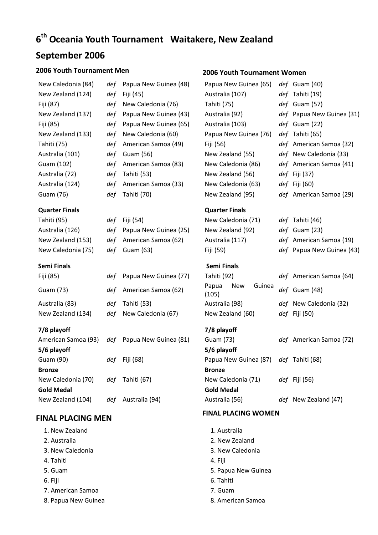# **6<sup>th</sup> Oceania Youth Tournament Waitakere, New Zealand**

## **September 2006**

#### **2006 Youth Tournament Men 2006 Youth Tournament Women**

| New Caledonia (84) |
|--------------------|
| New Zealand (124)  |
| Fiji (87)          |
| New Zealand (137)  |
| Fiji (85)          |
| New Zealand (133)  |
| Tahiti (75)        |
| Australia (101)    |
| Guam (102)         |
| Australia (72)     |
| Australia (124)    |
| Guam (76)          |
|                    |

#### **Quarter Finals Quarter Finals**

#### **Semi Finals Semi Finals**

| Fiji (85)         | def Papua New Guinea (77) | Tahiti (92)      |     |        | def Americ    |
|-------------------|---------------------------|------------------|-----|--------|---------------|
| Guam (73)         | def American Samoa (62)   | Papua<br>(105)   | New | Guinea | def Guam (    |
| Australia (83)    | def Tahiti (53)           | Australia (98)   |     |        | def New Ca    |
| New Zealand (134) | def New Caledonia (67)    | New Zealand (60) |     |        | def Fiji (50) |

#### **7/8 playoff 7/8 playoff**

|     |                | Guam (73)                                     | def American Samoa                    |
|-----|----------------|-----------------------------------------------|---------------------------------------|
|     |                | 5/6 playoff                                   |                                       |
| def | Fiji (68)      |                                               |                                       |
|     |                | <b>Bronze</b>                                 |                                       |
| def | Tahiti (67)    | New Caledonia (71)                            | $def$ Fiji (56)                       |
|     |                | <b>Gold Medal</b>                             |                                       |
| def | Australia (94) | Australia (56)                                | def New Zealand (47)                  |
|     |                | American Samoa (93) def Papua New Guinea (81) | Papua New Guinea (87) def Tahiti (68) |

#### **FINAL PLACING MEN FINAL PLACING WOMEN**

- 1. New Zealand
- 2. Australia
- 3. New Caledonia 3. New Caledonia
- 
- 
- 
- 7. American Samoa 7. Guam
- 8. Papua New Guinea **8. American Samoa**

| New Caledonia (84)<br>New Zealand (124)<br>Fiji (87)<br>New Zealand (137)<br>Fiji (85)<br>New Zealand (133)<br>Tahiti (75)<br>Australia (101)<br>Guam (102)<br>Australia (72)<br>Australia (124)<br>Guam (76) | def<br>def<br>def<br>def<br>def<br>def<br>def<br>def<br>def<br>def<br>def<br>def | Papua New Guinea (48)<br>Fiji (45)<br>New Caledonia (76)<br>Papua New Guinea (43)<br>Papua New Guinea (65)<br>New Caledonia (60)<br>American Samoa (49)<br>Guam (56)<br>American Samoa (83)<br>Tahiti (53)<br>American Samoa (33)<br>Tahiti (70) | Papua New Guinea (65)<br>Australia (107)<br>Tahiti (75)<br>Australia (92)<br>Australia (103)<br>Papua New Guinea (76)<br>Fiji (56)<br>New Zealand (55)<br>New Caledonia (86)<br>New Zealand (56)<br>New Caledonia (63)<br>New Zealand (95) | def Guam (40)<br>def Tahiti (19)<br>def Guam (57)<br>def Papua New Guinea (31)<br>def Guam (22)<br>def Tahiti (65)<br>def American Samoa (32)<br>def New Caledonia (33)<br>def American Samoa (41)<br><i>def</i> Fiji (37)<br><i>def</i> Fiji (60)<br>def American Samoa (29) |
|---------------------------------------------------------------------------------------------------------------------------------------------------------------------------------------------------------------|----------------------------------------------------------------------------------|--------------------------------------------------------------------------------------------------------------------------------------------------------------------------------------------------------------------------------------------------|--------------------------------------------------------------------------------------------------------------------------------------------------------------------------------------------------------------------------------------------|-------------------------------------------------------------------------------------------------------------------------------------------------------------------------------------------------------------------------------------------------------------------------------|
| <b>Quarter Finals</b>                                                                                                                                                                                         |                                                                                  |                                                                                                                                                                                                                                                  | <b>Quarter Finals</b>                                                                                                                                                                                                                      |                                                                                                                                                                                                                                                                               |
| Tahiti (95)<br>Australia (126)<br>New Zealand (153)<br>New Caledonia (75)                                                                                                                                     | def<br>def<br>def<br>def                                                         | Fiji (54)<br>Papua New Guinea (25)<br>American Samoa (62)<br>Guam (63)                                                                                                                                                                           | New Caledonia (71)<br>New Zealand (92)<br>Australia (117)<br>Fiji (59)                                                                                                                                                                     | def Tahiti (46)<br>def Guam (23)<br>def American Samoa (19)<br>def Papua New Guinea (43)                                                                                                                                                                                      |
| <b>Semi Finals</b>                                                                                                                                                                                            |                                                                                  |                                                                                                                                                                                                                                                  | <b>Semi Finals</b>                                                                                                                                                                                                                         |                                                                                                                                                                                                                                                                               |
| Fiji (85)                                                                                                                                                                                                     | def                                                                              | Papua New Guinea (77)                                                                                                                                                                                                                            | Tahiti (92)                                                                                                                                                                                                                                | def American Samoa (64)                                                                                                                                                                                                                                                       |
| Guam (73)                                                                                                                                                                                                     | def                                                                              | American Samoa (62)                                                                                                                                                                                                                              | Guinea<br>Papua<br>New<br>(105)                                                                                                                                                                                                            | def Guam (48)                                                                                                                                                                                                                                                                 |
| Australia (83)<br>New Zealand (134)                                                                                                                                                                           | def<br>def                                                                       | Tahiti (53)<br>New Caledonia (67)                                                                                                                                                                                                                | Australia (98)<br>New Zealand (60)                                                                                                                                                                                                         | def New Caledonia (32)<br><i>def</i> Fiji (50)                                                                                                                                                                                                                                |
| 7/8 playoff<br>American Samoa (93)<br>5/6 playoff                                                                                                                                                             | def                                                                              | Papua New Guinea (81)                                                                                                                                                                                                                            | 7/8 playoff<br>Guam (73)<br>5/6 playoff                                                                                                                                                                                                    | def American Samoa (72)                                                                                                                                                                                                                                                       |
| Guam (90)                                                                                                                                                                                                     | def                                                                              | Fiji (68)                                                                                                                                                                                                                                        | Papua New Guinea (87)                                                                                                                                                                                                                      | def Tahiti (68)                                                                                                                                                                                                                                                               |
| <b>Bronze</b><br>New Caledonia (70)<br><b>Gold Medal</b>                                                                                                                                                      |                                                                                  | def Tahiti (67)                                                                                                                                                                                                                                  | <b>Bronze</b><br>New Caledonia (71)<br><b>Gold Medal</b>                                                                                                                                                                                   | <i>def</i> Fiji (56)                                                                                                                                                                                                                                                          |
| New Zealand (104)                                                                                                                                                                                             |                                                                                  | def Australia (94)                                                                                                                                                                                                                               | Australia (56)                                                                                                                                                                                                                             | def New Zealand (47)                                                                                                                                                                                                                                                          |
| <b>FINAL PLACING MEN</b>                                                                                                                                                                                      |                                                                                  |                                                                                                                                                                                                                                                  | <b>FINAL PLACING WOMEN</b>                                                                                                                                                                                                                 |                                                                                                                                                                                                                                                                               |
| 1. New Zealand<br>2. Australia<br>3. New Caledonia<br>4. Tahiti<br>5. Guam<br>6. Fiji                                                                                                                         |                                                                                  |                                                                                                                                                                                                                                                  | 1. Australia<br>2. New Zealand<br>3. New Caledonia<br>4. Fiji<br>5. Papua New Guinea<br>6. Tahiti                                                                                                                                          |                                                                                                                                                                                                                                                                               |
| 7. American Samoa                                                                                                                                                                                             |                                                                                  |                                                                                                                                                                                                                                                  | $7.$ Guam                                                                                                                                                                                                                                  |                                                                                                                                                                                                                                                                               |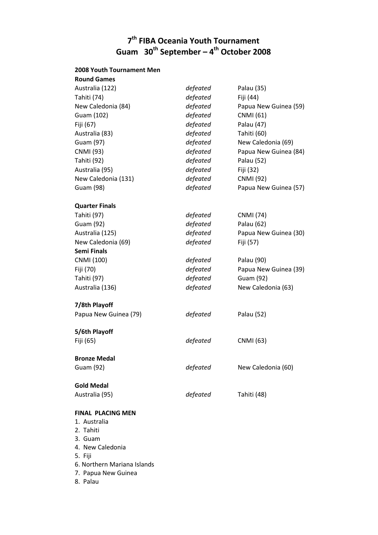## **T<sup>th</sup> FIBA Oceania Youth Tournament Guam 30th September – 4 th October 2008**

#### **2008 Youth Tournament Men**

| <b>Round Games</b>       |          |                       |
|--------------------------|----------|-----------------------|
| Australia (122)          | defeated | Palau (35)            |
| Tahiti (74)              | defeated | Fiji (44)             |
| New Caledonia (84)       | defeated | Papua New Guinea (59) |
| Guam (102)               | defeated | <b>CNMI</b> (61)      |
| Fiji (67)                | defeated | Palau (47)            |
| Australia (83)           | defeated | Tahiti (60)           |
| Guam (97)                | defeated | New Caledonia (69)    |
| <b>CNMI</b> (93)         | defeated | Papua New Guinea (84) |
| Tahiti (92)              | defeated | Palau (52)            |
| Australia (95)           | defeated | Fiji (32)             |
| New Caledonia (131)      | defeated | <b>CNMI</b> (92)      |
| Guam (98)                | defeated | Papua New Guinea (57) |
| <b>Quarter Finals</b>    |          |                       |
| Tahiti (97)              | defeated | <b>CNMI</b> (74)      |
| Guam (92)                | defeated | Palau (62)            |
| Australia (125)          | defeated | Papua New Guinea (30) |
| New Caledonia (69)       | defeated | Fiji (57)             |
| <b>Semi Finals</b>       |          |                       |
| CNMI (100)               | defeated | Palau (90)            |
| Fiji (70)                | defeated | Papua New Guinea (39) |
| Tahiti (97)              | defeated | Guam (92)             |
| Australia (136)          | defeated | New Caledonia (63)    |
| 7/8th Playoff            |          |                       |
| Papua New Guinea (79)    | defeated | Palau (52)            |
| 5/6th Playoff            |          |                       |
| Fiji (65)                | defeated | <b>CNMI</b> (63)      |
| <b>Bronze Medal</b>      |          |                       |
| Guam (92)                | defeated | New Caledonia (60)    |
| <b>Gold Medal</b>        |          |                       |
| Australia (95)           | defeated | Tahiti (48)           |
| <b>FINAL PLACING MEN</b> |          |                       |
|                          |          |                       |

- 1. Australia
- 2. Tahiti
- 3. Guam
- 4. New Caledonia
- 5. Fiji
- 6. Northern Mariana Islands
- 7. Papua New Guinea
- 8. Palau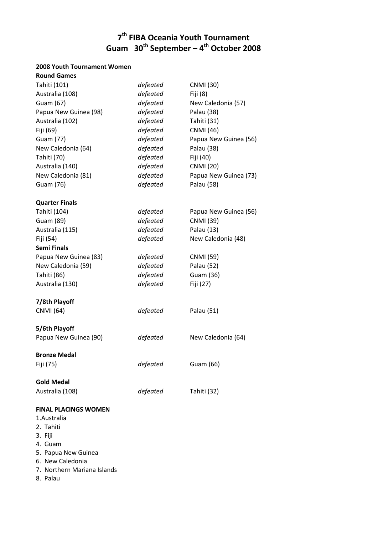#### $T_1 = 20^{th}$ **7 th FIBA Oceania Youth Tournament Guam 30th September – 4 th October 2008**

#### **2008 Youth Tournament Women**

| <b>Round Games</b>                                      |          |                       |
|---------------------------------------------------------|----------|-----------------------|
| Tahiti (101)                                            | defeated | <b>CNMI</b> (30)      |
| Australia (108)                                         | defeated | Fiji (8)              |
| Guam (67)                                               | defeated | New Caledonia (57)    |
| Papua New Guinea (98)                                   | defeated | Palau (38)            |
| Australia (102)                                         | defeated | Tahiti (31)           |
| Fiji (69)                                               | defeated | <b>CNMI</b> (46)      |
| Guam (77)                                               | defeated | Papua New Guinea (56) |
| New Caledonia (64)                                      | defeated | Palau (38)            |
| Tahiti (70)                                             | defeated | Fiji (40)             |
| Australia (140)                                         | defeated | <b>CNMI</b> (20)      |
| New Caledonia (81)                                      | defeated | Papua New Guinea (73) |
| Guam (76)                                               | defeated | Palau (58)            |
| <b>Quarter Finals</b>                                   |          |                       |
| Tahiti (104)                                            | defeated | Papua New Guinea (56) |
| Guam (89)                                               | defeated | <b>CNMI</b> (39)      |
| Australia (115)                                         | defeated | Palau (13)            |
| Fiji (54)                                               | defeated | New Caledonia (48)    |
| <b>Semi Finals</b>                                      |          |                       |
| Papua New Guinea (83)                                   | defeated | <b>CNMI</b> (59)      |
| New Caledonia (59)                                      | defeated | Palau (52)            |
| Tahiti (86)                                             | defeated | Guam (36)             |
| Australia (130)                                         | defeated | Fiji (27)             |
| 7/8th Playoff                                           |          |                       |
| <b>CNMI</b> (64)                                        | defeated | Palau (51)            |
| 5/6th Playoff                                           |          |                       |
| Papua New Guinea (90)                                   | defeated | New Caledonia (64)    |
| <b>Bronze Medal</b>                                     |          |                       |
| Fiji (75)                                               | defeated | Guam (66)             |
| <b>Gold Medal</b>                                       |          |                       |
| Australia (108)                                         | defeated | Tahiti (32)           |
| <b>FINAL PLACINGS WOMEN</b><br>1.Australia<br>2. Tahiti |          |                       |

- 3. Fiji
- 4. Guam
- 5. Papua New Guinea
- 6. New Caledonia
- 7. Northern Mariana Islands
- 8. Palau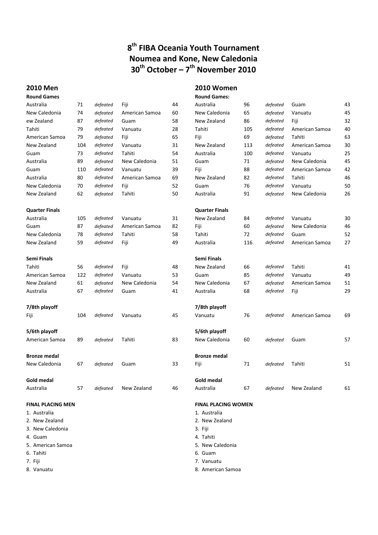## *B***<sup>th</sup> FIBA Oceania Youth Tournament Noumea and Kone, New Caledonia 30th October – 7 th November 2010**

#### **2010 Men 2010 Women**

| <b>Round Games</b>       |     |          |                |    | <b>Round Games:</b>        |     |          |                |    |
|--------------------------|-----|----------|----------------|----|----------------------------|-----|----------|----------------|----|
| Australia                | 71  | defeated | Fiji           | 44 | Australia                  | 96  | defeated | Guam           | 43 |
| New Caledonia            | 74  | defeated | American Samoa | 60 | New Caledonia              | 65  | defeated | Vanuatu        | 45 |
| ew Zealand               | 87  | defeated | Guam           | 58 | New Zealand                | 86  | defeated | Fiji           | 32 |
| Tahiti                   | 79  | defeated | Vanuatu        | 28 | Tahiti                     | 105 | defeated | American Samoa | 40 |
| American Samoa           | 79  | defeated | Fiji           | 65 | Fiji                       | 69  | defeated | Tahiti         | 63 |
| New Zealand              | 104 | defeated | Vanuatu        | 31 | New Zealand                | 113 | defeated | American Samoa | 30 |
| Guam                     | 73  | defeated | Tahiti         | 54 | Australia                  | 100 | defeated | Vanuatu        | 25 |
| Australia                | 89  | defeated | New Caledonia  | 51 | Guam                       | 71  | defeated | New Caledonia  | 45 |
| Guam                     | 110 | defeated | Vanuatu        | 39 | Fiji                       | 88  | defeated | American Samoa | 42 |
| Australia                | 80  | defeated | American Samoa | 69 | New Zealand                | 82  | defeated | Tahiti         | 46 |
| New Caledonia            | 70  | defeated | Fiji           | 52 | Guam                       | 76  | defeated | Vanuatu        | 50 |
| New Zealand              | 62  | defeated | Tahiti         | 50 | Australia                  | 91  | defeated | New Caledonia  | 26 |
| <b>Quarter Finals</b>    |     |          |                |    | <b>Quarter Finals</b>      |     |          |                |    |
| Australia                | 105 | defeated | Vanuatu        | 31 | New Zealand                | 84  | defeated | Vanuatu        | 30 |
| Guam                     | 87  | defeated | American Samoa | 82 | Fiji                       | 60  | defeated | New Caledonia  | 46 |
| New Caledonia            | 78  | defeated | Tahiti         | 58 | Tahiti                     | 72  | defeated | Guam           | 52 |
| New Zealand              | 59  | defeated | Fiji           | 49 | Australia                  | 116 | defeated | American Samoa | 27 |
| Semi Finals              |     |          |                |    | Semi Finals                |     |          |                |    |
| Tahiti                   | 56  | defeated | Fiji           | 48 | New Zealand                | 66  | defeated | Tahiti         | 41 |
| American Samoa           | 122 | defeated | Vanuatu        | 53 | Guam                       | 85  | defeated | Vanuatu        | 49 |
| New Zealand              | 61  | defeated | New Caledonia  | 54 | New Caledonia              | 67  | defeated | American Samoa | 51 |
| Australia                | 67  | defeated | Guam           | 41 | Australia                  | 68  | defeated | Fiji           | 29 |
| 7/8th playoff            |     |          |                |    | 7/8th playoff              |     |          |                |    |
| Fiji                     | 104 | defeated | Vanuatu        | 45 | Vanuatu                    | 76  | defeated | American Samoa | 69 |
| 5/6th playoff            |     |          |                |    | 5/6th playoff              |     |          |                |    |
| American Samoa           | 89  | defeated | Tahiti         | 83 | New Caledonia              | 60  | defeated | Guam           | 57 |
| <b>Bronze medal</b>      |     |          |                |    | <b>Bronze medal</b>        |     |          |                |    |
| New Caledonia            | 67  | defeated | Guam           | 33 | Fiji                       | 71  | defeated | Tahiti         | 51 |
| <b>Gold medal</b>        |     |          |                |    | <b>Gold medal</b>          |     |          |                |    |
| Australia                | 57  | defeated | New Zealand    | 46 | Australia                  | 67  | defeated | New Zealand    | 61 |
| <b>FINAL PLACING MEN</b> |     |          |                |    | <b>FINAL PLACING WOMEN</b> |     |          |                |    |
| 1. Australia             |     |          |                |    | 1. Australia               |     |          |                |    |
| 2. New Zealand           |     |          |                |    | 2. New Zealand             |     |          |                |    |
| 3. New Caledonia         |     |          |                |    | 3. Fiji                    |     |          |                |    |
| 4. Guam                  |     |          |                |    | 4. Tahiti                  |     |          |                |    |
| 5. American Samoa        |     |          |                |    | 5. New Caledonia           |     |          |                |    |
| 6. Tahiti                |     |          |                |    | 6. Guam                    |     |          |                |    |

- 
- 7. Fiji 7. Vanuatu
- 8. Vanuatu 1988 and 1989 and 1989 and 1989 and 1989 and 1989 and 1989 and 1989 and 1989 and 1989 and 1989 and 1989 and 1989 and 1989 and 1989 and 1989 and 1989 and 1989 and 1989 and 1989 and 1989 and 1989 and 1989 and 1989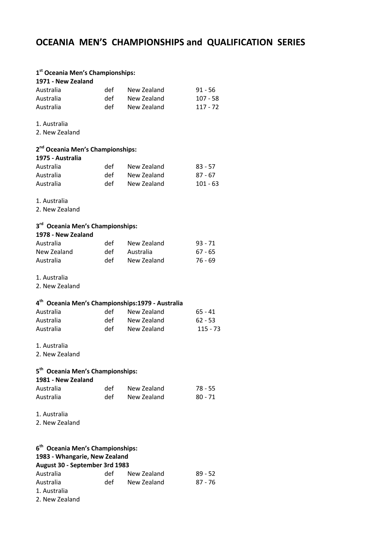## *OCEANIA MEN'S CHAMPIONSHIPS and QUALIFICATION SERIES*

#### **1 st Oceania Men's Championships:**

| 1971 - New Zealand |     |             |           |
|--------------------|-----|-------------|-----------|
| Australia          | def | New Zealand | $91 - 56$ |
| Australia          | def | New Zealand | 107 - 58  |
| Australia          | def | New Zealand | 117 - 72  |

1. Australia

2. New Zealand

#### **Title of Document in Arial Regular 12pt 2 nd Oceania Men's Championships:**

| 1975 - Australia |     |             |            |
|------------------|-----|-------------|------------|
| Australia        | det | New Zealand | $83 - 57$  |
| Australia        | def | New Zealand | $87 - 67$  |
| Australia        | def | New Zealand | $101 - 63$ |

- 1. Australia
- 2. New Zealand

#### **3 rd Oceania Men's Championships:**

| 1978 - New Zealand |     |             |           |
|--------------------|-----|-------------|-----------|
| Australia          | def | New Zealand | 93 - 71   |
| New Zealand        | def | Australia   | $67 - 65$ |
| Australia          | def | New Zealand | 76 - 69   |

#### 1. Australia

2. New Zealand

#### **4 th Oceania Men's Championships:1979 - Australia**

| Australia | det | New Zealand | $65 - 41$  |
|-----------|-----|-------------|------------|
| Australia | def | New Zealand | $62 - 53$  |
| Australia | def | New Zealand | $115 - 73$ |

#### 1. Australia

2. New Zealand

#### **5 th Oceania Men's Championships:**

| 1981 - New Zealand |      |             |         |
|--------------------|------|-------------|---------|
| Australia          | det  | New Zealand | 78 - 55 |
| Australia          | det. | New Zealand | 80 - 71 |

1. Australia

2. New Zealand

#### **6 th Oceania Men's Championships: 1983 - Whangarie, New Zealand August 30 - September 3rd 1983** Australia def New Zealand 89 - 52 Australia def New Zealand 87 - 76

1. Australia

2. New Zealand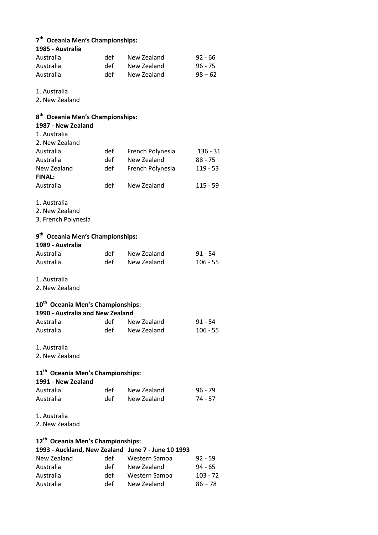|  | 7 <sup>th</sup> Oceania Men's Championships: |  |  |  |
|--|----------------------------------------------|--|--|--|
|--|----------------------------------------------|--|--|--|

| 1985 - Australia                                                    |     |                  |            |
|---------------------------------------------------------------------|-----|------------------|------------|
| Australia                                                           | def | New Zealand      | $92 - 66$  |
| Australia                                                           | def | New Zealand      | $96 - 75$  |
| Australia                                                           | def | New Zealand      | $98 - 62$  |
|                                                                     |     |                  |            |
| 1. Australia                                                        |     |                  |            |
| 2. New Zealand                                                      |     |                  |            |
|                                                                     |     |                  |            |
| 8 <sup>th</sup> Oceania Men's Championships:<br>1987 - New Zealand  |     |                  |            |
| 1. Australia                                                        |     |                  |            |
| 2. New Zealand                                                      |     |                  |            |
| Australia                                                           | def | French Polynesia | $136 - 31$ |
| Australia                                                           | def | New Zealand      | $88 - 75$  |
| New Zealand                                                         | def | French Polynesia | $119 - 53$ |
| <b>FINAL:</b>                                                       |     |                  |            |
| Australia                                                           | def | New Zealand      | $115 - 59$ |
|                                                                     |     |                  |            |
| 1. Australia                                                        |     |                  |            |
| 2. New Zealand                                                      |     |                  |            |
| 3. French Polynesia                                                 |     |                  |            |
|                                                                     |     |                  |            |
| 9 <sup>th</sup> Oceania Men's Championships:                        |     |                  |            |
| 1989 - Australia                                                    |     |                  |            |
| Australia                                                           | def | New Zealand      | $91 - 54$  |
| Australia                                                           | def | New Zealand      | $106 - 55$ |
|                                                                     |     |                  |            |
| 1. Australia                                                        |     |                  |            |
| 2. New Zealand                                                      |     |                  |            |
|                                                                     |     |                  |            |
| 10 <sup>th</sup> Oceania Men's Championships:                       |     |                  |            |
| 1990 - Australia and New Zealand                                    |     |                  |            |
| Australia                                                           | def | New Zealand      | $91 - 54$  |
| Australia                                                           | def | New Zealand      | $106 - 55$ |
|                                                                     |     |                  |            |
| 1. Australia                                                        |     |                  |            |
| 2. New Zealand                                                      |     |                  |            |
|                                                                     |     |                  |            |
| 11 <sup>th</sup> Oceania Men's Championships:<br>1991 - New Zealand |     |                  |            |
| Australia                                                           | def | New Zealand      | $96 - 79$  |
| Australia                                                           | def | New Zealand      | 74 - 57    |
|                                                                     |     |                  |            |
| 1. Australia                                                        |     |                  |            |
| 2. New Zealand                                                      |     |                  |            |
|                                                                     |     |                  |            |
| 12 <sup>th</sup> Oceania Men's Championships:                       |     |                  |            |
| 1993 - Auckland, New Zealand June 7 - June 10 1993                  |     |                  |            |
| New Zealand                                                         | def | Western Samoa    | 92 - 59    |
| Australia                                                           | def | New Zealand      | 94 - 65    |
| Australia                                                           | def | Western Samoa    | $103 - 72$ |
| Australia                                                           | def | New Zealand      | $86 - 78$  |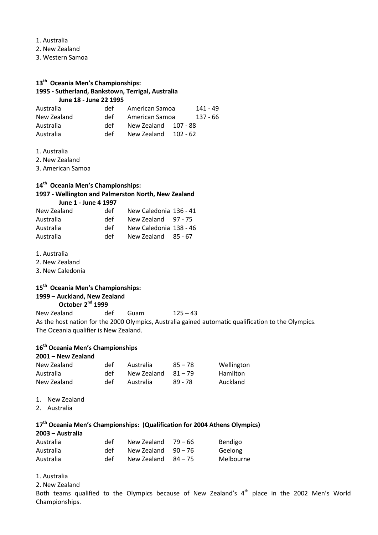1. Australia

- **Title of Document in Arial Regular 12pt**  2. New Zealand
- 3. Western Samoa

## **Title of Document in Arial Regular 12pt 13th Oceania Men's Championships:**

#### **1995 - Sutherland, Bankstown, Terrigal, Australia June 18 - June 22 1995**

| Australia   | def | American Samoa |          | 141 - 49 |
|-------------|-----|----------------|----------|----------|
| New Zealand | def | American Samoa |          | 137 - 66 |
| Australia   | def | New Zealand    | 107 - 88 |          |
| Australia   | def | New Zealand    | 102 - 62 |          |

- **Title of Document in Arial Regular 12pt**  1. Australia
- 2. New Zealand

3. American Samoa

#### **14th Oceania Men's Championships:**

#### **1997 - Wellington and Palmerston North, New Zealand June 1 - June 4 1997**

| New Zealand | det | New Caledonia 136 - 41 |  |
|-------------|-----|------------------------|--|
| Australia   | def | New Zealand 97 - 75    |  |
| Australia   | def | New Caledonia 138 - 46 |  |
| Australia   | def | New Zealand 85 - 67    |  |

- 1. Australia
- 2. New Zealand
- 3. New Caledonia

#### **15th Oceania Men's Championships:**

### **1999 – Auckland, New Zealand**

#### **October 2nd 1999**

New Zealand def Guam 125 – 43 As the host nation for the 2000 Olympics, Australia gained automatic qualification to the Olympics. The Oceania qualifier is New Zealand.

#### **16th Oceania Men's Championships**

#### **2001 – New Zealand**

| New Zealand | det  | Australia   | $85 - 78$ | Wellington |
|-------------|------|-------------|-----------|------------|
| Australia   | det. | New Zealand | $81 - 79$ | Hamilton   |
| New Zealand | def  | Australia   | 89 - 78   | Auckland   |

- 1. New Zealand
- 2. Australia

#### **17th Oceania Men's Championships: (Qualification for 2004 Athens Olympics) 2003 – Australia**

| ZUUJ – AUSLI AIIA |      |                       |           |           |
|-------------------|------|-----------------------|-----------|-----------|
| Australia         | det  | New Zealand $79-66$   |           | Bendigo   |
| Australia         | det. | New Zealand           | $90 - 76$ | Geelong   |
| Australia         | det. | New Zealand $84 - 75$ |           | Melbourne |

- 1. Australia
- 2. New Zealand

Both teams qualified to the Olympics because of New Zealand's  $4<sup>th</sup>$  place in the 2002 Men's World Championships.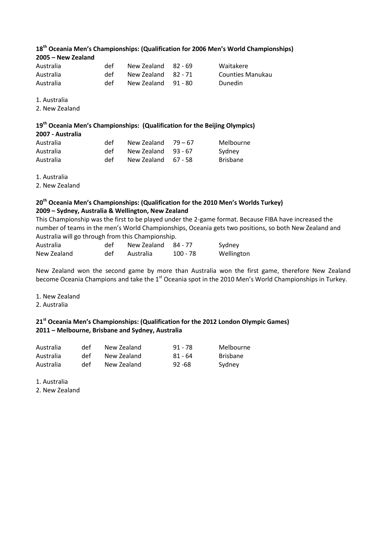### $18<sup>th</sup>$  Oceania Men's Championships: (Qualification for 2006 Men's World Championships) **2005 – New Zealand**

| Australia | det | New Zealand 82 - 69 | Waitakere        |
|-----------|-----|---------------------|------------------|
| Australia | det | New Zealand 82 - 71 | Counties Manukau |
| Australia | det | New Zealand 91 - 80 | Dunedin          |

1. Australia

2. New Zealand

#### **19th Oceania Men's Championships: (Qualification for the Beijing Olympics)**

| 2007 - Australia |      |                     |           |                 |
|------------------|------|---------------------|-----------|-----------------|
| Australia        | det. | New Zealand $79-67$ |           | Melbourne       |
| Australia        | det. | New Zealand         | - 93 - 67 | Sydney          |
| Australia        | def  | New Zealand         | 67 - 58   | <b>Brisbane</b> |

1. Australia

2. New Zealand

#### **20th Oceania Men's Championships: (Qualification for the 2010 Men's Worlds Turkey) 2009 – Sydney, Australia & Wellington, New Zealand**

This Championship was the first to be played under the 2-game format. Because FIBA have increased the number of teams in the men's World Championships, Oceania gets two positions, so both New Zealand and Australia will go through from this Championship.

| Australia   | def | New Zealand 84 - 77 |          | Sydney     |
|-------------|-----|---------------------|----------|------------|
| New Zealand | def | Australia           | 100 - 78 | Wellington |

New Zealand won the second game by more than Australia won the first game, therefore New Zealand become Oceania Champions and take the 1<sup>st</sup> Oceania spot in the 2010 Men's World Championships in Turkey.

- 1. New Zealand
- 2. Australia

#### **21st Oceania Men's Championships: (Qualification for the 2012 London Olympic Games) 2011 – Melbourne, Brisbane and Sydney, Australia**

| Australia | det | New Zealand | 91 - 78   | Melbourne       |
|-----------|-----|-------------|-----------|-----------------|
| Australia | det | New Zealand | 81 - 64   | <b>Brisbane</b> |
| Australia | det | New Zealand | $92 - 68$ | Sydney          |

1. Australia

2. New Zealand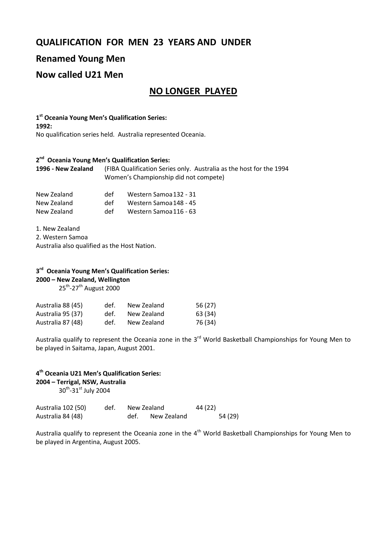## **QUALIFICATION FOR MEN 23 YEARS AND UNDER**

## **Renamed Young Men**

## **Now called U21 Men**

## **NO LONGER PLAYED**

 $1<sup>st</sup>$  Oceania Young Men<sup>'</sup>s Qualification Series: **1992:** No qualification series held. Australia represented Oceania.

#### **2 nd Oceania Young Men's Qualification Series:**

**1996 - New Zealand** (FIBA Qualification Series only. Australia as the host for the 1994 Women's Championship did not compete)

| New Zealand | def | Western Samoa 132 - 31 |
|-------------|-----|------------------------|
| New Zealand | def | Western Samoa 148 - 45 |
| New Zealand | def | Western Samoa 116 - 63 |

1. New Zealand

2. Western Samoa

Australia also qualified as the Host Nation.

## **3 rd Oceania Young Men's Qualification Series:**

**2000 – New Zealand, Wellington** 

25<sup>th</sup>-27<sup>th</sup> August 2000

| Australia 88 (45) | def. | New Zealand | 56 (27) |
|-------------------|------|-------------|---------|
| Australia 95 (37) | def. | New Zealand | 63 (34) |
| Australia 87 (48) | def. | New Zealand | 76 (34) |

Australia qualify to represent the Oceania zone in the 3<sup>rd</sup> World Basketball Championships for Young Men to be played in Saitama, Japan, August 2001.

### **4 th Oceania U21 Men's Qualification Series:**

**2004 – Terrigal, NSW, Australia** 

30<sup>th</sup>-31st July 2004

| Australia 102 (50) | def. | New Zealand |             | 44 (22) |         |
|--------------------|------|-------------|-------------|---------|---------|
| Australia 84 (48)  |      | def.        | New Zealand |         | 54 (29) |

Australia qualify to represent the Oceania zone in the  $4<sup>th</sup>$  World Basketball Championships for Young Men to be played in Argentina, August 2005.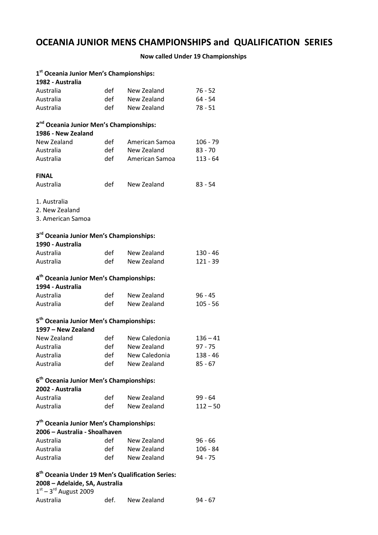## **OCEANIA JUNIOR MENS CHAMPIONSHIPS and QUALIFICATION SERIES**

## **Now called Under 19 Championships**

| 1st Oceania Junior Men's Championships:<br>1982 - Australia                                    |      |                 |            |
|------------------------------------------------------------------------------------------------|------|-----------------|------------|
| Australia                                                                                      | def  | New Zealand     | $76 - 52$  |
| Australia                                                                                      | def  | New Zealand     | $64 - 54$  |
| Australia                                                                                      | def  | New Zealand     |            |
|                                                                                                |      |                 | $78 - 51$  |
| 2 <sup>nd</sup> Oceania Junior Men's Championships:<br>1986 - New Zealand                      |      |                 |            |
| New Zealand                                                                                    | def  | American Samoa  | $106 - 79$ |
| Australia                                                                                      | def  | New Zealand     | $83 - 70$  |
| Australia                                                                                      | def  | American Samoa  | $113 - 64$ |
|                                                                                                |      |                 |            |
| <b>FINAL</b>                                                                                   |      |                 |            |
| Australia                                                                                      | def  | New Zealand     | $83 - 54$  |
| 1. Australia<br>2. New Zealand<br>3. American Samoa                                            |      |                 |            |
| 3 <sup>rd</sup> Oceania Junior Men's Championships:<br>1990 - Australia                        |      |                 |            |
| Australia                                                                                      | def  | New Zealand     | $130 - 46$ |
| Australia                                                                                      | def  | New Zealand     | $121 - 39$ |
| 4 <sup>th</sup> Oceania Junior Men's Championships:<br>1994 - Australia                        |      |                 |            |
| Australia                                                                                      | def  | New Zealand     | $96 - 45$  |
| Australia                                                                                      | def  | New Zealand     | $105 - 56$ |
| 5 <sup>th</sup> Oceania Junior Men's Championships:                                            |      |                 |            |
| 1997 - New Zealand                                                                             |      |                 |            |
| New Zealand                                                                                    | def  | New Caledonia   | $136 - 41$ |
| Australia                                                                                      | def  | New Zealand     | $97 - 75$  |
| Australia                                                                                      | def  | New Caledonia   | $138 - 46$ |
| Australia                                                                                      | def  | New Zealand     | $85 - 67$  |
| 6 <sup>th</sup> Oceania Junior Men's Championships:<br>2002 - Australia                        |      |                 |            |
| Australia                                                                                      | def  | New Zealand     | $99 - 64$  |
| Australia                                                                                      | def  | New Zealand     | $112 - 50$ |
| 7 <sup>th</sup> Oceania Junior Men's Championships:<br>2006 - Australia - Shoalhaven           |      |                 |            |
| Australia                                                                                      |      | def New Zealand | $96 - 66$  |
| Australia                                                                                      |      | def New Zealand | $106 - 84$ |
| Australia                                                                                      |      | def New Zealand | $94 - 75$  |
| 8 <sup>th</sup> Oceania Under 19 Men's Qualification Series:<br>2008 - Adelaide, SA, Australia |      |                 |            |
| $1st - 3rd$ August 2009                                                                        |      |                 |            |
|                                                                                                | def. |                 |            |
| Australia                                                                                      |      | New Zealand     | $94 - 67$  |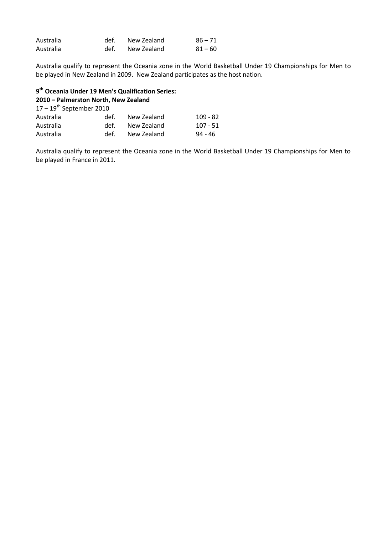| Australia | def. New Zealand | $86 - 71$ |
|-----------|------------------|-----------|
| Australia | def. New Zealand | $81 - 60$ |

be played in New Zealand in 2009. New Zealand participates as the host nation.<br>**Lage** *s* Australia qualify to represent the Oceania zone in the World Basketball Under 19 Championships for Men to

#### **9 th Oceania Under 19 Men's Qualification Series:**

### **2010 – Palmerston North, New Zealand**

| $17-19^{th}$ September 2010 |      |             |            |  |  |  |
|-----------------------------|------|-------------|------------|--|--|--|
| Australia                   | def. | New Zealand | $109 - 82$ |  |  |  |
| Australia                   | def. | New Zealand | 107 - 51   |  |  |  |
| Australia                   | def. | New Zealand | 94 - 46    |  |  |  |

Australia qualify to represent the Oceania zone in the World Basketball Under 19 Championships for Men to be played in France in 2011.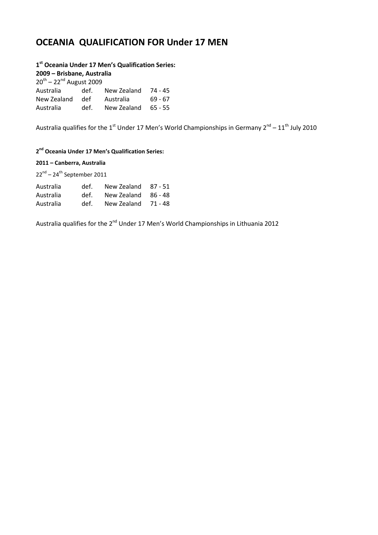## **OCEANIA QUALIFICATION FOR Under 17 MEN**

**1 st Oceania Under 17 Men's Qualification Series:**

**2009 – Brisbane, Australia** 

| $20^{th} - 22^{nd}$ August 2009 |      |             |           |  |  |
|---------------------------------|------|-------------|-----------|--|--|
| Australia                       | def. | New Zealand | 74 - 45   |  |  |
| New Zealand                     | def  | Australia   | 69 - 67   |  |  |
| Australia                       | def. | New Zealand | $65 - 55$ |  |  |

Australia qualifies for the 1<sup>st</sup> Under 17 Men's World Championships in Germany 2<sup>nd</sup> – 11<sup>th</sup> July 2010

#### **Title of Document in Arial Regular 12pt 2 nd Oceania Under 17 Men's Qualification Series:**

#### **2011 – Canberra, Australia**

 $22<sup>nd</sup> - 24<sup>th</sup>$  September 2011

| Australia | def. | New Zealand 87 - 51 |  |
|-----------|------|---------------------|--|
| Australia | def. | New Zealand 86 - 48 |  |
| Australia | def. | New Zealand 71 - 48 |  |

Australia qualifies for the 2<sup>nd</sup> Under 17 Men's World Championships in Lithuania 2012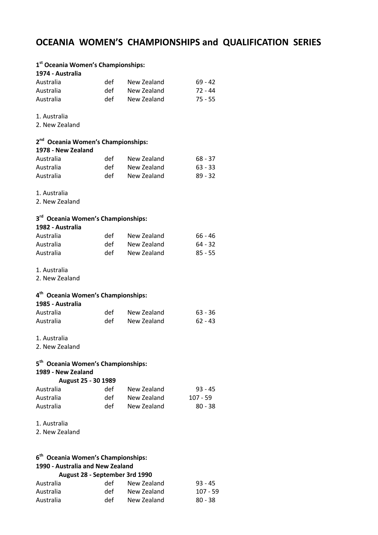## *OCEANIA WOMEN'S CHAMPIONSHIPS and QUALIFICATION SERIES*

| 1 <sup>st</sup> Oceania Women's Championships:<br>1974 - Australia   |     |             |            |
|----------------------------------------------------------------------|-----|-------------|------------|
| Australia                                                            | def | New Zealand | $69 - 42$  |
| Australia                                                            | def | New Zealand | $72 - 44$  |
| Australia                                                            | def | New Zealand | $75 - 55$  |
| 1. Australia<br>2. New Zealand                                       |     |             |            |
| 2 <sup>nd</sup> Oceania Women's Championships:<br>1978 - New Zealand |     |             |            |
| Australia                                                            | def | New Zealand | $68 - 37$  |
| Australia                                                            | def | New Zealand | $63 - 33$  |
| Australia                                                            | def | New Zealand | $89 - 32$  |
| 1. Australia<br>2. New Zealand                                       |     |             |            |
| 3 <sup>rd</sup> Oceania Women's Championships:<br>1982 - Australia   |     |             |            |
| Australia                                                            | def | New Zealand | $66 - 46$  |
| Australia                                                            | def | New Zealand | $64 - 32$  |
| Australia                                                            | def | New Zealand | $85 - 55$  |
| 1. Australia<br>2. New Zealand                                       |     |             |            |
| 4 <sup>th</sup> Oceania Women's Championships:<br>1985 - Australia   |     |             |            |
| Australia                                                            | def | New Zealand | $63 - 36$  |
| Australia                                                            | def | New Zealand | $62 - 43$  |
| 1. Australia<br>2. New Zealand                                       |     |             |            |
| 5 <sup>th</sup> Oceania Women's Championships:<br>1989 - New Zealand |     |             |            |
| August 25 - 30 1989                                                  |     |             |            |
| Australia                                                            | def | New Zealand | $93 - 45$  |
| Australia                                                            | def | New Zealand | 107 - 59   |
| Australia                                                            | def | New Zealand | $80 - 38$  |
| 1. Australia<br>2. New Zealand                                       |     |             |            |
| 6 <sup>th</sup> Oceania Women's Championships:                       |     |             |            |
| 1990 - Australia and New Zealand                                     |     |             |            |
| August 28 - September 3rd 1990                                       |     |             |            |
| Australia                                                            | def | New Zealand | 93 - 45    |
| Australia                                                            | def | New Zealand | $107 - 59$ |

Australia def New Zealand 80 - 38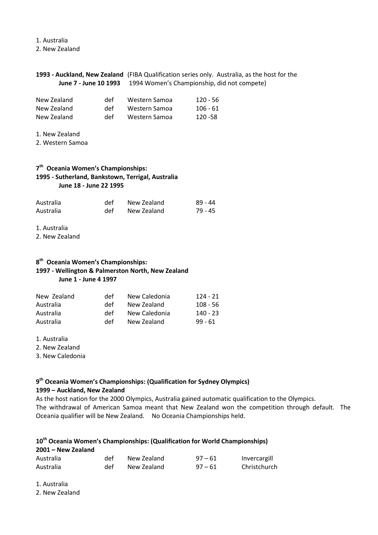**Title of Document in Arial Regular 12pt**  2. New Zealand 1. Australia

#### **Title of Documental Regular Regular Constraints**, the competent of the **June 7 - June 10 1993** 1994 Women's Championship, did not compete) **1993 - Auckland, New Zealand** (FIBA Qualification series only. Australia, as the host for the

| New Zealand | def | Western Samoa | $120 - 56$ |
|-------------|-----|---------------|------------|
| New Zealand | def | Western Samoa | 106 - 61   |
| New Zealand | def | Western Samoa | 120 - 58   |

1. New Zealand

2. Western Samoa

#### **7 th Oceania Women's Championships: 1995 - Sutherland, Bankstown, Terrigal, Australia June 18 - June 22 1995**

| Australia | def | New Zealand | 89 - 44 |
|-----------|-----|-------------|---------|
| Australia | def | New Zealand | 79 - 45 |

1. Australia

2. New Zealand

#### **8 th Oceania Women's Championships: 1997 - Wellington & Palmerston North, New Zealand June 1 - June 4 1997**

| New Zealand | def | New Caledonia | 124 - 21   |
|-------------|-----|---------------|------------|
| Australia   | def | New Zealand   | $108 - 56$ |
| Australia   | def | New Caledonia | 140 - 23   |
| Australia   | def | New Zealand   | $99 - 61$  |

1. Australia

2. New Zealand

3. New Caledonia

## **9 th Oceania Women's Championships: (Qualification for Sydney Olympics)**

#### **1999 – Auckland, New Zealand**

As the host nation for the 2000 Olympics, Australia gained automatic qualification to the Olympics. The withdrawal of American Samoa meant that New Zealand won the competition through default. The Oceania qualifier will be New Zealand. No Oceania Championships held.

#### **10th Oceania Women's Championships: (Qualification for World Championships)**

| 2001 - New Zealand |     |             |           |              |
|--------------------|-----|-------------|-----------|--------------|
| Australia          | det | New Zealand | $97 - 61$ | Invercargill |
| Australia          | det | New Zealand | $97 - 61$ | Christchurch |

1. Australia

2. New Zealand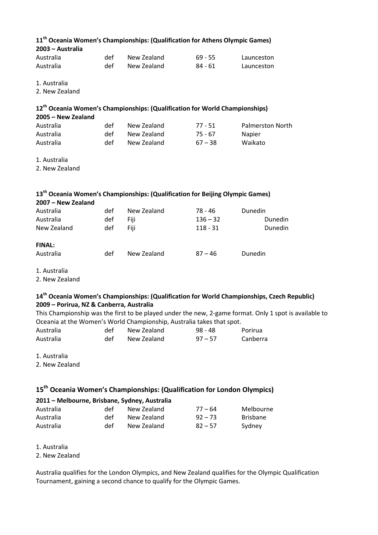| 11 <sup>th</sup> Oceania Women's Championships: (Qualification for Athens Olympic Games)<br>2003 - Australia                                                                    |     |                                                                                         |            |                         |  |
|---------------------------------------------------------------------------------------------------------------------------------------------------------------------------------|-----|-----------------------------------------------------------------------------------------|------------|-------------------------|--|
| Australia                                                                                                                                                                       | def | New Zealand                                                                             | $69 - 55$  | Launceston              |  |
| Australia                                                                                                                                                                       | def | New Zealand                                                                             | $84 - 61$  | Launceston              |  |
| 1. Australia                                                                                                                                                                    |     |                                                                                         |            |                         |  |
| 2. New Zealand                                                                                                                                                                  |     |                                                                                         |            |                         |  |
| 2005 - New Zealand                                                                                                                                                              |     | 12 <sup>th</sup> Oceania Women's Championships: (Qualification for World Championships) |            |                         |  |
| Australia                                                                                                                                                                       | def | New Zealand                                                                             | $77 - 51$  | <b>Palmerston North</b> |  |
| Australia                                                                                                                                                                       | def | New Zealand                                                                             | $75 - 67$  | Napier                  |  |
| Australia                                                                                                                                                                       | def | New Zealand                                                                             | $67 - 38$  | Waikato                 |  |
| 1. Australia                                                                                                                                                                    |     |                                                                                         |            |                         |  |
| 2. New Zealand                                                                                                                                                                  |     |                                                                                         |            |                         |  |
| 13 <sup>th</sup> Oceania Women's Championships: (Qualification for Beijing Olympic Games)                                                                                       |     |                                                                                         |            |                         |  |
| 2007 - New Zealand                                                                                                                                                              |     |                                                                                         |            |                         |  |
| Australia                                                                                                                                                                       | def | New Zealand                                                                             | $78 - 46$  | Dunedin                 |  |
| Australia                                                                                                                                                                       | def | Fiji                                                                                    | $136 - 32$ | Dunedin                 |  |
| New Zealand                                                                                                                                                                     | def | Fiji                                                                                    | $118 - 31$ | Dunedin                 |  |
| <b>FINAL:</b>                                                                                                                                                                   |     |                                                                                         |            |                         |  |
| Australia                                                                                                                                                                       | def | New Zealand                                                                             | $87 - 46$  | Dunedin                 |  |
| 1. Australia<br>2. New Zealand                                                                                                                                                  |     |                                                                                         |            |                         |  |
| 14 <sup>th</sup> Oceania Women's Championships: (Qualification for World Championships, Czech Republic)<br>2009 - Porirua, NZ & Canberra, Australia                             |     |                                                                                         |            |                         |  |
| This Championship was the first to be played under the new, 2-game format. Only 1 spot is available to<br>Oceania at the Women's World Championship, Australia takes that spot. |     |                                                                                         |            |                         |  |
| Australia                                                                                                                                                                       | def | New Zealand                                                                             | $98 - 48$  | Porirua                 |  |
| Australia                                                                                                                                                                       | def | New Zealand                                                                             | $97 - 57$  | Canberra                |  |
| 1. Australia<br>2. New Zealand                                                                                                                                                  |     |                                                                                         |            |                         |  |
|                                                                                                                                                                                 |     | 15 <sup>th</sup> Oceania Women's Championships: (Qualification for London Olympics)     |            |                         |  |
| 2011 - Melbourne, Brisbane, Sydney, Australia                                                                                                                                   |     |                                                                                         |            |                         |  |
| Australia                                                                                                                                                                       | def | New Zealand                                                                             | $77 - 64$  | Melbourne               |  |

Australia def New Zealand 92 – 73 Brisbane Australia and def New Zealand 82 – 57 Sydney

1. Australia

2. New Zealand

Australia qualifies for the London Olympics, and New Zealand qualifies for the Olympic Qualification Tournament, gaining a second chance to qualify for the Olympic Games.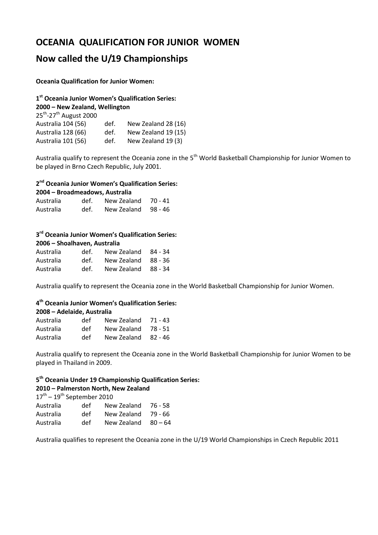## *OCEANIA QUALIFICATION FOR JUNIOR WOMEN*

## **Now called the U/19 Championships**

#### **Oceania Qualification for Junior Women:**

**Title of Document in Arial Regular 12pt**  25th -27th August 2000 **1 st Oceania Junior Women's Qualification Series: 2000 – New Zealand, Wellington**  Australia 104 (56) def. New Zealand 28 (16) Australia 128 (66) def. New Zealand 19 (15) Australia 101 (56) def. New Zealand 19 (3)

Australia qualify to represent the Oceania zone in the 5<sup>th</sup> World Basketball Championship for Junior Women to be played in Brno Czech Republic, July 2001.

#### **2 nd Oceania Junior Women's Qualification Series:**

| 2004 - Broadmeadows, Australia |      |                          |  |  |
|--------------------------------|------|--------------------------|--|--|
| Australia                      |      | def. New Zealand 70 - 41 |  |  |
| Australia                      | def. | New Zealand 98 - 46      |  |  |

#### **3 rd Oceania Junior Women's Qualification Series: 2006 – Shoalhaven, Australia**

| def. |                                                                   |
|------|-------------------------------------------------------------------|
| def. |                                                                   |
| def. |                                                                   |
|      | New Zealand 84 - 34<br>New Zealand 88 - 36<br>New Zealand 88 - 34 |

Australia qualify to represent the Oceania zone in the World Basketball Championship for Junior Women.

#### **4 th Oceania Junior Women's Qualification Series:**

| 2008 – Adelaide, Australia |     |           |
|----------------------------|-----|-----------|
| $A - 1 = 1$                | ہ د | 1.1.1.77. |

| Australia | def | New Zealand 71 - 43 |  |
|-----------|-----|---------------------|--|
| Australia | def | New Zealand 78 - 51 |  |
| Australia | def | New Zealand 82 - 46 |  |

Australia qualify to represent the Oceania zone in the World Basketball Championship for Junior Women to be played in Thailand in 2009.

### **5 th Oceania Under 19 Championship Qualification Series:**

#### **2010 – Palmerston North, New Zealand**

| $17^{\text{th}} - 19^{\text{th}}$ September 2010 |     |             |           |  |
|--------------------------------------------------|-----|-------------|-----------|--|
| Australia                                        | def | New Zealand | 76 - 58   |  |
| Australia                                        | def | New Zealand | 79 - 66   |  |
| Australia                                        | def | New Zealand | $80 - 64$ |  |

Australia qualifies to represent the Oceania zone in the U/19 World Championships in Czech Republic 2011